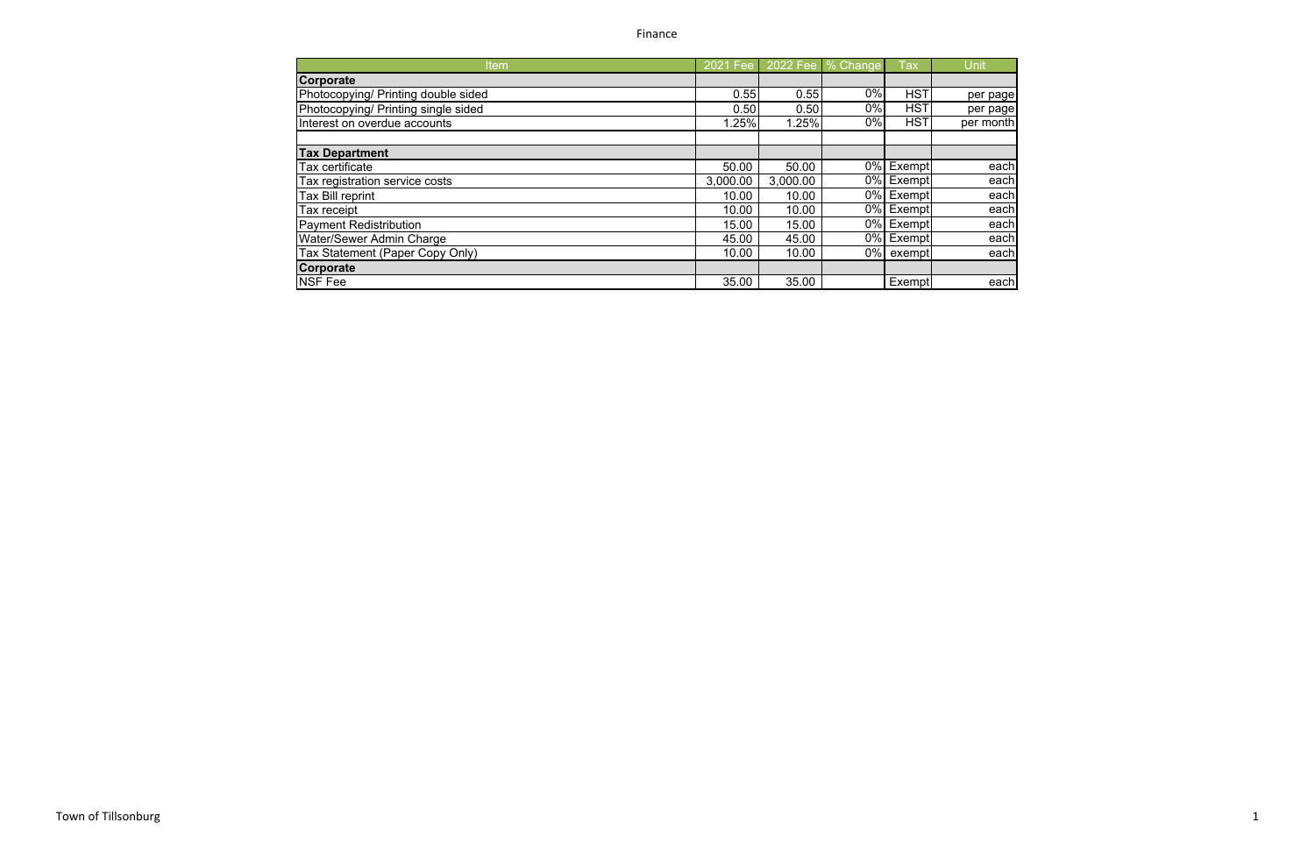Finance

| Jnit     |
|----------|
|          |
| per page |
| per page |
| er month |
|          |
|          |
| each     |
| each     |
| each     |
| each     |
| each     |
| each     |
| each     |
|          |
| each     |
|          |

| Item                                | 2021 Fee |          | 2022 Fee   % Change | <b>Tax</b>              | Unit      |
|-------------------------------------|----------|----------|---------------------|-------------------------|-----------|
| Corporate                           |          |          |                     |                         |           |
| Photocopying/ Printing double sided | 0.55     | 0.55     | 0%                  | <b>HST</b>              | per page  |
| Photocopying/ Printing single sided | 0.50     | 0.50     | 0%                  | <b>HST</b>              | per page  |
| Interest on overdue accounts        | 1.25%    | 1.25%    | 0%                  | <b>HST</b>              | per month |
|                                     |          |          |                     |                         |           |
| <b>Tax Department</b>               |          |          |                     |                         |           |
| Tax certificate                     | 50.00    | 50.00    | $0\%$               | Exempt                  | each      |
| Tax registration service costs      | 3,000.00 | 3,000.00 |                     | 0% Exempt               | each      |
| Tax Bill reprint                    | 10.00    | 10.00    |                     | 0% Exempt               | each      |
| Tax receipt                         | 10.00    | 10.00    | $0\%$               | Exempt                  | each      |
| <b>Payment Redistribution</b>       | 15.00    | 15.00    |                     | $\overline{0\%}$ Exempt | each      |
| Water/Sewer Admin Charge            | 45.00    | 45.00    |                     | 0% Exempt               | each      |
| Tax Statement (Paper Copy Only)     | 10.00    | 10.00    |                     | 0% exempt               | each      |
| Corporate                           |          |          |                     |                         |           |
| <b>NSF Fee</b>                      | 35.00    | 35.00    |                     | Exempt                  | each      |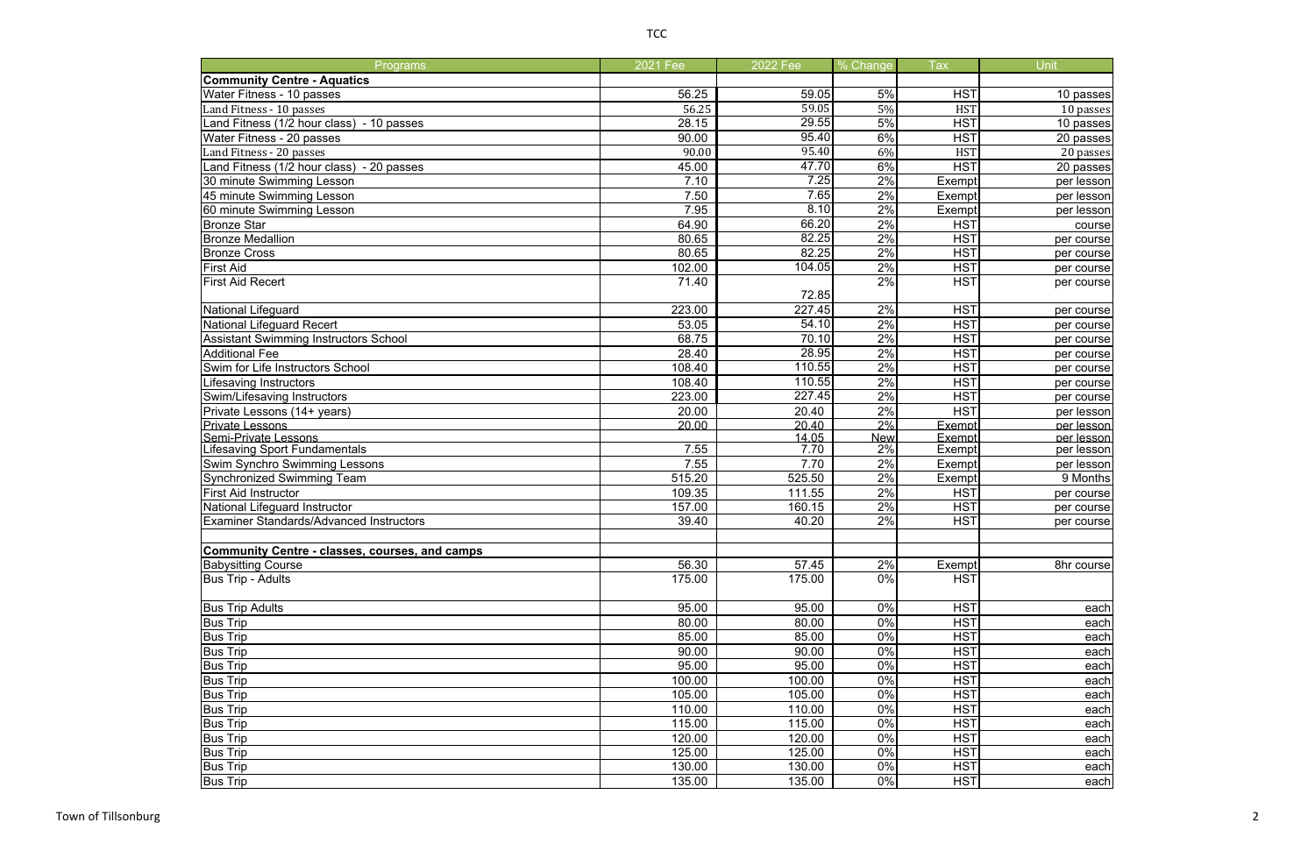| Programs                                              | 2021 Fee | 2022 Fee | % Change   | <b>Tax</b>    | Unit       |
|-------------------------------------------------------|----------|----------|------------|---------------|------------|
| <b>Community Centre - Aquatics</b>                    |          |          |            |               |            |
| Water Fitness - 10 passes                             | 56.25    | 59.05    | 5%         | <b>HST</b>    | 10 passes  |
| Land Fitness - 10 passes                              | 56.25    | 59.05    | 5%         | <b>HST</b>    | 10 passes  |
| Land Fitness (1/2 hour class) - 10 passes             | 28.15    | 29.55    | 5%         | <b>HST</b>    | 10 passes  |
| Water Fitness - 20 passes                             | 90.00    | 95.40    | 6%         | <b>HST</b>    | 20 passes  |
| Land Fitness - 20 passes                              | 90.00    | 95.40    | 6%         | <b>HST</b>    | 20 passes  |
| Land Fitness (1/2 hour class) - 20 passes             | 45.00    | 47.70    | 6%         | <b>HST</b>    | 20 passes  |
| 30 minute Swimming Lesson                             | 7.10     | 7.25     | 2%         | Exempt        | per lesson |
| 45 minute Swimming Lesson                             | 7.50     | 7.65     | 2%         | Exempt        | per lesson |
| 60 minute Swimming Lesson                             | 7.95     | 8.10     | 2%         | Exempt        | per lesson |
| <b>Bronze Star</b>                                    | 64.90    | 66.20    | 2%         | <b>HST</b>    | course     |
| <b>Bronze Medallion</b>                               | 80.65    | 82.25    | 2%         | <b>HST</b>    | per course |
| <b>Bronze Cross</b>                                   | 80.65    | 82.25    | 2%         | <b>HST</b>    | per course |
| First Aid                                             | 102.00   | 104.05   | 2%         | <b>HST</b>    | per course |
| <b>First Aid Recert</b>                               | 71.40    |          | 2%         | <b>HST</b>    | per course |
|                                                       |          | 72.85    |            |               |            |
| National Lifeguard                                    | 223.00   | 227.45   | 2%         | <b>HST</b>    | per course |
| <b>National Lifeguard Recert</b>                      | 53.05    | 54.10    | 2%         | <b>HST</b>    | per course |
| <b>Assistant Swimming Instructors School</b>          | 68.75    | 70.10    | 2%         | <b>HST</b>    | per course |
| <b>Additional Fee</b>                                 | 28.40    | 28.95    | 2%         | <b>HST</b>    | per course |
| Swim for Life Instructors School                      | 108.40   | 110.55   | 2%         | <b>HST</b>    | per course |
| Lifesaving Instructors                                | 108.40   | 110.55   | 2%         | <b>HST</b>    | per course |
| Swim/Lifesaving Instructors                           | 223.00   | 227.45   | 2%         | <b>HST</b>    | per course |
| Private Lessons (14+ years)                           | 20.00    | 20.40    | 2%         | <b>HST</b>    | per lesson |
| <b>Private Lessons</b>                                | 20.00    | 20.40    | 2%         | Exempt        | per lesson |
| Semi-Private Lessons                                  |          | 14.05    | <b>New</b> | Exempt        | per lesson |
| Lifesaving Sport Fundamentals                         | 7.55     | 7.70     | 2%         | Exempt        | per lesson |
| Swim Synchro Swimming Lessons                         | 7.55     | 7.70     | 2%         | Exempt        | per lesson |
| <b>Synchronized Swimming Team</b>                     | 515.20   | 525.50   | 2%         | <b>Exempt</b> | 9 Months   |
| <b>First Aid Instructor</b>                           | 109.35   | 111.55   | 2%         | <b>HST</b>    | per course |
| National Lifeguard Instructor                         | 157.00   | 160.15   | 2%         | <b>HST</b>    | per course |
| <b>Examiner Standards/Advanced Instructors</b>        | 39.40    | 40.20    | 2%         | <b>HST</b>    | per course |
|                                                       |          |          |            |               |            |
| <b>Community Centre - classes, courses, and camps</b> |          |          |            |               |            |
| <b>Babysitting Course</b>                             | 56.30    | 57.45    | 2%         | Exempt        | 8hr course |
| <b>Bus Trip - Adults</b>                              | 175.00   | 175.00   | 0%         | <b>HST</b>    |            |
|                                                       |          |          |            |               |            |
| <b>Bus Trip Adults</b>                                | 95.00    | 95.00    | 0%         | <b>HST</b>    | each       |
| <b>Bus Trip</b>                                       | 80.00    | 80.00    | 0%         | <b>HST</b>    | each       |
| <b>Bus Trip</b>                                       | 85.00    | 85.00    | 0%         | <b>HST</b>    | each       |
| <b>Bus Trip</b>                                       | 90.00    | 90.00    | 0%         | <b>HST</b>    | each       |
| <b>Bus Trip</b>                                       | 95.00    | 95.00    | 0%         | <b>HST</b>    | each       |
| <b>Bus Trip</b>                                       | 100.00   | 100.00   | 0%         | <b>HST</b>    | each       |
| <b>Bus Trip</b>                                       | 105.00   | 105.00   | 0%         | <b>HST</b>    | each       |
| <b>Bus Trip</b>                                       | 110.00   | 110.00   | 0%         | <b>HST</b>    | each       |
| <b>Bus Trip</b>                                       | 115.00   | 115.00   | 0%         | <b>HST</b>    | each       |
| <b>Bus Trip</b>                                       | 120.00   | 120.00   | 0%         | <b>HST</b>    | each       |
| <b>Bus Trip</b>                                       | 125.00   | 125.00   | 0%         | <b>HST</b>    | each       |
| <b>Bus Trip</b>                                       | 130.00   | 130.00   | 0%         | <b>HST</b>    | each       |
| <b>Bus Trip</b>                                       | 135.00   | 135.00   | $0\%$      | <b>HST</b>    | each       |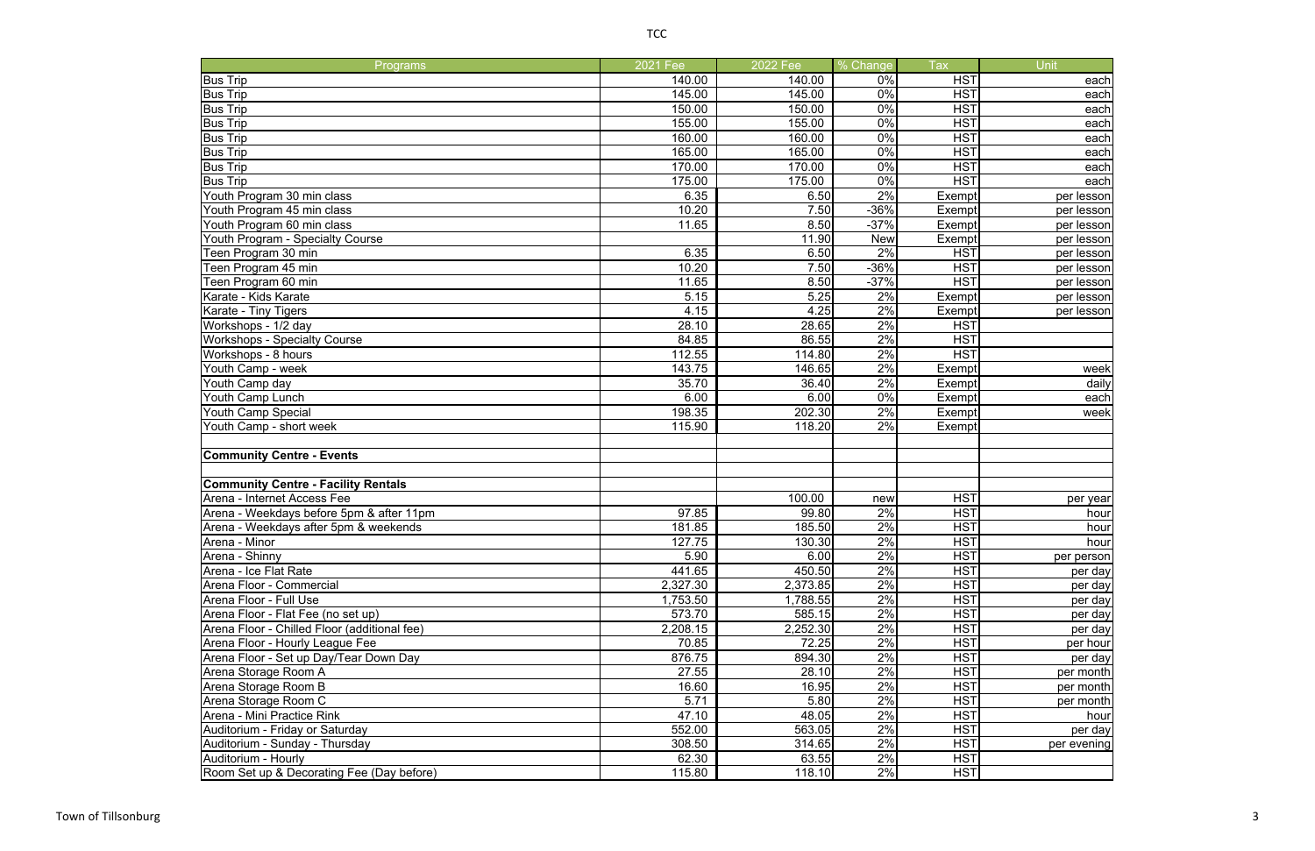| Programs                                     | 2021 Fee | 2022 Fee | % Change   | <b>Tax</b> |
|----------------------------------------------|----------|----------|------------|------------|
| <b>Bus Trip</b>                              | 140.00   | 140.00   | 0%         | <b>HST</b> |
| <b>Bus Trip</b>                              | 145.00   | 145.00   | 0%         | <b>HST</b> |
| <b>Bus Trip</b>                              | 150.00   | 150.00   | 0%         | <b>HST</b> |
| <b>Bus Trip</b>                              | 155.00   | 155.00   | 0%         | <b>HST</b> |
| <b>Bus Trip</b>                              | 160.00   | 160.00   | 0%         | <b>HST</b> |
| <b>Bus Trip</b>                              | 165.00   | 165.00   | 0%         | <b>HST</b> |
| <b>Bus Trip</b>                              | 170.00   | 170.00   | 0%         | <b>HST</b> |
| <b>Bus Trip</b>                              | 175.00   | 175.00   | $0\%$      | <b>HST</b> |
| Youth Program 30 min class                   | 6.35     | 6.50     | 2%         | Exempt     |
| Youth Program 45 min class                   | 10.20    | 7.50     | $-36%$     | Exempt     |
| Youth Program 60 min class                   | 11.65    | 8.50     | $-37%$     | Exempt     |
| Youth Program - Specialty Course             |          | 11.90    | <b>New</b> | Exempt     |
| Teen Program 30 min                          | 6.35     | 6.50     | 2%         | <b>HST</b> |
| Teen Program 45 min                          | 10.20    | 7.50     | $-36%$     | <b>HST</b> |
| Teen Program 60 min                          | 11.65    | 8.50     | $-37%$     | <b>HST</b> |
| Karate - Kids Karate                         | 5.15     | 5.25     | 2%         | Exempt     |
| Karate - Tiny Tigers                         | 4.15     | 4.25     | 2%         | Exempt     |
| Workshops - 1/2 day                          | 28.10    | 28.65    | 2%         | <b>HST</b> |
| <b>Workshops - Specialty Course</b>          | 84.85    | 86.55    | 2%         | <b>HST</b> |
| Workshops - 8 hours                          | 112.55   | 114.80   | 2%         | <b>HST</b> |
| Youth Camp - week                            | 143.75   | 146.65   | 2%         | Exempt     |
| Youth Camp day                               | 35.70    | 36.40    | $2\%$      | Exempt     |
| Youth Camp Lunch                             | 6.00     | 6.00     | 0%         | Exempt     |
| <b>Youth Camp Special</b>                    | 198.35   | 202.30   | 2%         | Exempt     |
| Youth Camp - short week                      | 115.90   | 118.20   | 2%         | Exempt     |
|                                              |          |          |            |            |
| <b>Community Centre - Events</b>             |          |          |            |            |
|                                              |          |          |            |            |
| <b>Community Centre - Facility Rentals</b>   |          |          |            |            |
| Arena - Internet Access Fee                  |          | 100.00   | new        | <b>HST</b> |
| Arena - Weekdays before 5pm & after 11pm     | 97.85    | 99.80    | 2%         | <b>HST</b> |
| Arena - Weekdays after 5pm & weekends        | 181.85   | 185.50   | 2%         | <b>HST</b> |
| Arena - Minor                                | 127.75   | 130.30   | 2%         | <b>HST</b> |
| Arena - Shinny                               | 5.90     | 6.00     | 2%         | <b>HST</b> |
| Arena - Ice Flat Rate                        | 441.65   | 450.50   | 2%         | <b>HST</b> |
| Arena Floor - Commercial                     | 2,327.30 | 2,373.85 | 2%         | <b>HST</b> |
| Arena Floor - Full Use                       | 1,753.50 | 1,788.55 | 2%         | <b>HST</b> |
| Arena Floor - Flat Fee (no set up)           | 573.70   | 585.15   | 2%         | <b>HST</b> |
|                                              | 2,208.15 | 2,252.30 | 2%         |            |
| Arena Floor - Chilled Floor (additional fee) |          |          | 2%         | <b>HST</b> |
| Arena Floor - Hourly League Fee              | 70.85    | 72.25    |            | <b>HST</b> |
| Arena Floor - Set up Day/Tear Down Day       | 876.75   | 894.30   | 2%         | <b>HST</b> |
| Arena Storage Room A                         | 27.55    | 28.10    | 2%         | <b>HST</b> |
| Arena Storage Room B                         | 16.60    | 16.95    | 2%         | <b>HST</b> |
| Arena Storage Room C                         | 5.71     | 5.80     | 2%         | <b>HST</b> |
| Arena - Mini Practice Rink                   | 47.10    | 48.05    | 2%         | <b>HST</b> |
| Auditorium - Friday or Saturday              | 552.00   | 563.05   | 2%         | <b>HST</b> |
| Auditorium - Sunday - Thursday               | 308.50   | 314.65   | 2%         | <b>HST</b> |
| Auditorium - Hourly                          | 62.30    | 63.55    | 2%         | <b>HST</b> |
| Room Set up & Decorating Fee (Day before)    | 115.80   | 118.10   | 2%         | <b>HST</b> |

| je                             | Tax                      | Unit                |
|--------------------------------|--------------------------|---------------------|
| $\frac{0}{0}$                  | <b>HST</b>               | each                |
| $\frac{0}{0}$                  | <b>HST</b>               | each                |
| $\frac{1}{2}$                  | <b>HST</b>               | each                |
| $\frac{0}{0}$                  | <b>HST</b>               | each                |
| $\frac{0}{0}$                  | <b>HST</b>               | each                |
| $\frac{0}{0}$                  | <b>HST</b>               | each                |
| $\frac{0}{0}$                  | <b>HST</b>               | each                |
| $\frac{0}{0}$                  | <b>HST</b>               | each                |
| $\overline{\frac{0}{6}}$       | Exempt                   | per lesson          |
| $\frac{1}{2}$                  | Exempt                   | per lesson          |
| $\frac{0}{0}$                  | Exempt                   | per lesson          |
| W.                             | Exempt                   | per lesson          |
| $\frac{0}{0}$                  | <b>HST</b>               | per lesson          |
| $\frac{1}{2}$                  | <b>HST</b>               | per lesson          |
| $\frac{0}{0}$                  | HST                      | per les <u>son</u>  |
| $\overline{\frac{0}{6}}$       | Exempt                   | per lesson          |
| $\frac{1}{2}$<br>$\frac{1}{2}$ | Exempt<br><b>HST</b>     | per lesson          |
| $\frac{0}{0}$                  | <b>HST</b>               |                     |
| $\frac{1}{2}$                  | HS <u>T</u>              |                     |
| $\frac{0}{0}$                  | Exempt                   | week                |
| $\overline{\frac{0}{6}}$       | Exempt                   | daily               |
| $\%$                           | Exempt                   | each                |
| $\frac{0}{0}$                  | Exempt                   | week                |
| $\frac{0}{0}$                  | Exempt                   |                     |
|                                |                          |                     |
|                                |                          |                     |
|                                |                          |                     |
|                                |                          |                     |
| W,                             | <b>HST</b>               | per year            |
| $\frac{1}{2}$                  | <b>HST</b>               | hour                |
| $\frac{0}{0}$                  | <b>HST</b>               | hour                |
| %                              | HST                      | hour                |
| $\frac{0}{0}$                  | <b>HST</b>               | per person          |
| $\frac{1}{2}$                  | <b>HST</b>               | per day             |
| $\frac{0}{0}$                  | <u>HST</u>               | per day             |
| $\frac{0}{0}$                  | <b>HST</b>               | per day             |
| $\frac{0}{0}$                  | <b>HST</b>               | per day             |
| $\frac{0}{0}$<br>$\frac{0}{0}$ | <b>HST</b><br><b>HST</b> | per day             |
| $\frac{0}{0}$                  | $\overline{\text{HST}}$  | per hour<br>per day |
| $\frac{0}{0}$                  | <b>HST</b>               | per month           |
| $\frac{0}{0}$                  | HST                      | per month           |
| $\frac{0}{0}$                  | <b>HST</b>               | per month           |
| $\frac{0}{0}$                  | <u>HST</u>               | hour                |
| $\frac{0}{0}$                  | <b>HST</b>               | per day             |
| $\overline{\frac{0}{6}}$       | <b>HST</b>               | per evening         |
| $\%$                           | <b>HST</b>               |                     |
| $\frac{0}{0}$                  | <b>HST</b>               |                     |
|                                |                          |                     |

 $0 \t 2\%$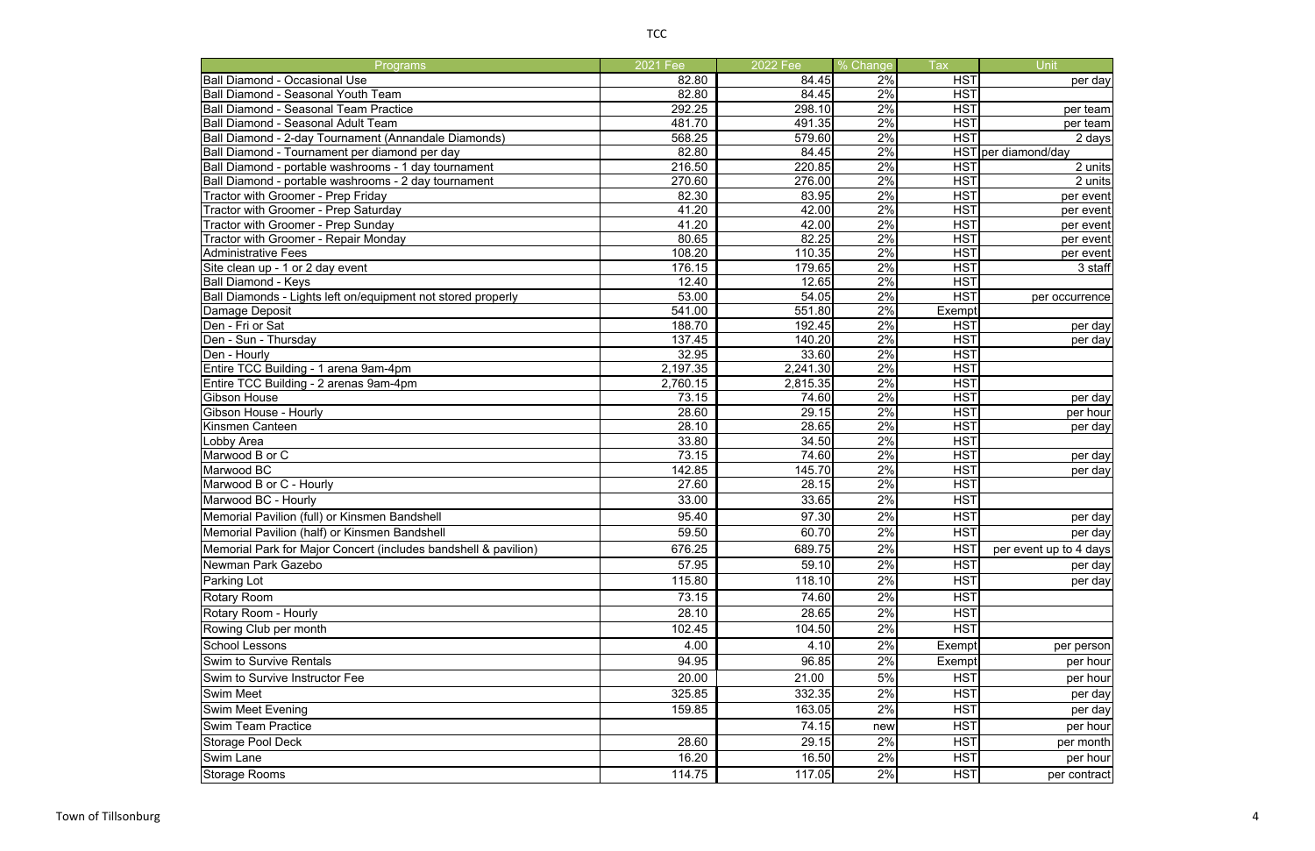| Programs                                                        | 2021 Fee          | 2022 Fee          | % Change | Tax                      | <b>Unit</b>            |
|-----------------------------------------------------------------|-------------------|-------------------|----------|--------------------------|------------------------|
| <b>Ball Diamond - Occasional Use</b>                            | 82.80             | 84.45             | 2%       | <b>HST</b>               | per day                |
| <b>Ball Diamond - Seasonal Youth Team</b>                       | 82.80             | 84.45             | 2%       | <b>HST</b>               |                        |
| <b>Ball Diamond - Seasonal Team Practice</b>                    | 292.25            | 298.10            | 2%       | <b>HST</b>               | per team               |
| <b>Ball Diamond - Seasonal Adult Team</b>                       | 481.70            | 491.35            | 2%       | <b>HST</b>               | per team               |
| Ball Diamond - 2-day Tournament (Annandale Diamonds)            | 568.25            | 579.60            | 2%       | <b>HST</b>               | 2 days                 |
| Ball Diamond - Tournament per diamond per day                   | 82.80             | 84.45             | 2%       |                          | HST per diamond/day    |
| Ball Diamond - portable washrooms - 1 day tournament            | 216.50            | 220.85            | 2%       | <b>HST</b>               | 2 units                |
| Ball Diamond - portable washrooms - 2 day tournament            | 270.60            | 276.00            | 2%       | <b>HST</b>               | 2 units                |
| <b>Tractor with Groomer - Prep Friday</b>                       | 82.30             | 83.95             | 2%       | <b>HST</b>               | per event              |
| Tractor with Groomer - Prep Saturday                            | 41.20             | 42.00             | 2%       | <b>HST</b>               | per event              |
| Tractor with Groomer - Prep Sunday                              | 41.20             | 42.00             | 2%       | <b>HST</b>               | per event              |
| Tractor with Groomer - Repair Monday                            | 80.65             | 82.25             | 2%       | <b>HST</b>               | per event              |
| <b>Administrative Fees</b>                                      | 108.20            | 110.35            | 2%       | <b>HST</b>               | per event              |
| Site clean up - 1 or 2 day event                                | 176.15            | 179.65            | 2%       | <b>HST</b>               | 3 staff                |
| <b>Ball Diamond - Keys</b>                                      | 12.40             | 12.65             | 2%       | <b>HST</b>               |                        |
| Ball Diamonds - Lights left on/equipment not stored properly    | 53.00             | 54.05             | 2%       | <b>HST</b>               | per occurrence         |
| Damage Deposit                                                  | 541.00            | 551.80            | 2%       | Exempt                   |                        |
| Den - Fri or Sat                                                | 188.70            | 192.45            | 2%       | <b>HST</b>               | per day                |
| Den - Sun - Thursday                                            | 137.45            | 140.20            | 2%<br>2% | <b>HST</b>               | per day                |
| Den - Hourly<br>Entire TCC Building - 1 arena 9am-4pm           | 32.95<br>2,197.35 | 33.60<br>2,241.30 | 2%       | <b>HST</b><br><b>HST</b> |                        |
| Entire TCC Building - 2 arenas 9am-4pm                          | 2,760.15          | 2,815.35          | 2%       | <b>HST</b>               |                        |
| Gibson House                                                    | 73.15             | 74.60             | 2%       | <b>HST</b>               |                        |
| Gibson House - Hourly                                           | 28.60             | 29.15             | 2%       | <b>HST</b>               | per day<br>per hour    |
| Kinsmen Canteen                                                 | 28.10             | 28.65             | 2%       | <b>HST</b>               | per day                |
| Lobby Area                                                      | 33.80             | 34.50             | 2%       | <b>HST</b>               |                        |
| Marwood B or C                                                  | 73.15             | 74.60             | 2%       | <b>HST</b>               | per day                |
| Marwood BC                                                      | 142.85            | 145.70            | 2%       | <b>HST</b>               | per day                |
| Marwood B or C - Hourly                                         | 27.60             | 28.15             | 2%       | <b>HST</b>               |                        |
| Marwood BC - Hourly                                             | 33.00             | 33.65             | 2%       | <b>HST</b>               |                        |
| Memorial Pavilion (full) or Kinsmen Bandshell                   | 95.40             | 97.30             | 2%       | <b>HST</b>               | per day                |
| Memorial Pavilion (half) or Kinsmen Bandshell                   | 59.50             | 60.70             | $2\%$    | <b>HST</b>               | per day                |
| Memorial Park for Major Concert (includes bandshell & pavilion) | 676.25            | 689.75            | 2%       | <b>HST</b>               | per event up to 4 days |
| Newman Park Gazebo                                              | 57.95             | 59.10             | 2%       | <b>HST</b>               | per day                |
| Parking Lot                                                     | 115.80            | 118.10            | 2%       | <b>HST</b>               | per day                |
| <b>Rotary Room</b>                                              | 73.15             | 74.60             | 2%       | <b>HST</b>               |                        |
| Rotary Room - Hourly                                            | 28.10             | 28.65             | 2%       | <b>HST</b>               |                        |
| Rowing Club per month                                           | 102.45            | 104.50            | 2%       | <b>HST</b>               |                        |
| <b>School Lessons</b>                                           | 4.00              | 4.10              | 2%       | <b>Exempt</b>            | per person             |
| Swim to Survive Rentals                                         | 94.95             | 96.85             | 2%       | Exempt                   | per hour               |
| Swim to Survive Instructor Fee                                  | 20.00             | 21.00             | 5%       | <b>HST</b>               | per hour               |
| Swim Meet                                                       | 325.85            | 332.35            | 2%       | <b>HST</b>               | per day                |
| Swim Meet Evening                                               | 159.85            | 163.05            | 2%       | <b>HST</b>               | per day                |
| <b>Swim Team Practice</b>                                       |                   | 74.15             | new      | <b>HST</b>               | per hour               |
| Storage Pool Deck                                               | 28.60             | 29.15             | 2%       | <b>HST</b>               | per month              |
| Swim Lane                                                       | 16.20             | 16.50             | 2%       | <b>HST</b>               | per hour               |
| <b>Storage Rooms</b>                                            | 114.75            | 117.05            | 2%       | <b>HST</b>               | per contract           |
|                                                                 |                   |                   |          |                          |                        |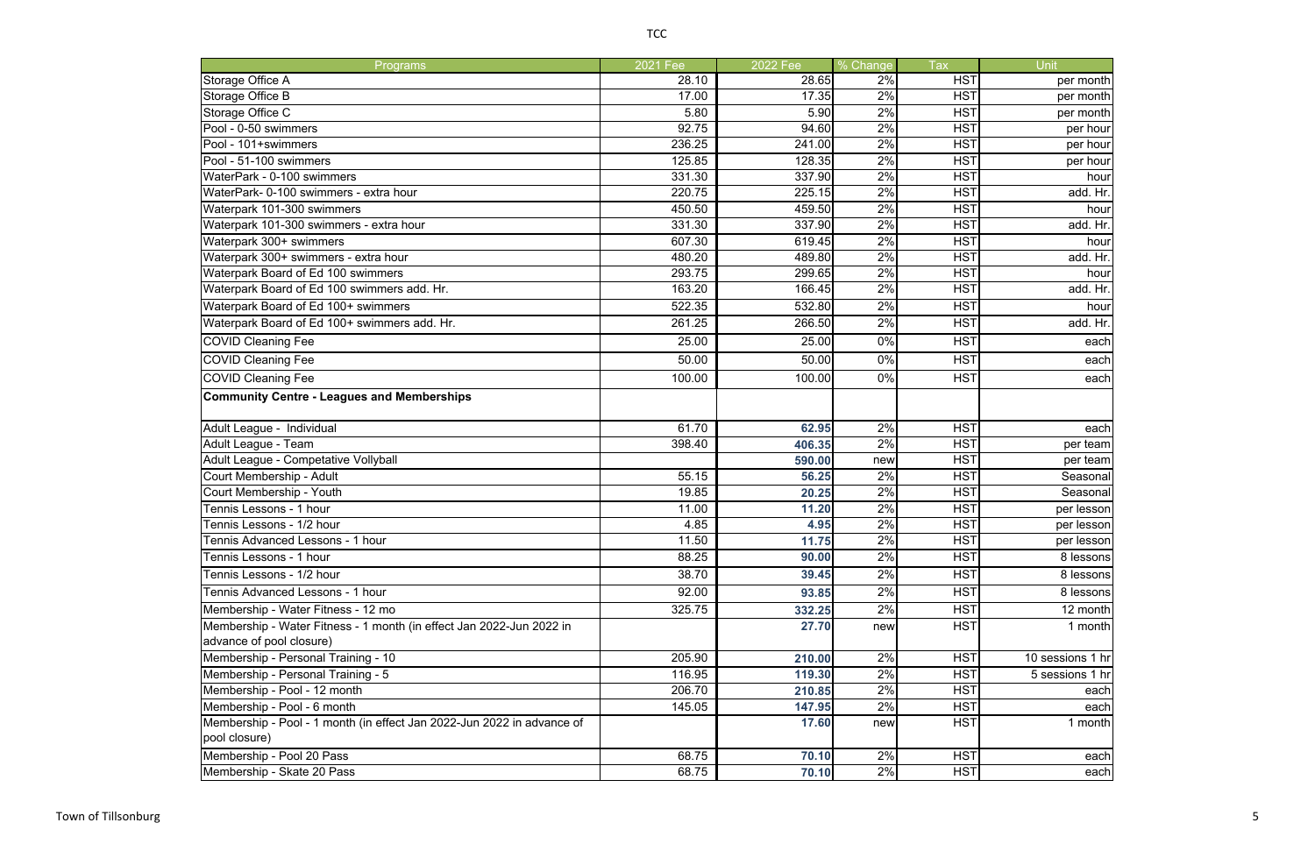| Programs                                                               | 2021 Fee | 2022 Fee | % Change | <b>Tax</b> | Unit             |
|------------------------------------------------------------------------|----------|----------|----------|------------|------------------|
| Storage Office A                                                       | 28.10    | 28.65    | 2%       | <b>HST</b> | per month        |
| Storage Office B                                                       | 17.00    | 17.35    | 2%       | <b>HST</b> | per month        |
| Storage Office C                                                       | 5.80     | 5.90     | 2%       | <b>HST</b> | per month        |
| Pool - 0-50 swimmers                                                   | 92.75    | 94.60    | 2%       | <b>HST</b> | per hour         |
| Pool - 101+swimmers                                                    | 236.25   | 241.00   | 2%       | <b>HST</b> | per hour         |
| Pool - 51-100 swimmers                                                 | 125.85   | 128.35   | 2%       | <b>HST</b> | per hour         |
| WaterPark - 0-100 swimmers                                             | 331.30   | 337.90   | 2%       | <b>HST</b> | hour             |
| WaterPark- 0-100 swimmers - extra hour                                 | 220.75   | 225.15   | 2%       | <b>HST</b> | add. Hr.         |
| Waterpark 101-300 swimmers                                             | 450.50   | 459.50   | 2%       | <b>HST</b> | hour             |
| Waterpark 101-300 swimmers - extra hour                                | 331.30   | 337.90   | 2%       | <b>HST</b> | add. Hr.         |
| Waterpark 300+ swimmers                                                | 607.30   | 619.45   | 2%       | <b>HST</b> | hour             |
| Waterpark 300+ swimmers - extra hour                                   | 480.20   | 489.80   | 2%       | <b>HST</b> | add. Hr.         |
| Waterpark Board of Ed 100 swimmers                                     | 293.75   | 299.65   | 2%       | <b>HST</b> | hour             |
| Waterpark Board of Ed 100 swimmers add. Hr.                            | 163.20   | 166.45   | 2%       | <b>HST</b> | add. Hr.         |
| Waterpark Board of Ed 100+ swimmers                                    | 522.35   | 532.80   | 2%       | <b>HST</b> | hour             |
| Waterpark Board of Ed 100+ swimmers add. Hr.                           | 261.25   | 266.50   | 2%       | <b>HST</b> | add. Hr.         |
| <b>COVID Cleaning Fee</b>                                              | 25.00    | 25.00    | 0%       | <b>HST</b> | each             |
| <b>COVID Cleaning Fee</b>                                              | 50.00    | 50.00    | 0%       | <b>HST</b> | each             |
| <b>COVID Cleaning Fee</b>                                              | 100.00   | 100.00   | 0%       | <b>HST</b> | each             |
| <b>Community Centre - Leagues and Memberships</b>                      |          |          |          |            |                  |
|                                                                        |          |          |          |            |                  |
| Adult League - Individual                                              | 61.70    | 62.95    | 2%       | <b>HST</b> | each             |
| Adult League - Team                                                    | 398.40   | 406.35   | 2%       | <b>HST</b> | per team         |
| Adult League - Competative Vollyball                                   |          | 590.00   | new      | <b>HST</b> | per team         |
| Court Membership - Adult                                               | 55.15    | 56.25    | 2%       | <b>HST</b> | Seasonal         |
| Court Membership - Youth                                               | 19.85    | 20.25    | 2%       | <b>HST</b> | Seasonal         |
| Tennis Lessons - 1 hour                                                | 11.00    | 11.20    | 2%       | <b>HST</b> | per lesson       |
| Tennis Lessons - 1/2 hour                                              | 4.85     | 4.95     | 2%       | <b>HST</b> | per lesson       |
| Tennis Advanced Lessons - 1 hour                                       | 11.50    | 11.75    | 2%       | <b>HST</b> | per lesson       |
| Tennis Lessons - 1 hour                                                | 88.25    | 90.00    | 2%       | <b>HST</b> | 8 lessons        |
| Tennis Lessons - 1/2 hour                                              | 38.70    | 39.45    | 2%       | <b>HST</b> | 8 lessons        |
| Tennis Advanced Lessons - 1 hour                                       | 92.00    | 93.85    | 2%       | <b>HST</b> | 8 lessons        |
| Membership - Water Fitness - 12 mo                                     | 325.75   | 332.25   | 2%       | <b>HST</b> | 12 month         |
| Membership - Water Fitness - 1 month (in effect Jan 2022-Jun 2022 in   |          | 27.70    | new      | <b>HST</b> | 1 month          |
| advance of pool closure)                                               |          |          |          |            |                  |
| Membership - Personal Training - 10                                    | 205.90   | 210.00   | 2%       | <b>HST</b> | 10 sessions 1 hr |
| Membership - Personal Training - 5                                     | 116.95   | 119.30   | 2%       | <b>HST</b> | 5 sessions 1 hr  |
| Membership - Pool - 12 month                                           | 206.70   | 210.85   | 2%       | <b>HST</b> | each             |
| Membership - Pool - 6 month                                            | 145.05   | 147.95   | 2%       | <b>HST</b> | each             |
| Membership - Pool - 1 month (in effect Jan 2022-Jun 2022 in advance of |          | 17.60    | new      | <b>HST</b> | 1 month          |
| pool closure)                                                          |          |          |          |            |                  |
| Membership - Pool 20 Pass                                              | 68.75    | 70.10    | 2%       | <b>HST</b> | each             |
| Membership - Skate 20 Pass                                             | 68.75    | 70.10    | 2%       | <b>HST</b> | each             |
|                                                                        |          |          |          |            |                  |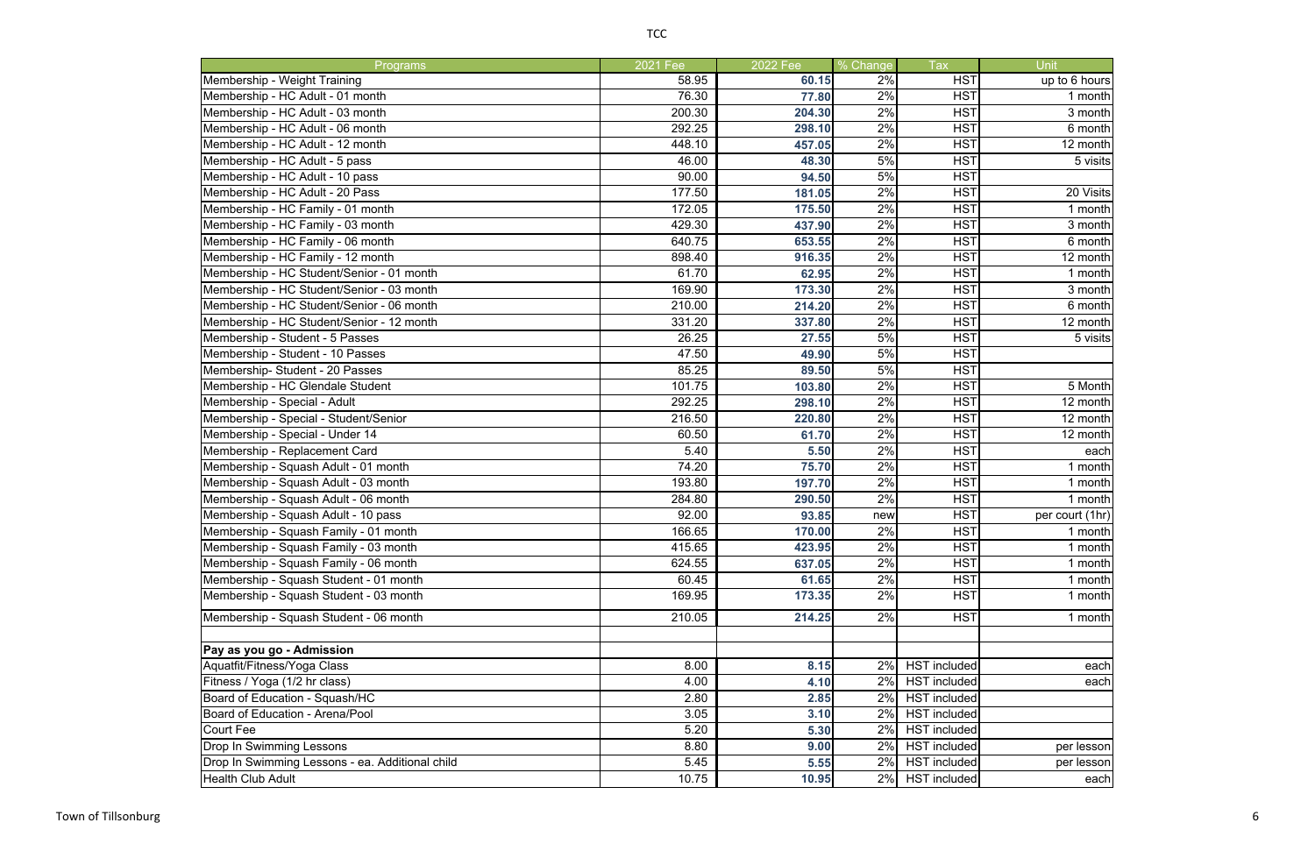| <b>Programs</b>                                          | 2021 Fee | 2022 Fee | % Change | <b>Tax</b>          | Unit            |
|----------------------------------------------------------|----------|----------|----------|---------------------|-----------------|
| Membership - Weight Training                             | 58.95    | 60.15    | 2%       | <b>HST</b>          | up to 6 hours   |
| Membership - HC Adult - 01 month                         | 76.30    | 77.80    | 2%       | <b>HST</b>          | 1 month         |
| Membership - HC Adult - 03 month                         | 200.30   | 204.30   | 2%       | <b>HST</b>          | 3 month         |
| Membership - HC Adult - 06 month                         | 292.25   | 298.10   | 2%       | <b>HST</b>          | 6 month         |
| Membership - HC Adult - 12 month                         | 448.10   | 457.05   | 2%       | <b>HST</b>          | 12 month        |
| Membership - HC Adult - 5 pass                           | 46.00    | 48.30    | 5%       | <b>HST</b>          | 5 visits        |
| Membership - HC Adult - 10 pass                          | 90.00    | 94.50    | 5%       | <b>HST</b>          |                 |
| Membership - HC Adult - 20 Pass                          | 177.50   | 181.05   | 2%       | <b>HST</b>          | 20 Visits       |
| Membership - HC Family - 01 month                        | 172.05   | 175.50   | 2%       | <b>HST</b>          | 1 month         |
| Membership - HC Family - 03 month                        | 429.30   | 437.90   | 2%       | <b>HST</b>          | 3 month         |
| Membership - HC Family - 06 month                        | 640.75   | 653.55   | 2%       | <b>HST</b>          | 6 month         |
| Membership - HC Family - 12 month                        | 898.40   | 916.35   | 2%       | <b>HST</b>          | 12 month        |
| Membership - HC Student/Senior - 01 month                | 61.70    | 62.95    | 2%       | <b>HST</b>          | 1 month         |
| Membership - HC Student/Senior - 03 month                | 169.90   | 173.30   | 2%       | <b>HST</b>          | 3 month         |
| Membership - HC Student/Senior - 06 month                | 210.00   | 214.20   | 2%       | <b>HST</b>          | 6 month         |
| Membership - HC Student/Senior - 12 month                | 331.20   | 337.80   | 2%       | <b>HST</b>          | 12 month        |
| Membership - Student - 5 Passes                          | 26.25    | 27.55    | 5%       | <b>HST</b>          | 5 visits        |
| Membership - Student - 10 Passes                         | 47.50    | 49.90    | 5%       | <b>HST</b>          |                 |
| Membership-Student - 20 Passes                           | 85.25    | 89.50    | 5%       | <b>HST</b>          |                 |
| Membership - HC Glendale Student                         | 101.75   | 103.80   | 2%       | <b>HST</b>          | 5 Month         |
| Membership - Special - Adult                             | 292.25   | 298.10   | 2%       | <b>HST</b>          | 12 month        |
| Membership - Special - Student/Senior                    | 216.50   | 220.80   | 2%       | <b>HST</b>          | 12 month        |
| Membership - Special - Under 14                          | 60.50    | 61.70    | 2%       | <b>HST</b>          | 12 month        |
| Membership - Replacement Card                            | 5.40     | 5.50     | 2%       | <b>HST</b>          | each            |
| Membership - Squash Adult - 01 month                     | 74.20    | 75.70    | 2%       | <b>HST</b>          | 1 month         |
| Membership - Squash Adult - 03 month                     | 193.80   | 197.70   | 2%       | <b>HST</b>          | 1 month         |
| Membership - Squash Adult - 06 month                     | 284.80   | 290.50   | 2%       | <b>HST</b>          | 1 month         |
| Membership - Squash Adult - 10 pass                      | 92.00    | 93.85    | new      | <b>HST</b>          | per court (1hr) |
| Membership - Squash Family - 01 month                    | 166.65   | 170.00   | 2%       | <b>HST</b>          | 1 month         |
| Membership - Squash Family - 03 month                    | 415.65   | 423.95   | 2%       | <b>HST</b>          | 1 month         |
| Membership - Squash Family - 06 month                    | 624.55   | 637.05   | 2%       | <b>HST</b>          | 1 month         |
| Membership - Squash Student - 01 month                   | 60.45    | 61.65    | 2%       | <b>HST</b>          | 1 month         |
| Membership - Squash Student - 03 month                   | 169.95   | 173.35   | 2%       | <b>HST</b>          | 1 month         |
| Membership - Squash Student - 06 month                   | 210.05   | 214.25   | 2%       | <b>HST</b>          | 1 month         |
|                                                          |          |          |          |                     |                 |
| Pay as you go - Admission<br>Aquatfit/Fitness/Yoga Class | 8.00     |          |          | <b>HST</b> included |                 |
|                                                          |          | 8.15     | 2%       | <b>HST</b> included | each            |
| Fitness / Yoga (1/2 hr class)                            | 4.00     | 4.10     | 2%       | <b>HST</b> included | each            |
| Board of Education - Squash/HC                           | 2.80     | 2.85     | 2%       |                     |                 |
| Board of Education - Arena/Pool                          | 3.05     | 3.10     | 2%       | <b>HST</b> included |                 |
| Court Fee                                                | 5.20     | 5.30     | 2%       | <b>HST</b> included |                 |
| <b>Drop In Swimming Lessons</b>                          | 8.80     | 9.00     | 2%       | <b>HST</b> included | per lesson      |
| Drop In Swimming Lessons - ea. Additional child          | 5.45     | 5.55     | 2%       | <b>HST</b> included | per lesson      |
| <b>Health Club Adult</b>                                 | 10.75    | 10.95    | 2%       | HST included        | each            |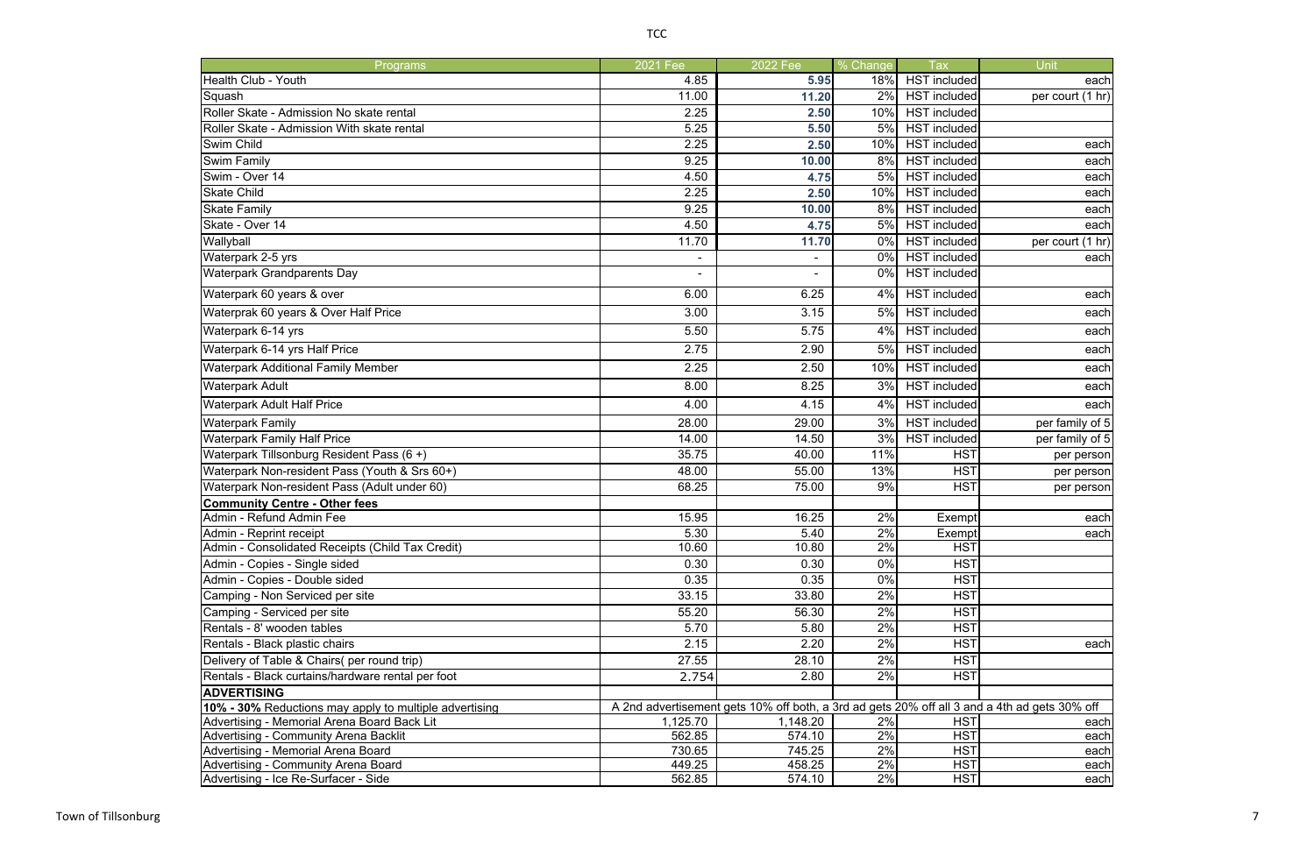| <b>Programs</b>                                                                                                    | 2021 Fee         | 2022 Fee         | % Change | <b>Tax</b>               | Unit             |  |  |
|--------------------------------------------------------------------------------------------------------------------|------------------|------------------|----------|--------------------------|------------------|--|--|
| Health Club - Youth                                                                                                | 4.85             | 5.95             | 18%      | <b>HST</b> included      | each             |  |  |
| Squash                                                                                                             | 11.00            | 11.20            | 2%       | <b>HST</b> included      | per court (1 hr) |  |  |
| Roller Skate - Admission No skate rental                                                                           | 2.25             | 2.50             | 10%      | <b>HST</b> included      |                  |  |  |
| Roller Skate - Admission With skate rental                                                                         | 5.25             | 5.50             | 5%       | <b>HST</b> included      |                  |  |  |
| Swim Child                                                                                                         | 2.25             | 2.50             | 10%      | <b>HST</b> included      | each             |  |  |
| Swim Family                                                                                                        | 9.25             | 10.00            | 8%       | <b>HST</b> included      | each             |  |  |
| Swim - Over 14                                                                                                     | 4.50             | 4.75             | 5%       | <b>HST</b> included      | each             |  |  |
| <b>Skate Child</b>                                                                                                 | 2.25             | 2.50             | 10%      | <b>HST</b> included      | each             |  |  |
| <b>Skate Family</b>                                                                                                | 9.25             | 10.00            | 8%       | <b>HST</b> included      | each             |  |  |
| Skate - Over 14                                                                                                    | 4.50             | 4.75             | 5%       | <b>HST</b> included      | each             |  |  |
| Wallyball                                                                                                          | 11.70            | 11.70            | 0%       | <b>HST</b> included      | per court (1 hr) |  |  |
| Waterpark 2-5 yrs                                                                                                  |                  | $\blacksquare$   | 0%       | <b>HST</b> included      | each             |  |  |
| <b>Waterpark Grandparents Day</b>                                                                                  |                  |                  | 0%       | <b>HST</b> included      |                  |  |  |
| Waterpark 60 years & over                                                                                          | 6.00             | 6.25             | 4%       | HST included             | each             |  |  |
| Waterprak 60 years & Over Half Price                                                                               | 3.00             | 3.15             | 5%       | <b>HST</b> included      | each             |  |  |
| Waterpark 6-14 yrs                                                                                                 | 5.50             | 5.75             | 4%       | <b>HST</b> included      | each             |  |  |
| Waterpark 6-14 yrs Half Price                                                                                      | 2.75             | 2.90             | 5%       | <b>HST</b> included      | each             |  |  |
| <b>Waterpark Additional Family Member</b>                                                                          | 2.25             | 2.50             | 10%      | <b>HST</b> included      | each             |  |  |
| <b>Waterpark Adult</b>                                                                                             | 8.00             | 8.25             | 3%       | <b>HST</b> included      | each             |  |  |
| <b>Waterpark Adult Half Price</b>                                                                                  | 4.00             | 4.15             | 4%       | <b>HST</b> included      | each             |  |  |
| <b>Waterpark Family</b>                                                                                            | 28.00            | 29.00            | 3%       | <b>HST</b> included      | per family of 5  |  |  |
| <b>Waterpark Family Half Price</b>                                                                                 | 14.00            | 14.50            | 3%       | <b>HST</b> included      | per family of 5  |  |  |
| Waterpark Tillsonburg Resident Pass (6+)                                                                           | 35.75            | 40.00            | 11%      | <b>HST</b>               | per person       |  |  |
| Waterpark Non-resident Pass (Youth & Srs 60+)                                                                      | 48.00            | 55.00            | 13%      | <b>HST</b>               | per person       |  |  |
| Waterpark Non-resident Pass (Adult under 60)                                                                       | 68.25            | 75.00            | 9%       | <b>HST</b>               | per person       |  |  |
| <b>Community Centre - Other fees</b>                                                                               |                  |                  |          |                          |                  |  |  |
| Admin - Refund Admin Fee                                                                                           | 15.95            | 16.25            | 2%       | Exempt                   | each             |  |  |
| Admin - Reprint receipt                                                                                            | 5.30             | 5.40             | 2%       | Exempt                   | each             |  |  |
| Admin - Consolidated Receipts (Child Tax Credit)                                                                   | 10.60            | 10.80            | 2%       | <b>HST</b>               |                  |  |  |
| Admin - Copies - Single sided                                                                                      | 0.30             | 0.30             | $0\%$    | <b>HST</b>               |                  |  |  |
| Admin - Copies - Double sided                                                                                      | 0.35             | 0.35             | 0%       | <b>HST</b>               |                  |  |  |
| Camping - Non Serviced per site                                                                                    | 33.15            | 33.80            | 2%       | <b>HST</b>               |                  |  |  |
| Camping - Serviced per site                                                                                        | 55.20            | 56.30            | 2%       | <b>HST</b>               |                  |  |  |
| Rentals - 8' wooden tables                                                                                         | 5.70             | 5.80             | 2%       | <b>HST</b>               |                  |  |  |
| Rentals - Black plastic chairs                                                                                     | 2.15             | 2.20             | 2%       | <b>HST</b>               | each             |  |  |
| Delivery of Table & Chairs( per round trip)                                                                        | 27.55            | 28.10            | 2%       | <b>HST</b>               |                  |  |  |
| Rentals - Black curtains/hardware rental per foot                                                                  | 2.754            | 2.80             | 2%       | <b>HST</b>               |                  |  |  |
| <b>ADVERTISING</b><br>A 2nd advertisement gets 10% off both, a 3rd ad gets 20% off all 3 and a 4th ad gets 30% off |                  |                  |          |                          |                  |  |  |
| 10% - 30% Reductions may apply to multiple advertising                                                             |                  |                  |          |                          |                  |  |  |
| Advertising - Memorial Arena Board Back Lit                                                                        | 1,125.70         | 1,148.20         | 2%       | <b>HST</b>               | each             |  |  |
| Advertising - Community Arena Backlit                                                                              | 562.85           | 574.10           | 2%       | <b>HST</b><br><b>HST</b> | each             |  |  |
| Advertising - Memorial Arena Board<br>Advertising - Community Arena Board                                          | 730.65<br>449.25 | 745.25<br>458.25 | 2%<br>2% | <b>HST</b>               | each<br>each     |  |  |
| Advertising - Ice Re-Surfacer - Side                                                                               | 562.85           | 574.10           | 2%       | <b>HST</b>               | each             |  |  |
|                                                                                                                    |                  |                  |          |                          |                  |  |  |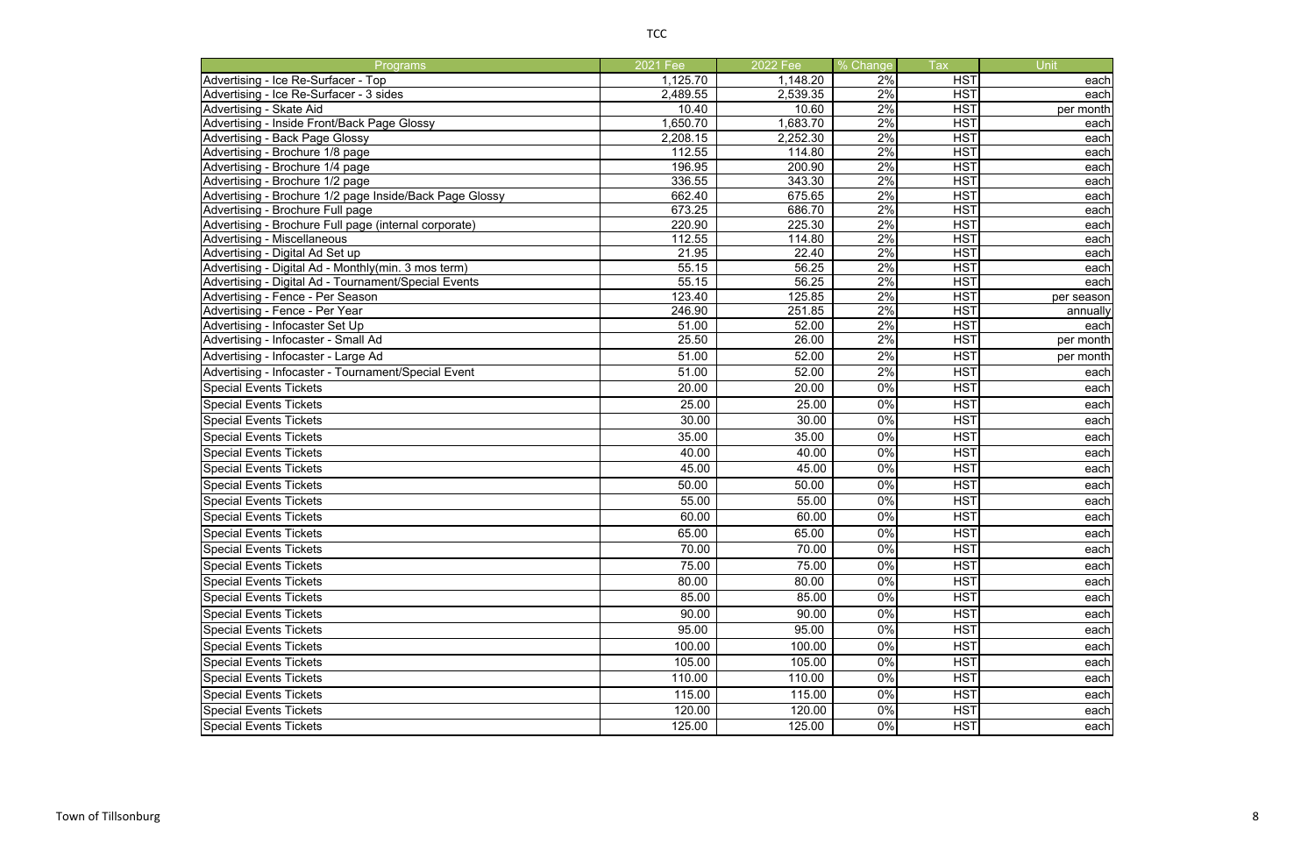| Programs                                                                               | 2021 Fee        | $2022$ Fee      | % Change | <b>Tax</b>               | Unit         |
|----------------------------------------------------------------------------------------|-----------------|-----------------|----------|--------------------------|--------------|
| Advertising - Ice Re-Surfacer - Top                                                    | 1,125.70        | 1,148.20        | 2%       | <b>HST</b>               | each         |
| Advertising - Ice Re-Surfacer - 3 sides                                                | 2,489.55        | 2,539.35        | 2%       | <b>HST</b>               | each         |
| Advertising - Skate Aid                                                                | 10.40           | 10.60           | 2%       | <b>HST</b>               | per month    |
| Advertising - Inside Front/Back Page Glossy                                            | 1,650.70        | 1,683.70        | 2%       | <b>HST</b>               | each         |
| <b>Advertising - Back Page Glossy</b>                                                  | 2,208.15        | 2,252.30        | 2%       | <b>HST</b>               | each         |
| Advertising - Brochure 1/8 page                                                        | 112.55          | 114.80          | 2%       | <b>HST</b>               | each         |
| Advertising - Brochure 1/4 page                                                        | 196.95          | 200.90          | 2%       | <b>HST</b>               | each         |
| Advertising - Brochure 1/2 page                                                        | 336.55          | 343.30          | 2%       | <b>HST</b>               | each         |
| Advertising - Brochure 1/2 page Inside/Back Page Glossy                                | 662.40          | 675.65          | 2%       | <b>HST</b>               | each         |
| Advertising - Brochure Full page                                                       | 673.25          | 686.70          | 2%       | <b>HST</b>               | each         |
| Advertising - Brochure Full page (internal corporate)                                  | 220.90          | 225.30          | 2%       | <b>HST</b>               | each         |
| <b>Advertising - Miscellaneous</b>                                                     | 112.55<br>21.95 | 114.80<br>22.40 | 2%<br>2% | <b>HST</b><br><b>HST</b> | each         |
| Advertising - Digital Ad Set up<br>Advertising - Digital Ad - Monthly(min. 3 mos term) |                 | 56.25           | 2%       | <b>HST</b>               | each         |
| Advertising - Digital Ad - Tournament/Special Events                                   | 55.15<br>55.15  | 56.25           | 2%       | <b>HST</b>               | each<br>each |
| Advertising - Fence - Per Season                                                       | 123.40          | 125.85          | 2%       | <b>HST</b>               | per season   |
| Advertising - Fence - Per Year                                                         | 246.90          | 251.85          | 2%       | <b>HST</b>               | annually     |
| Advertising - Infocaster Set Up                                                        | 51.00           | 52.00           | 2%       | <b>HST</b>               | each         |
| Advertising - Infocaster - Small Ad                                                    | 25.50           | 26.00           | 2%       | <b>HST</b>               | per month    |
| Advertising - Infocaster - Large Ad                                                    | 51.00           | 52.00           | 2%       | <b>HST</b>               | per month    |
| Advertising - Infocaster - Tournament/Special Event                                    | 51.00           | 52.00           | 2%       | <b>HST</b>               | each         |
| <b>Special Events Tickets</b>                                                          | 20.00           | 20.00           | 0%       | <b>HST</b>               | each         |
|                                                                                        | 25.00           |                 | 0%       |                          |              |
| <b>Special Events Tickets</b>                                                          |                 | 25.00           |          | <b>HST</b>               | each         |
| <b>Special Events Tickets</b>                                                          | 30.00           | 30.00           | 0%       | <b>HST</b>               | each         |
| <b>Special Events Tickets</b>                                                          | 35.00           | 35.00           | 0%       | <b>HST</b>               | each         |
| <b>Special Events Tickets</b>                                                          | 40.00           | 40.00           | 0%       | <b>HST</b>               | each         |
| <b>Special Events Tickets</b>                                                          | 45.00           | 45.00           | 0%       | <b>HST</b>               | each         |
| <b>Special Events Tickets</b>                                                          | 50.00           | 50.00           | 0%       | <b>HST</b>               | each         |
| <b>Special Events Tickets</b>                                                          | 55.00           | 55.00           | 0%       | <b>HST</b>               | each         |
| <b>Special Events Tickets</b>                                                          | 60.00           | 60.00           | 0%       | <b>HST</b>               | each         |
| <b>Special Events Tickets</b>                                                          | 65.00           | 65.00           | 0%       | <b>HST</b>               | each         |
| <b>Special Events Tickets</b>                                                          | 70.00           | 70.00           | 0%       | <b>HST</b>               | each         |
| <b>Special Events Tickets</b>                                                          | 75.00           | 75.00           | $0\%$    | <b>HST</b>               | each         |
| <b>Special Events Tickets</b>                                                          | 80.00           | 80.00           | 0%       | <b>HST</b>               | each         |
| <b>Special Events Tickets</b>                                                          | 85.00           | 85.00           | 0%       | <b>HST</b>               | each         |
| <b>Special Events Tickets</b>                                                          | 90.00           | 90.00           | 0%       | <b>HST</b>               | each         |
| <b>Special Events Tickets</b>                                                          | 95.00           | 95.00           | 0%       | <b>HST</b>               | each         |
| <b>Special Events Tickets</b>                                                          | 100.00          | 100.00          | 0%       | <b>HST</b>               | each         |
| <b>Special Events Tickets</b>                                                          | 105.00          | 105.00          | 0%       | <b>HST</b>               | each         |
| <b>Special Events Tickets</b>                                                          | 110.00          | 110.00          | 0%       | <b>HST</b>               | each         |
|                                                                                        |                 |                 |          |                          |              |
| <b>Special Events Tickets</b>                                                          | 115.00          | 115.00          | 0%       | <b>HST</b>               | each         |
| <b>Special Events Tickets</b>                                                          | 120.00          | 120.00          | 0%       | <b>HST</b>               | each         |
| <b>Special Events Tickets</b>                                                          | 125.00          | 125.00          | $0\%$    | <b>HST</b>               | each         |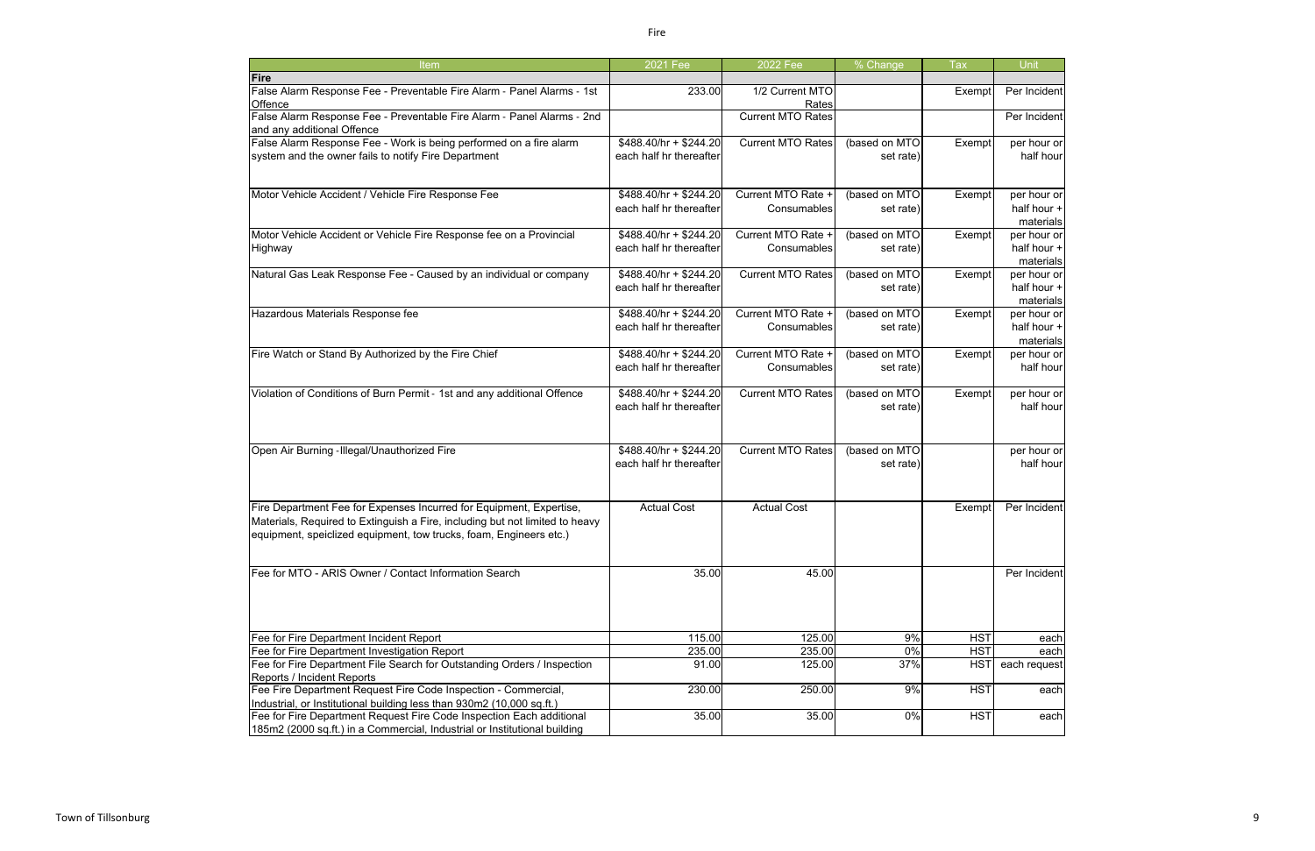| Item                                                                                                                                               | 2021 Fee                                          | 2022 Fee                 | % Change                   | <b>Tax</b> | Unit                     |
|----------------------------------------------------------------------------------------------------------------------------------------------------|---------------------------------------------------|--------------------------|----------------------------|------------|--------------------------|
| Fire                                                                                                                                               |                                                   |                          |                            |            |                          |
| False Alarm Response Fee - Preventable Fire Alarm - Panel Alarms - 1st<br>Offence                                                                  | 233.00                                            | 1/2 Current MTO<br>Rates |                            | Exempt     | Per Incident             |
| False Alarm Response Fee - Preventable Fire Alarm - Panel Alarms - 2nd<br>and any additional Offence                                               |                                                   | <b>Current MTO Rates</b> |                            |            | Per Incident             |
| False Alarm Response Fee - Work is being performed on a fire alarm                                                                                 | $$488.40/hr + $244.20$                            | <b>Current MTO Rates</b> | (based on MTO              | Exempt     | per hour or              |
| system and the owner fails to notify Fire Department                                                                                               | each half hr thereafter                           |                          | set rate)                  |            | half hour                |
| Motor Vehicle Accident / Vehicle Fire Response Fee                                                                                                 | $$488.40/hr + $244.20$                            | Current MTO Rate +       | (based on MTO              | Exempt     | per hour or              |
|                                                                                                                                                    | each half hr thereafter                           | Consumables              | set rate)                  |            | half hour +<br>materials |
| Motor Vehicle Accident or Vehicle Fire Response fee on a Provincial                                                                                | $$488.40/hr + $244.20$                            | Current MTO Rate +       | (based on MTO              | Exempt     | per hour or              |
| Highway                                                                                                                                            | each half hr thereafter                           | Consumables              | set rate)                  |            | half hour +<br>materials |
| Natural Gas Leak Response Fee - Caused by an individual or company                                                                                 | \$488.40/hr + \$244.20                            | <b>Current MTO Rates</b> | (based on MTO              | Exempt     | per hour or              |
|                                                                                                                                                    | each half hr thereafter                           |                          | set rate)                  |            | half hour +              |
|                                                                                                                                                    |                                                   |                          |                            |            | materials                |
| Hazardous Materials Response fee                                                                                                                   | $$488.40/hr + $244.20$                            | Current MTO Rate +       | (based on MTO              | Exempt     | per hour or              |
|                                                                                                                                                    | each half hr thereafter                           | Consumables              | set rate)                  |            | half hour +              |
|                                                                                                                                                    |                                                   |                          |                            |            | materials                |
| Fire Watch or Stand By Authorized by the Fire Chief                                                                                                | $$488.40/hr + $244.20$                            | Current MTO Rate +       | (based on MTO              | Exempt     | per hour or              |
|                                                                                                                                                    | each half hr thereafter                           | Consumables              | set rate)                  |            | half hour                |
| Violation of Conditions of Burn Permit - 1st and any additional Offence                                                                            | $$488.40/hr + $244.20$<br>each half hr thereafter | <b>Current MTO Rates</b> | (based on MTO<br>set rate) | Exempt     | per hour or<br>half hour |
| Open Air Burning - Illegal/Unauthorized Fire                                                                                                       | \$488.40/hr + \$244.20                            | <b>Current MTO Rates</b> | (based on MTO              |            | per hour or              |
|                                                                                                                                                    | each half hr thereafter                           |                          | set rate)                  |            | half hour                |
| Fire Department Fee for Expenses Incurred for Equipment, Expertise,                                                                                | <b>Actual Cost</b>                                | <b>Actual Cost</b>       |                            | Exempt     | Per Incident             |
| Materials, Required to Extinguish a Fire, including but not limited to heavy<br>equipment, speiclized equipment, tow trucks, foam, Engineers etc.) |                                                   |                          |                            |            |                          |
| Fee for MTO - ARIS Owner / Contact Information Search                                                                                              | 35.00                                             | 45.00                    |                            |            | Per Incident             |
| Fee for Fire Department Incident Report                                                                                                            | 115.00                                            | 125.00                   | 9%                         | <b>HST</b> | each                     |
| Fee for Fire Department Investigation Report                                                                                                       | 235.00                                            | 235.00                   | $\overline{0\%}$           | <b>HST</b> | each                     |
| Fee for Fire Department File Search for Outstanding Orders / Inspection                                                                            | 91.00                                             | 125.00                   | 37%                        | <b>HST</b> | each request             |
| Reports / Incident Reports                                                                                                                         |                                                   |                          |                            |            |                          |
| Fee Fire Department Request Fire Code Inspection - Commercial,<br>Industrial, or Institutional building less than 930m2 (10,000 sq.ft.)            | 230.00                                            | 250.00                   | 9%                         | <b>HST</b> | each                     |
| Fee for Fire Department Request Fire Code Inspection Each additional                                                                               | 35.00                                             | 35.00                    | 0%                         | <b>HST</b> | each                     |
| 185m2 (2000 sq.ft.) in a Commercial, Industrial or Institutional building                                                                          |                                                   |                          |                            |            |                          |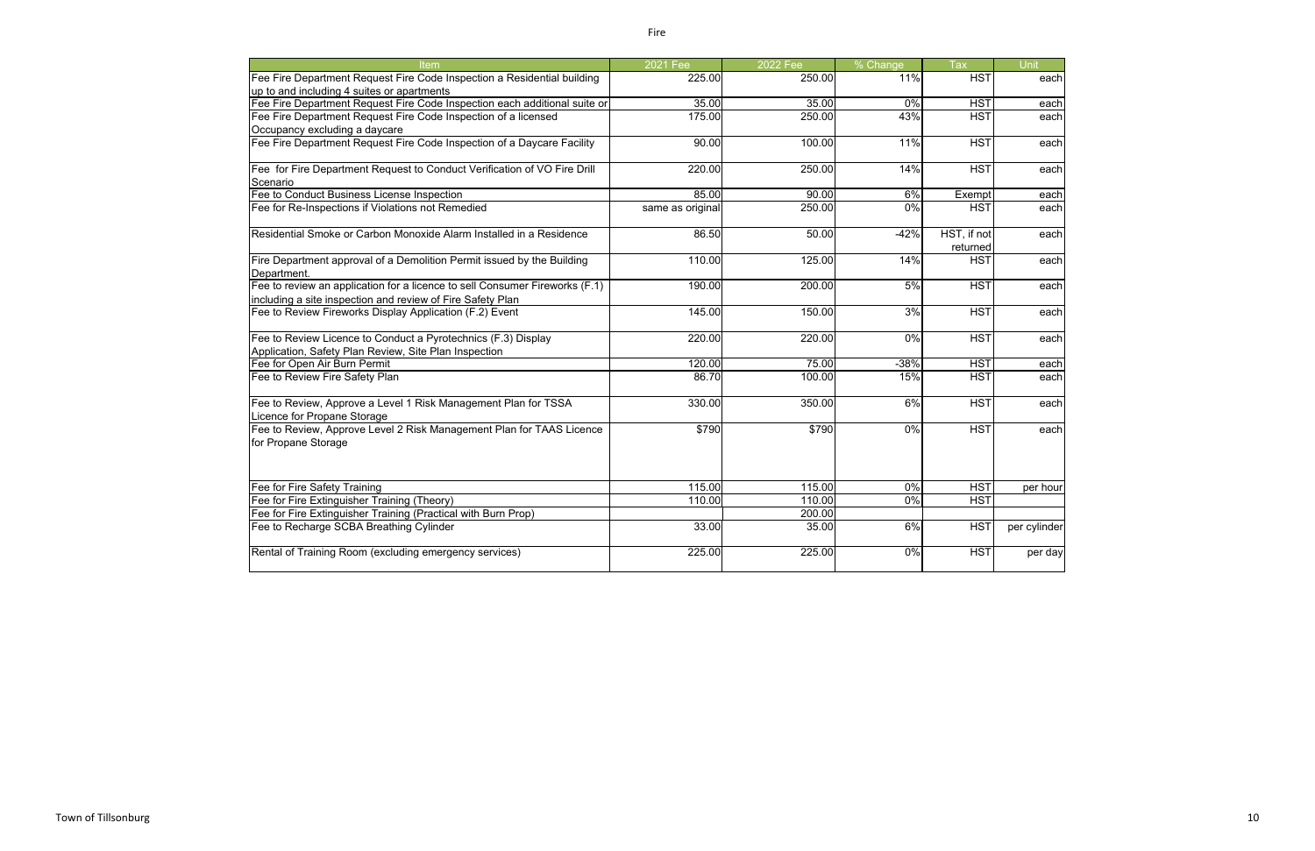| Item                                                                                          | 2021 Fee         | <b>2022 Fee</b> | % Change | <b>Tax</b>              | Unit         |
|-----------------------------------------------------------------------------------------------|------------------|-----------------|----------|-------------------------|--------------|
| Fee Fire Department Request Fire Code Inspection a Residential building                       | 225.00           | 250.00          | 11%      | <b>HST</b>              | each         |
| up to and including 4 suites or apartments                                                    |                  |                 |          |                         |              |
| Fee Fire Department Request Fire Code Inspection each additional suite or                     | 35.00            | 35.00           | 0%       | <b>HST</b>              | each         |
| Fee Fire Department Request Fire Code Inspection of a licensed                                | 175.00           | 250.00          | 43%      | <b>HST</b>              | each         |
| Occupancy excluding a daycare                                                                 |                  |                 |          |                         |              |
| Fee Fire Department Request Fire Code Inspection of a Daycare Facility                        | 90.00            | 100.00          | 11%      | <b>HST</b>              | each         |
| Fee for Fire Department Request to Conduct Verification of VO Fire Drill                      | 220.00           | 250.00          | 14%      | <b>HST</b>              | each         |
| Scenario                                                                                      |                  |                 |          |                         |              |
| Fee to Conduct Business License Inspection                                                    | 85.00            | 90.00           | 6%       | Exempt                  | each         |
| Fee for Re-Inspections if Violations not Remedied                                             | same as original | 250.00          | $0\%$    | <b>HST</b>              | each         |
| Residential Smoke or Carbon Monoxide Alarm Installed in a Residence                           | 86.50            | 50.00           | $-42%$   | HST, if not<br>returned | each         |
| Fire Department approval of a Demolition Permit issued by the Building<br>Department.         | 110.00           | 125.00          | 14%      | <b>HST</b>              | each         |
| Fee to review an application for a licence to sell Consumer Fireworks (F.1)                   | 190.00           | 200.00          | 5%       | <b>HST</b>              | each         |
| including a site inspection and review of Fire Safety Plan                                    |                  |                 |          |                         |              |
| Fee to Review Fireworks Display Application (F.2) Event                                       | 145.00           | 150.00          | 3%       | <b>HST</b>              | each         |
| Fee to Review Licence to Conduct a Pyrotechnics (F.3) Display                                 | 220.00           | 220.00          | $0\%$    | <b>HST</b>              | each         |
| Application, Safety Plan Review, Site Plan Inspection                                         |                  |                 |          |                         |              |
| Fee for Open Air Burn Permit                                                                  | 120.00           | 75.00           | $-38%$   | HS <sub>1</sub>         | each         |
| Fee to Review Fire Safety Plan                                                                | 86.70            | 100.00          | 15%      | $\overline{HSI}$        | each         |
| Fee to Review, Approve a Level 1 Risk Management Plan for TSSA<br>Licence for Propane Storage | 330.00           | 350.00          | 6%       | <b>HST</b>              | each         |
| Fee to Review, Approve Level 2 Risk Management Plan for TAAS Licence<br>for Propane Storage   | \$790            | \$790           | 0%       | <b>HST</b>              | each         |
| Fee for Fire Safety Training                                                                  | 115.00           | 115.00          | 0%       | <b>HST</b>              | per hour     |
| Fee for Fire Extinguisher Training (Theory)                                                   | 110.00           | 110.00          | 0%       | HS <sub>1</sub>         |              |
| Fee for Fire Extinguisher Training (Practical with Burn Prop)                                 |                  | 200.00          |          |                         |              |
| Fee to Recharge SCBA Breathing Cylinder                                                       | 33.00            | 35.00           | 6%       | <b>HST</b>              | per cylinder |
| Rental of Training Room (excluding emergency services)                                        | 225.00           | 225.00          | 0%       | <b>HST</b>              | per day      |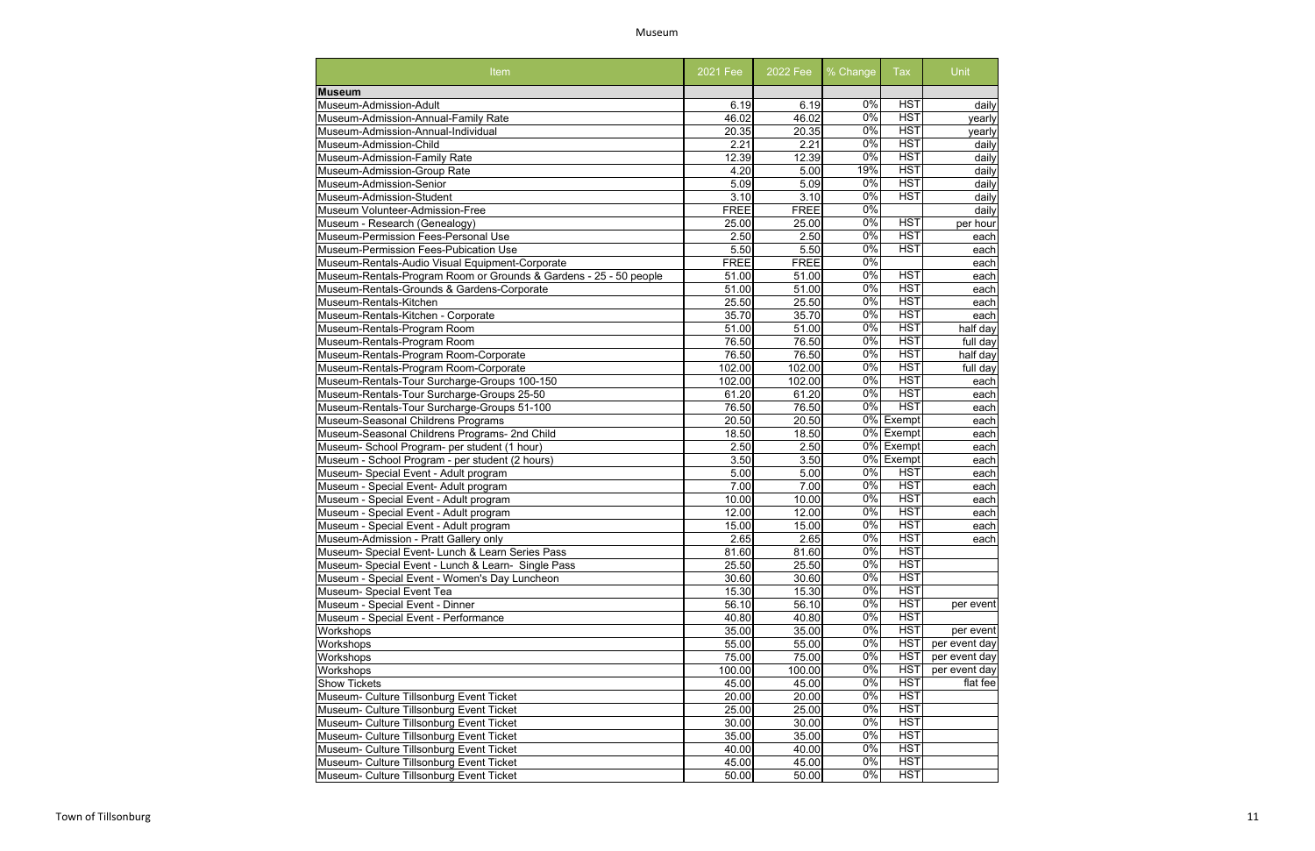# Museum

| Item                                                              | 2021 Fee    | 2022 Fee    | % Change         | Tax        | Unit          |
|-------------------------------------------------------------------|-------------|-------------|------------------|------------|---------------|
| <b>Museum</b>                                                     |             |             |                  |            |               |
| Museum-Admission-Adult                                            | 6.19        | 6.19        | 0%               | <b>HST</b> | daily         |
| Museum-Admission-Annual-Family Rate                               | 46.02       | 46.02       | $0\%$            | <b>HST</b> | yearly        |
| Museum-Admission-Annual-Individual                                | 20.35       | 20.35       | $0\%$            | <b>HST</b> | yearly        |
| Museum-Admission-Child                                            | 2.21        | 2.21        | $\overline{0\%}$ | <b>HST</b> | daily         |
| Museum-Admission-Family Rate                                      | 12.39       | 12.39       | $0\%$            | <b>HST</b> | daily         |
| Museum-Admission-Group Rate                                       | 4.20        | 5.00        | 19%              | <b>HST</b> | daily         |
| Museum-Admission-Senior                                           | 5.09        | 5.09        | $0\%$            | <b>HST</b> | daily         |
| Museum-Admission-Student                                          | 3.10        | 3.10        | $0\%$            | <b>HST</b> | daily         |
| Museum Volunteer-Admission-Free                                   | <b>FREE</b> | <b>FREE</b> | $0\%$            |            | daily         |
| Museum - Research (Genealogy)                                     | 25.00       | 25.00       | $\overline{0\%}$ | <b>HST</b> | per hour      |
| Museum-Permission Fees-Personal Use                               | 2.50        | 2.50        | $0\%$            | HST        | each          |
| Museum-Permission Fees-Pubication Use                             | 5.50        | 5.50        | $0\%$            | <b>HST</b> | each          |
| Museum-Rentals-Audio Visual Equipment-Corporate                   | <b>FREE</b> | <b>FREE</b> | 0%               |            | each          |
| Museum-Rentals-Program Room or Grounds & Gardens - 25 - 50 people | 51.00       | 51.00       | 0%               | <b>HST</b> | each          |
| Museum-Rentals-Grounds & Gardens-Corporate                        | 51.00       | 51.00       | 0%               | <b>HST</b> | each          |
| Museum-Rentals-Kitchen                                            | 25.50       | 25.50       | $0\%$            | <b>HST</b> | each          |
| Museum-Rentals-Kitchen - Corporate                                | 35.70       | 35.70       | $0\%$            | <b>HST</b> | each          |
| Museum-Rentals-Program Room                                       | 51.00       | 51.00       | 0%               | <b>HST</b> | half day      |
| Museum-Rentals-Program Room                                       | 76.50       | 76.50       | $0\%$            | <b>HST</b> | full day      |
| Museum-Rentals-Program Room-Corporate                             | 76.50       | 76.50       | $0\%$            | <b>HST</b> | half day      |
| Museum-Rentals-Program Room-Corporate                             | 102.00      | 102.00      | $0\%$            | <b>HST</b> | full day      |
| Museum-Rentals-Tour Surcharge-Groups 100-150                      | 102.00      | 102.00      | $\overline{0\%}$ | <b>HST</b> | each          |
| Museum-Rentals-Tour Surcharge-Groups 25-50                        | 61.20       | 61.20       | $\overline{0\%}$ | <b>HST</b> | each          |
| Museum-Rentals-Tour Surcharge-Groups 51-100                       | 76.50       | 76.50       | $\overline{0\%}$ | <b>HST</b> | each          |
| Museum-Seasonal Childrens Programs                                | 20.50       | 20.50       |                  | 0% Exempt  | each          |
| Museum-Seasonal Childrens Programs- 2nd Child                     | 18.50       | 18.50       |                  | 0% Exempt  | each          |
| Museum- School Program- per student (1 hour)                      | 2.50        | 2.50        |                  | 0% Exempt  | each          |
| Museum - School Program - per student (2 hours)                   | 3.50        | 3.50        |                  | 0% Exempt  | each          |
| Museum- Special Event - Adult program                             | 5.00        | 5.00        | $\overline{0\%}$ | <b>HST</b> | each          |
| Museum - Special Event- Adult program                             | 7.00        | 7.00        | $0\%$            | <b>HST</b> |               |
|                                                                   | 10.00       | 10.00       | $0\%$            | HST        | each          |
| Museum - Special Event - Adult program                            |             |             | $\overline{0\%}$ | <b>HST</b> | each          |
| Museum - Special Event - Adult program                            | 12.00       | 12.00       | 0%               | <b>HST</b> | each          |
| Museum - Special Event - Adult program                            | 15.00       | 15.00       |                  |            | each          |
| Museum-Admission - Pratt Gallery only                             | 2.65        | 2.65        | $0\%$            | <b>HST</b> | each          |
| Museum- Special Event- Lunch & Learn Series Pass                  | 81.60       | 81.60       | 0%               | <b>HST</b> |               |
| Museum- Special Event - Lunch & Learn- Single Pass                | 25.50       | 25.50       | 0%               | <b>HST</b> |               |
| Museum - Special Event - Women's Day Luncheon                     | 30.60       | 30.60       | $\overline{0\%}$ | <b>HST</b> |               |
| Museum- Special Event Tea                                         | 15.30       | 15.30       | 0%               | <b>HST</b> |               |
| Museum - Special Event - Dinner                                   | 56.10       | 56.10       | $0\%$            | <b>HST</b> | per event     |
| Museum - Special Event - Performance                              | 40.80       | 40.80       | $\overline{0\%}$ | <b>HST</b> |               |
| Workshops                                                         | 35.00       | 35.00       | $\overline{0\%}$ | <b>HST</b> | per event     |
| Workshops                                                         | 55.00       | 55.00       | $0\%$            | <b>HST</b> | per event day |
| Workshops                                                         | 75.00       | 75.00       | $\overline{0\%}$ | <b>HST</b> | per event day |
| Workshops                                                         | 100.00      | 100.00      | $\overline{0\%}$ | <b>HST</b> | per event day |
| <b>Show Tickets</b>                                               | 45.00       | 45.00       | $\overline{0\%}$ | <b>HST</b> | flat fee      |
| Museum- Culture Tillsonburg Event Ticket                          | 20.00       | 20.00       | $\overline{0\%}$ | <b>HST</b> |               |
| Museum- Culture Tillsonburg Event Ticket                          | 25.00       | 25.00       | $\overline{0\%}$ | <b>HST</b> |               |
| Museum- Culture Tillsonburg Event Ticket                          | 30.00       | 30.00       | $\overline{0\%}$ | <b>HST</b> |               |
| Museum- Culture Tillsonburg Event Ticket                          | 35.00       | 35.00       | $\overline{0\%}$ | <b>HST</b> |               |
| Museum- Culture Tillsonburg Event Ticket                          | 40.00       | 40.00       | $\overline{0\%}$ | <b>HST</b> |               |
| Museum- Culture Tillsonburg Event Ticket                          |             | 45.00       | 0%               | <b>HST</b> |               |
|                                                                   | 45.00       |             |                  | <b>HST</b> |               |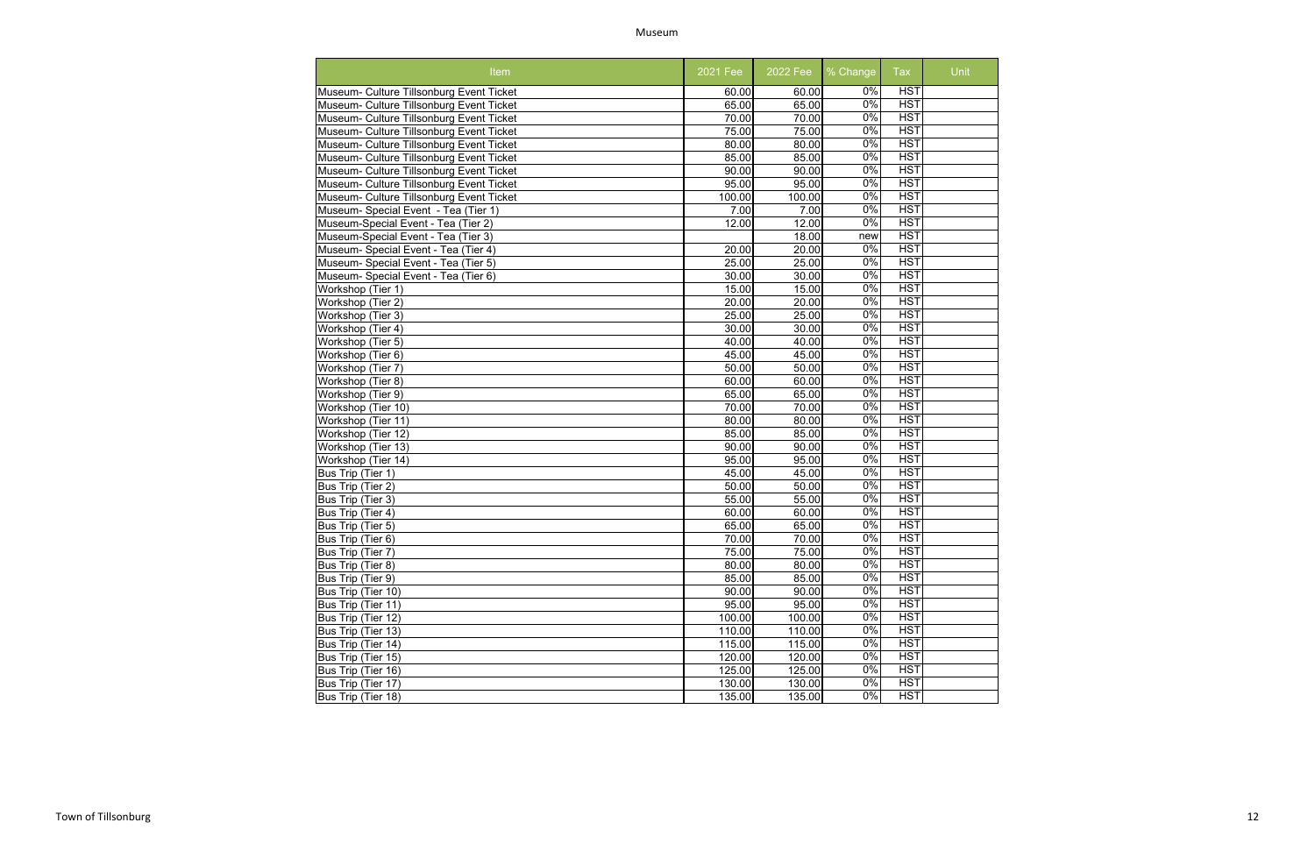Museum

| <b>Item</b>                              | 2021 Fee           | 2022 Fee | % Change         | <b>Tax</b> | Unit |
|------------------------------------------|--------------------|----------|------------------|------------|------|
| Museum- Culture Tillsonburg Event Ticket | 60.00              | 60.00    | $0\%$            | <b>HST</b> |      |
| Museum- Culture Tillsonburg Event Ticket | 65.00              | 65.00    | $0\%$            | <b>HST</b> |      |
| Museum- Culture Tillsonburg Event Ticket | 70.00              | 70.00    | 0%               | <b>HST</b> |      |
| Museum- Culture Tillsonburg Event Ticket | 75.00              | 75.00    | 0%               | <b>HST</b> |      |
| Museum- Culture Tillsonburg Event Ticket | 80.00              | 80.00    | $\overline{0\%}$ | <b>HST</b> |      |
| Museum- Culture Tillsonburg Event Ticket | 85.00              | 85.00    | 0%               | <b>HST</b> |      |
| Museum- Culture Tillsonburg Event Ticket | $\overline{90.00}$ | 90.00    | 0%               | <b>HST</b> |      |
| Museum- Culture Tillsonburg Event Ticket | 95.00              | 95.00    | $\overline{0\%}$ | <b>HST</b> |      |
| Museum- Culture Tillsonburg Event Ticket | 100.00             | 100.00   | $\overline{0\%}$ | <b>HST</b> |      |
| Museum- Special Event - Tea (Tier 1)     | 7.00               | 7.00     | $\overline{0\%}$ | <b>HST</b> |      |
| Museum-Special Event - Tea (Tier 2)      | 12.00              | 12.00    | $\overline{0\%}$ | <b>HST</b> |      |
| Museum-Special Event - Tea (Tier 3)      |                    | 18.00    | new              | <b>HST</b> |      |
| Museum- Special Event - Tea (Tier 4)     | 20.00              | 20.00    | 0%               | <b>HST</b> |      |
| Museum- Special Event - Tea (Tier 5)     | 25.00              | 25.00    | $\overline{0\%}$ | <b>HST</b> |      |
| Museum- Special Event - Tea (Tier 6)     | 30.00              | 30.00    | 0%               | HST        |      |
| Workshop (Tier 1)                        | 15.00              | 15.00    | $\overline{0\%}$ | <b>HST</b> |      |
| $\overline{\text{W}}$ orkshop (Tier 2)   | 20.00              | 20.00    | $\overline{0\%}$ | <b>HST</b> |      |
| Workshop (Tier 3)                        | 25.00              | 25.00    | $0\%$            | <b>HST</b> |      |
| Workshop (Tier 4)                        | 30.00              | 30.00    | $0\%$            | <b>HST</b> |      |
| Workshop (Tier 5)                        | 40.00              | 40.00    | $0\%$            | HST        |      |
| Workshop (Tier 6)                        | 45.00              | 45.00    | $0\%$            | <b>HST</b> |      |
| Workshop (Tier 7)                        | 50.00              | 50.00    | $0\%$            | <b>HST</b> |      |
| Workshop (Tier 8)                        | 60.00              | 60.00    | $0\%$            | <b>HST</b> |      |
| Workshop (Tier 9)                        | 65.00              | 65.00    | $0\%$            | <b>HST</b> |      |
| Workshop (Tier 10)                       | 70.00              | 70.00    | 0%               | <b>HST</b> |      |
| Workshop (Tier 11)                       | 80.00              | 80.00    | 0%               | HST        |      |
| Workshop (Tier 12)                       | 85.00              | 85.00    | 0%               | <b>HST</b> |      |
| Workshop (Tier 13)                       | 90.00              | 90.00    | 0%               | HST        |      |
| Workshop (Tier 14)                       | 95.00              | 95.00    | $0\%$            | <b>HST</b> |      |
| Bus Trip (Tier 1)                        | 45.00              | 45.00    | $\overline{0\%}$ | <b>HST</b> |      |
| Bus Trip (Tier 2)                        | 50.00              | 50.00    | 0%               | <b>HST</b> |      |
| Bus Trip (Tier 3)                        | 55.00              | 55.00    | 0%               | <b>HST</b> |      |
| Bus Trip (Tier 4)                        | 60.00              | 60.00    | $\overline{0\%}$ | <b>HST</b> |      |
| Bus Trip (Tier 5)                        | 65.00              | 65.00    | $\overline{0\%}$ | HST        |      |
| Bus Trip (Tier 6)                        | 70.00              | 70.00    | $0\%$            | <b>HST</b> |      |
| Bus Trip (Tier 7)                        | 75.00              | 75.00    | 0%               | <b>HST</b> |      |
| Bus Trip (Tier 8)                        | 80.00              | 80.00    | $\overline{0\%}$ | <b>HST</b> |      |
| Bus Trip (Tier 9)                        | 85.00              | 85.00    | $\overline{0\%}$ | <b>HST</b> |      |
| Bus Trip (Tier 10)                       | 90.00              | 90.00    | $\overline{0\%}$ | HST        |      |
| Bus Trip (Tier 11)                       | 95.00              | 95.00    | 0%               | <b>HST</b> |      |
| Bus Trip (Tier 12)                       | 100.00             | 100.00   | 0%               | <b>HST</b> |      |
| Bus Trip (Tier 13)                       | 110.00             | 110.00   | 0%               | <b>HST</b> |      |
| Bus Trip (Tier 14)                       | 115.00             | 115.00   | $0\%$            | <b>HST</b> |      |
| Bus Trip (Tier 15)                       | 120.00             | 120.00   | 0%               | <b>HST</b> |      |
| Bus Trip (Tier 16)                       | 125.00             | 125.00   | 0%               | <b>HST</b> |      |
| Bus Trip (Tier 17)                       | 130.00             | 130.00   | 0%               | <b>HST</b> |      |
| Bus Trip (Tier 18)                       | 135.00             | 135.00   | $\overline{0\%}$ | <b>HST</b> |      |
|                                          |                    |          |                  |            |      |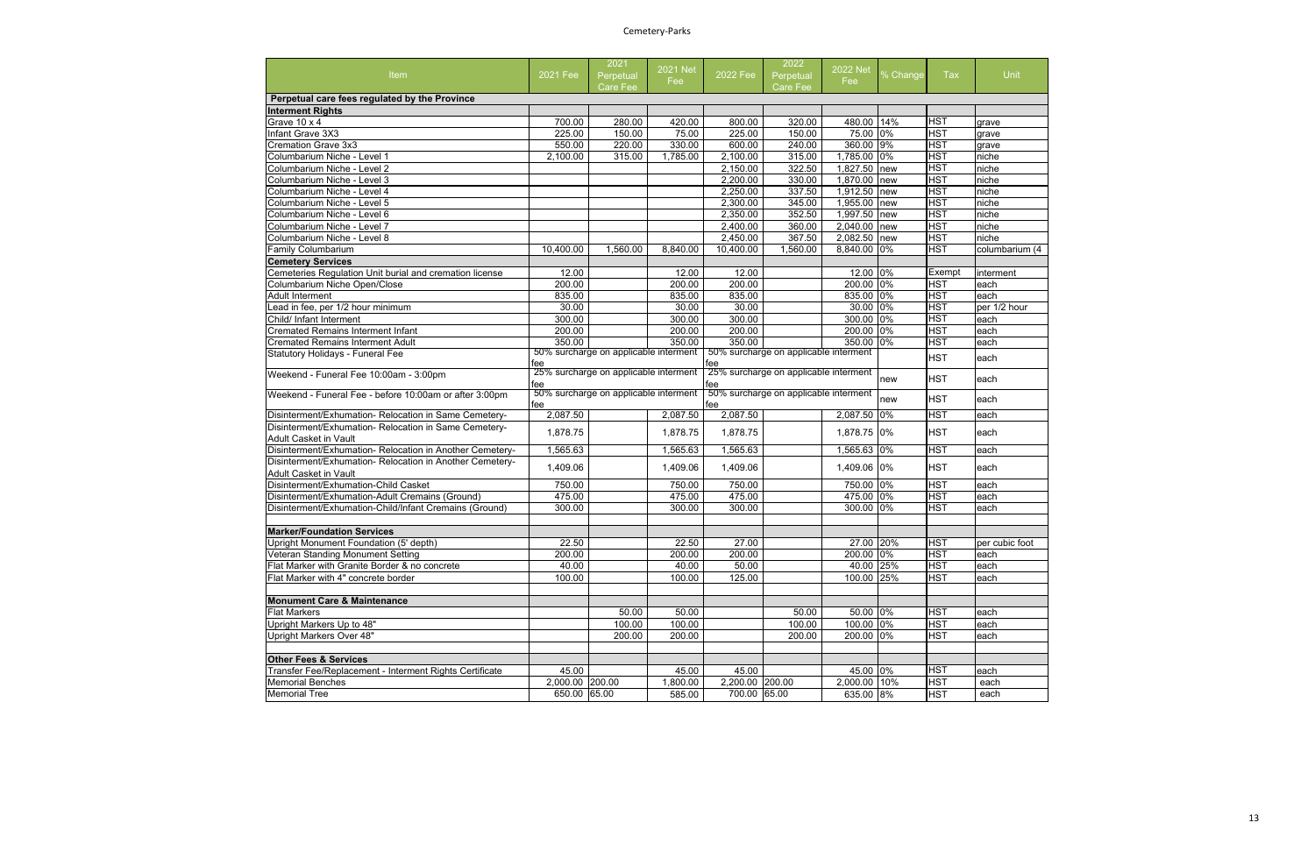# Cemetery-Parks

| Unit              |
|-------------------|
|                   |
|                   |
|                   |
| grave             |
| grave             |
| grave             |
| niche             |
| niche<br>niche    |
| niche             |
| niche             |
| niche             |
| niche             |
| niche             |
| columbarium (4    |
|                   |
| interment         |
| each              |
| each              |
| per 1/2 hour      |
| each              |
| each              |
| each              |
| each              |
| each              |
| each              |
| $\overline{each}$ |
| each              |
| $\overline{each}$ |
| each              |
| each              |
| each              |
| each              |
|                   |
|                   |
| per cubic foot    |
| each              |
| each              |
| each              |
|                   |
|                   |
| each              |
| each              |
| each              |
|                   |
|                   |
| each<br>each      |
| each              |
|                   |

| Item                                                                           | 2021 Fee                        | 2021<br>Perpetual<br>Care Fee         | 2021 Net<br>Fee    | 2022 Fee                        | 2022<br>Perpetual<br><b>Care Fee</b>  | <b>2022 Net</b><br>Fee:   | % Change | Tax                      | Unit           |
|--------------------------------------------------------------------------------|---------------------------------|---------------------------------------|--------------------|---------------------------------|---------------------------------------|---------------------------|----------|--------------------------|----------------|
| Perpetual care fees regulated by the Province                                  |                                 |                                       |                    |                                 |                                       |                           |          |                          |                |
| <b>Interment Rights</b>                                                        |                                 |                                       |                    |                                 |                                       |                           |          |                          |                |
| Grave 10 x 4                                                                   | 700.00                          | 280.00                                | 420.00             | 800.00                          | 320.00                                | 480.00 14%                |          | <b>HST</b>               | grave          |
| Infant Grave 3X3                                                               | 225.00                          | 150.00                                | 75.00              | 225.00                          | 150.00                                | 75.00 0%                  |          | <b>HST</b>               | grave          |
| <b>Cremation Grave 3x3</b>                                                     | 550.00                          | 220.00                                | 330.00             | 600.00                          | 240.00                                | 360.00 9%                 |          | <b>HST</b>               | grave          |
| Columbarium Niche - Level 1                                                    | 2,100.00                        | 315.00                                | 1,785.00           | $\overline{2,}100.00$           | 315.00                                | 1,785.00 0%               |          | <b>HST</b>               | niche          |
| Columbarium Niche - Level 2                                                    |                                 |                                       |                    | 2,150.00                        | 322.50                                | 1,827.50 new              |          | <b>HST</b>               | niche          |
| Columbarium Niche - Level 3                                                    |                                 |                                       |                    | 2,200.00                        | 330.00                                | 1,870.00                  | new      | <b>HST</b>               | niche          |
| Columbarium Niche - Level 4                                                    |                                 |                                       |                    | 2,250.00                        | 337.50                                | 1,912.50 new              |          | <b>HST</b>               | niche          |
| Columbarium Niche - Level 5                                                    |                                 |                                       |                    | 2,300.00                        | 345.00                                | 1,955.00                  | new      | <b>HST</b>               | niche          |
| Columbarium Niche - Level 6                                                    |                                 |                                       |                    | 2,350.00                        | 352.50                                | 1,997.50                  | new      | <b>HST</b>               | niche          |
| Columbarium Niche - Level 7                                                    |                                 |                                       |                    | 2,400.00                        | 360.00                                | 2,040.00                  | new      | <b>HST</b>               | niche          |
| Columbarium Niche - Level 8                                                    |                                 |                                       |                    | 2,450.00                        | 367.50                                | 2,082.50                  | new      | <b>HST</b>               | niche          |
| <b>Family Columbarium</b>                                                      | 10,400.00                       | 1,560.00                              | 8,840.00           | 10,400.00                       | 1,560.00                              | 8,840.00 0%               |          | <b>HST</b>               | columbarium (4 |
| <b>Cemetery Services</b>                                                       |                                 |                                       |                    |                                 |                                       |                           |          |                          |                |
| Cemeteries Regulation Unit burial and cremation license                        | 12.00                           |                                       | 12.00              | 12.00                           |                                       | 12.00 0%                  |          | Exempt                   | interment      |
| Columbarium Niche Open/Close                                                   | 200.00                          |                                       | 200.00             | 200.00                          |                                       | 200.00 0%                 |          | <b>HST</b>               | each           |
| <b>Adult Interment</b>                                                         | 835.00                          |                                       | 835.00             | 835.00                          |                                       | 835.00 0%                 |          | <b>HST</b>               | each           |
| Lead in fee, per 1/2 hour minimum                                              | 30.00                           |                                       | 30.00              | 30.00                           |                                       | 30.00 0%                  |          | <b>HST</b>               | per 1/2 hour   |
| Child/ Infant Interment                                                        | 300.00                          |                                       | 300.00             | 300.00                          |                                       | 300.00 0%                 |          | <b>HST</b>               | each           |
| <b>Cremated Remains Interment Infant</b>                                       | 200.00                          |                                       | 200.00             | 200.00                          |                                       | 200.00 0%                 |          | <b>HST</b>               | each           |
| <b>Cremated Remains Interment Adult</b>                                        | 350.00                          |                                       | 350.00             | 350.00                          |                                       | 350.00 0%                 |          | <b>HST</b>               | each           |
| Statutory Holidays - Funeral Fee                                               |                                 | 50% surcharge on applicable interment |                    |                                 | 50% surcharge on applicable interment |                           |          | <b>HST</b>               |                |
|                                                                                | fee<br>fee                      |                                       |                    |                                 |                                       |                           | each     |                          |                |
| Weekend - Funeral Fee 10:00am - 3:00pm                                         | fee                             | 25% surcharge on applicable interment |                    | fee                             | 25% surcharge on applicable interment |                           | new      | <b>HST</b>               | each           |
| Weekend - Funeral Fee - before 10:00am or after 3:00pm                         | fee                             | 50% surcharge on applicable interment |                    | fee                             | 50% surcharge on applicable interment |                           | new      | <b>HST</b>               | each           |
| Disinterment/Exhumation- Relocation in Same Cemetery-                          | 2,087.50                        |                                       | 2,087.50           | 2,087.50                        |                                       | 2,087.50 0%               |          | <b>HST</b>               | each           |
| Disinterment/Exhumation- Relocation in Same Cemetery-<br>Adult Casket in Vault | 1,878.75                        |                                       | 1,878.75           | 1,878.75                        |                                       | 1,878.75 0%               |          | <b>HST</b>               | each           |
| Disinterment/Exhumation- Relocation in Another Cemetery-                       | 1,565.63                        |                                       | 1,565.63           | 1,565.63                        |                                       | 1,565.63 0%               |          | <b>HST</b>               | each           |
| Disinterment/Exhumation-Relocation in Another Cemetery-                        |                                 |                                       |                    |                                 |                                       |                           |          |                          |                |
|                                                                                |                                 |                                       |                    |                                 |                                       |                           |          |                          |                |
| <b>Adult Casket in Vault</b>                                                   | 1,409.06                        |                                       | 1,409.06           | 1,409.06                        |                                       | 1,409.06 0%               |          | <b>HST</b>               | each           |
| Disinterment/Exhumation-Child Casket                                           | 750.00                          |                                       | 750.00             | 750.00                          |                                       | 750.00 0%                 |          | <b>HST</b>               | each           |
| Disinterment/Exhumation-Adult Cremains (Ground)                                | 475.00                          |                                       | 475.00             | 475.00                          |                                       | 475.00 0%                 |          | <b>HST</b>               | each           |
| Disinterment/Exhumation-Child/Infant Cremains (Ground)                         | 300.00                          |                                       | 300.00             | 300.00                          |                                       | 300.00 0%                 |          | <b>HST</b>               | each           |
| <b>Marker/Foundation Services</b>                                              |                                 |                                       |                    |                                 |                                       |                           |          |                          |                |
| Upright Monument Foundation (5' depth)                                         | 22.50                           |                                       | 22.50              | 27.00                           |                                       | 27.00 20%                 |          | HS I                     | per cubic foot |
| Veteran Standing Monument Setting                                              | 200.00                          |                                       | 200.00             | 200.00                          |                                       | 200.00 0%                 |          | <b>HST</b>               | each           |
| Flat Marker with Granite Border & no concrete                                  | 40.00                           |                                       | 40.00              | 50.00                           |                                       | 40.00 25%                 |          | <b>HST</b>               | each           |
| Flat Marker with 4" concrete border                                            | 100.00                          |                                       | 100.00             | 125.00                          |                                       | 100.00 25%                |          | <b>HST</b>               | each           |
| <b>Monument Care &amp; Maintenance</b>                                         |                                 |                                       |                    |                                 |                                       |                           |          |                          |                |
| <b>Flat Markers</b>                                                            |                                 | 50.00                                 | 50.00              |                                 | 50.00                                 | 50.00 0%                  |          | <b>HST</b>               | each           |
| Upright Markers Up to 48"                                                      |                                 | 100.00                                | 100.00             |                                 | 100.00                                | 100.00 0%                 |          | <b>HST</b>               | each           |
| Upright Markers Over 48"                                                       |                                 | 200.00                                | 200.00             |                                 | 200.00                                | 200.00 0%                 |          | <b>HST</b>               | each           |
| <b>Other Fees &amp; Services</b>                                               |                                 |                                       |                    |                                 |                                       |                           |          |                          |                |
| Transfer Fee/Replacement - Interment Rights Certificate                        | 45.00                           |                                       | 45.00              | 45.00                           |                                       | 45.00 0%                  |          | <b>HST</b>               | each           |
| <b>Memorial Benches</b><br><b>Memorial Tree</b>                                | 2,000.00 200.00<br>650.00 65.00 |                                       | 1,800.00<br>585.00 | 2,200.00 200.00<br>700.00 65.00 |                                       | 2,000.00 10%<br>635.00 8% |          | <b>HST</b><br><b>HST</b> | each<br>each   |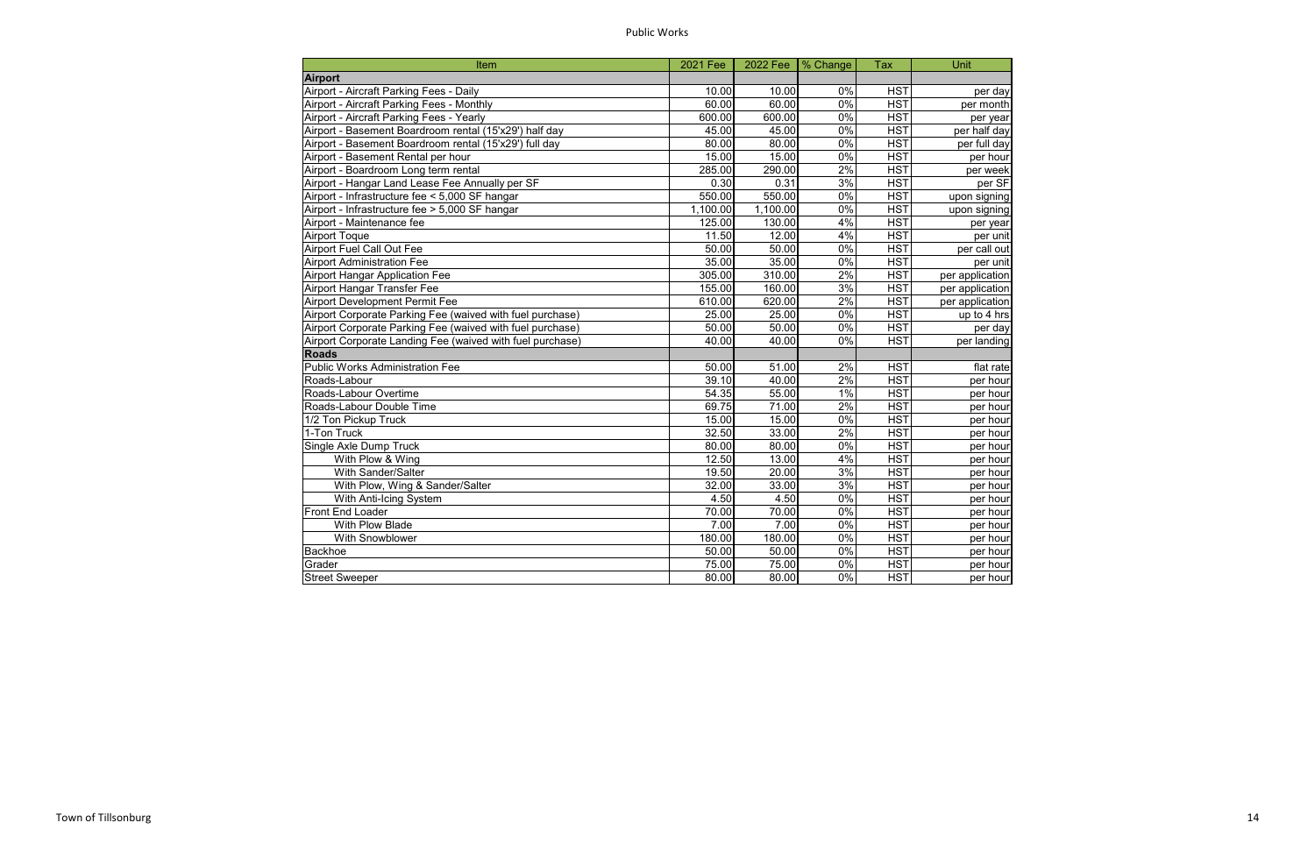Public Works

| Item                                                      | 2021 Fee | 2022 Fee   % Change |       | <b>Tax</b>       | Unit            |
|-----------------------------------------------------------|----------|---------------------|-------|------------------|-----------------|
| <b>Airport</b>                                            |          |                     |       |                  |                 |
| <b>Airport - Aircraft Parking Fees - Daily</b>            | 10.00    | 10.00               | 0%    | <b>HST</b>       | per day         |
| Airport - Aircraft Parking Fees - Monthly                 | 60.00    | 60.00               | $0\%$ | <b>HST</b>       | per month       |
| Airport - Aircraft Parking Fees - Yearly                  | 600.00   | 600.00              | 0%    | <b>HST</b>       | per year        |
| Airport - Basement Boardroom rental (15'x29') half day    | 45.00    | 45.00               | 0%    | <b>HST</b>       | per half day    |
| Airport - Basement Boardroom rental (15'x29') full day    | 80.00    | 80.00               | 0%    | <b>HST</b>       | per full day    |
| Airport - Basement Rental per hour                        | 15.00    | 15.00               | 0%    | <b>HST</b>       | per hour        |
| Airport - Boardroom Long term rental                      | 285.00   | 290.00              | 2%    | <b>HST</b>       | per week        |
| Airport - Hangar Land Lease Fee Annually per SF           | 0.30     | 0.31                | 3%    | <b>HST</b>       | per SF          |
| Airport - Infrastructure fee < 5,000 SF hangar            | 550.00   | 550.00              | $0\%$ | $\overline{HST}$ | upon signing    |
| Airport - Infrastructure fee > 5,000 SF hangar            | 1,100.00 | 1,100.00            | 0%    | <b>HST</b>       | upon signing    |
| Airport - Maintenance fee                                 | 125.00   | 130.00              | 4%    | <b>HST</b>       | per year        |
| <b>Airport Toque</b>                                      | 11.50    | 12.00               | 4%    | $\overline{HST}$ | per unit        |
| <b>Airport Fuel Call Out Fee</b>                          | 50.00    | 50.00               | 0%    | $\overline{HST}$ | per call out    |
| <b>Airport Administration Fee</b>                         | 35.00    | 35.00               | 0%    | <b>HST</b>       | per unit        |
| <b>Airport Hangar Application Fee</b>                     | 305.00   | 310.00              | 2%    | <b>HST</b>       | per application |
| <b>Airport Hangar Transfer Fee</b>                        | 155.00   | 160.00              | 3%    | <b>HST</b>       | per application |
| <b>Airport Development Permit Fee</b>                     | 610.00   | 620.00              | 2%    | <b>HST</b>       | per application |
| Airport Corporate Parking Fee (waived with fuel purchase) | 25.00    | 25.00               | $0\%$ | HST              | up to 4 hrs     |
| Airport Corporate Parking Fee (waived with fuel purchase) | 50.00    | 50.00               | $0\%$ | $\overline{HST}$ | per day         |
| Airport Corporate Landing Fee (waived with fuel purchase) | 40.00    | 40.00               | 0%    | <b>HST</b>       | per landing     |
| <b>Roads</b>                                              |          |                     |       |                  |                 |
| <b>Public Works Administration Fee</b>                    | 50.00    | 51.00               | 2%    | <b>HST</b>       | flat rate       |
| Roads-Labour                                              | 39.10    | 40.00               | 2%    | <b>HST</b>       | per hour        |
| Roads-Labour Overtime                                     | 54.35    | 55.00               | 1%    | $\overline{HST}$ | per hour        |
| Roads-Labour Double Time                                  | 69.75    | 71.00               | 2%    | <b>HST</b>       | per hour        |
| 1/2 Ton Pickup Truck                                      | 15.00    | 15.00               | 0%    | <b>HST</b>       | per hour        |
| 1-Ton Truck                                               | 32.50    | 33.00               | 2%    | <b>HST</b>       | per hour        |
| Single Axle Dump Truck                                    | 80.00    | 80.00               | 0%    | <b>HST</b>       | per hour        |
| With Plow & Wing                                          | 12.50    | 13.00               | 4%    | <b>HST</b>       | per hour        |
| With Sander/Salter                                        | 19.50    | 20.00               | 3%    | <b>HST</b>       | per hour        |
| With Plow, Wing & Sander/Salter                           | 32.00    | 33.00               | 3%    | <b>HST</b>       | per hour        |
| With Anti-Icing System                                    | 4.50     | 4.50                | 0%    | $\overline{HST}$ | per hour        |
| Front End Loader                                          | 70.00    | 70.00               | $0\%$ | <b>HST</b>       | per hour        |
| With Plow Blade                                           | 7.00     | 7.00                | 0%    | <b>HST</b>       | per hour        |
| With Snowblower                                           | 180.00   | 180.00              | $0\%$ | <b>HST</b>       | per hour        |
| Backhoe                                                   | 50.00    | 50.00               | $0\%$ | <b>HST</b>       | per hour        |
| Grader                                                    | 75.00    | 75.00               | 0%    | <b>HST</b>       | per hour        |
| <b>Street Sweeper</b>                                     | 80.00    | 80.00               | 0%    | <b>HST</b>       | per hour        |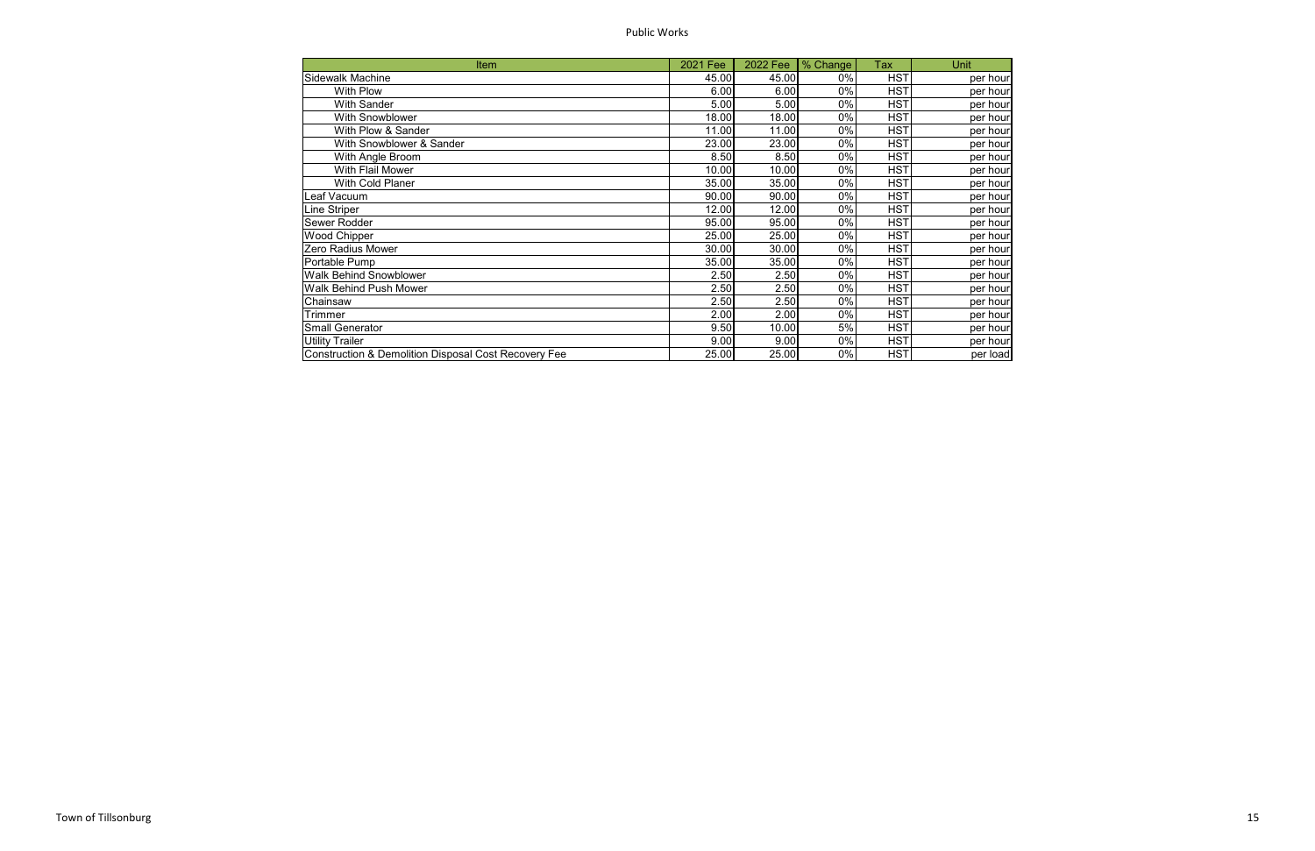Public Works

| <b>Item</b>                                                     | 2021 Fee | 2022 Fee | % Change | Tax        | Unit     |
|-----------------------------------------------------------------|----------|----------|----------|------------|----------|
| <b>Sidewalk Machine</b>                                         | 45.00    | 45.00    | 0%       | <b>HST</b> | per hour |
| With Plow                                                       | 6.00     | 6.00     | 0%       | <b>HST</b> | per hour |
| <b>With Sander</b>                                              | 5.00     | 5.00     | 0%       | <b>HST</b> | per hour |
| With Snowblower                                                 | 18.00    | 18.00    | 0%       | <b>HST</b> | per hour |
| With Plow & Sander                                              | 11.00    | 11.00    | 0%       | <b>HST</b> | per hour |
| With Snowblower & Sander                                        | 23.00    | 23.00    | 0%       | <b>HST</b> | per hour |
| With Angle Broom                                                | 8.50     | 8.50     | 0%       | <b>HST</b> | per hour |
| With Flail Mower                                                | 10.00    | 10.00    | 0%       | <b>HST</b> | per hour |
| With Cold Planer                                                | 35.00    | 35.00    | 0%       | <b>HST</b> | per hour |
| Leaf Vacuum                                                     | 90.00    | 90.00    | 0%       | <b>HST</b> | per hour |
| Line Striper                                                    | 12.00    | 12.00    | 0%       | <b>HST</b> | per hour |
| Sewer Rodder                                                    | 95.00    | 95.00    | 0%       | <b>HST</b> | per hour |
| <b>Wood Chipper</b>                                             | 25.00    | 25.00    | 0%       | <b>HST</b> | per hour |
| Zero Radius Mower                                               | 30.00    | 30.00    | 0%       | <b>HST</b> | per hour |
| Portable Pump                                                   | 35.00    | 35.00    | 0%       | <b>HST</b> | per hour |
| <b>Walk Behind Snowblower</b>                                   | 2.50     | 2.50     | 0%       | <b>HST</b> | per hour |
| Walk Behind Push Mower                                          | 2.50     | 2.50     | 0%       | <b>HST</b> | per hour |
| Chainsaw                                                        | 2.50     | 2.50     | 0%       | <b>HST</b> | per hour |
| Trimmer                                                         | 2.00     | 2.00     | 0%       | <b>HST</b> | per hour |
| <b>Small Generator</b>                                          | 9.50     | 10.00    | 5%       | <b>HST</b> | per hour |
| <b>Utility Trailer</b>                                          | 9.00     | 9.00     | 0%       | <b>HST</b> | per hour |
| <b>Construction &amp; Demolition Disposal Cost Recovery Fee</b> | 25.00    | 25.00    | 0%       | <b>HST</b> | per load |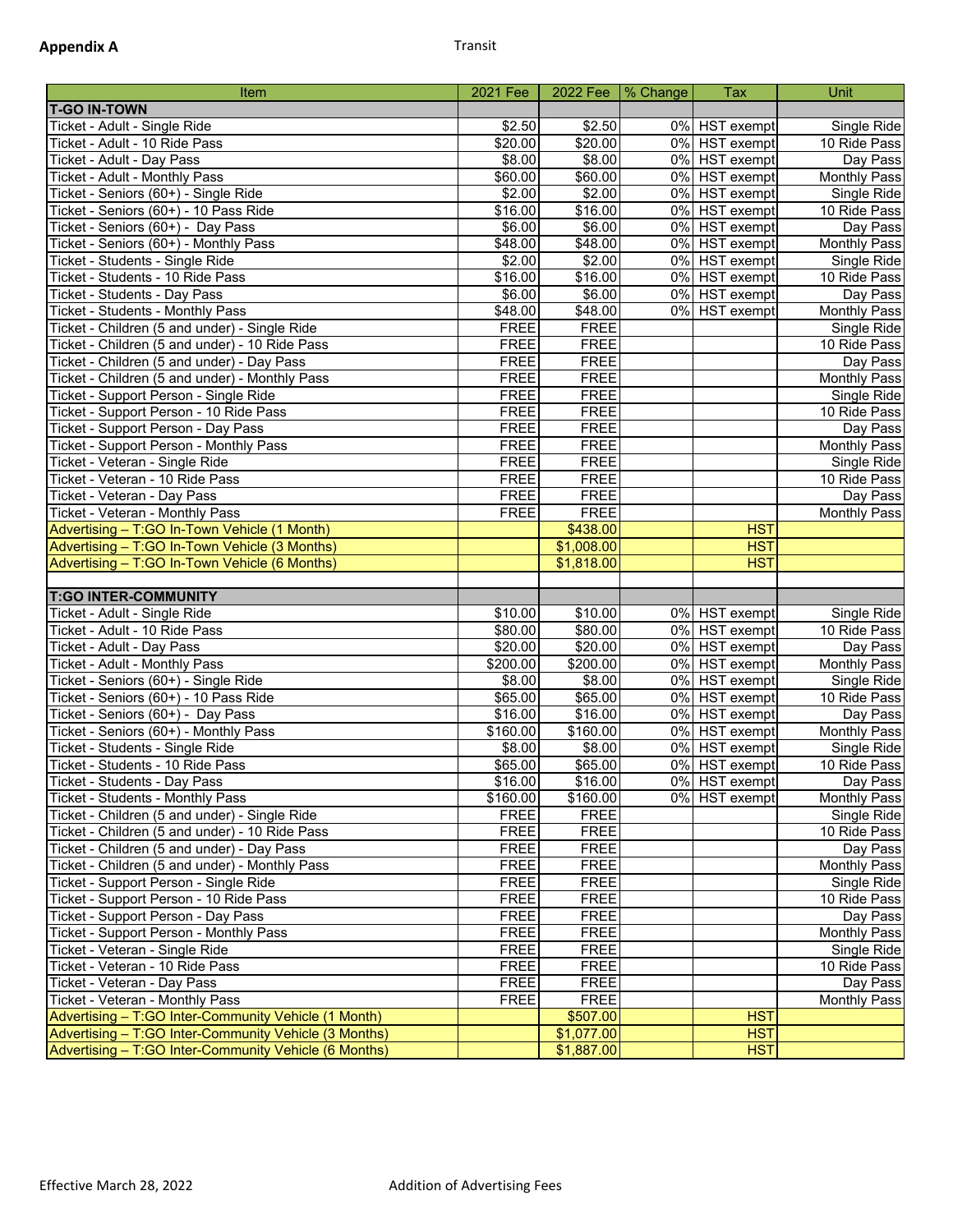| Item                                                          | 2021 Fee            |                       | 2022 Fee   % Change | <b>Tax</b>    | Unit                        |
|---------------------------------------------------------------|---------------------|-----------------------|---------------------|---------------|-----------------------------|
| <b>T-GO IN-TOWN</b>                                           |                     |                       |                     |               |                             |
| Ticket - Adult - Single Ride                                  | \$2.50              | \$2.50                |                     | 0% HST exempt | Single Ride                 |
| Ticket - Adult - 10 Ride Pass                                 | \$20.00             | \$20.00               |                     | 0% HST exempt | 10 Ride Pass                |
| Ticket - Adult - Day Pass                                     | \$8.00              | \$8.00                |                     | 0% HST exempt | Day Pass                    |
| Ticket - Adult - Monthly Pass                                 | \$60.00             | \$60.00               |                     | 0% HST exempt | <b>Monthly Pass</b>         |
| Ticket - Seniors (60+) - Single Ride                          | \$2.00              | \$2.00                |                     | 0% HST exempt | Single Ride                 |
| Ticket - Seniors (60+) - 10 Pass Ride                         | \$16.00             | \$16.00               |                     | 0% HST exempt | 10 Ride Pass                |
| Ticket - Seniors (60+) - Day Pass                             | \$6.00              | \$6.00                |                     | 0% HST exempt | Day Pass                    |
| Ticket - Seniors (60+) - Monthly Pass                         | \$48.00             | \$48.00               |                     | 0% HST exempt | <b>Monthly Pass</b>         |
| Ticket - Students - Single Ride                               | \$2.00              | \$2.00                |                     | 0% HST exempt | Single Ride                 |
| Ticket - Students - 10 Ride Pass                              | \$16.00             | \$16.00               |                     | 0% HST exempt | 10 Ride Pass                |
| <b>Ticket - Students - Day Pass</b>                           | \$6.00              | \$6.00                |                     | 0% HST exempt | Day Pass                    |
| Ticket - Students - Monthly Pass                              | \$48.00             | \$48.00               |                     | 0% HST exempt | <b>Monthly Pass</b>         |
| Ticket - Children (5 and under) - Single Ride                 | <b>FREE</b>         | <b>FREE</b>           |                     |               | Single Ride                 |
| Ticket - Children (5 and under) - 10 Ride Pass                | <b>FREE</b>         | <b>FREE</b>           |                     |               | 10 Ride Pass                |
| Ticket - Children (5 and under) - Day Pass                    | <b>FREE</b>         | <b>FREE</b>           |                     |               | Day Pass                    |
| Ticket - Children (5 and under) - Monthly Pass                | <b>FREE</b>         | <b>FREE</b>           |                     |               | <b>Monthly Pass</b>         |
| Ticket - Support Person - Single Ride                         | <b>FREE</b>         | <b>FREE</b>           |                     |               | Single Ride                 |
| Ticket - Support Person - 10 Ride Pass                        | <b>FREE</b>         | <b>FREE</b>           |                     |               | 10 Ride Pass                |
| Ticket - Support Person - Day Pass                            | <b>FREE</b>         | <b>FREE</b>           |                     |               | Day Pass                    |
| Ticket - Support Person - Monthly Pass                        | <b>FREE</b>         | <b>FREE</b>           |                     |               | <b>Monthly Pass</b>         |
| Ticket - Veteran - Single Ride                                | <b>FREE</b>         | <b>FREE</b>           |                     |               | Single Ride                 |
| Ticket - Veteran - 10 Ride Pass                               | <b>FREE</b>         | <b>FREE</b>           |                     |               | 10 Ride Pass                |
| Ticket - Veteran - Day Pass                                   | <b>FREE</b>         | <b>FREE</b>           |                     |               | Day Pass                    |
| Ticket - Veteran - Monthly Pass                               | <b>FREE</b>         | <b>FREE</b>           |                     |               | <b>Monthly Pass</b>         |
| Advertising - T:GO In-Town Vehicle (1 Month)                  |                     | \$438.00              |                     | <b>HST</b>    |                             |
| Advertising - T:GO In-Town Vehicle (3 Months)                 |                     | \$1,008.00            |                     | <b>HST</b>    |                             |
| Advertising - T:GO In-Town Vehicle (6 Months)                 |                     | $\overline{1,818.00}$ |                     | <b>HST</b>    |                             |
|                                                               |                     |                       |                     |               |                             |
| <b>T:GO INTER-COMMUNITY</b>                                   | \$10.00             |                       |                     | 0% HST exempt |                             |
| Ticket - Adult - Single Ride<br>Ticket - Adult - 10 Ride Pass | \$80.00             | \$10.00<br>\$80.00    |                     | 0% HST exempt | Single Ride<br>10 Ride Pass |
| Ticket - Adult - Day Pass                                     | $\overline{$}20.00$ | \$20.00               |                     | 0% HST exempt | Day Pass                    |
| Ticket - Adult - Monthly Pass                                 | \$200.00            | \$200.00              |                     | 0% HST exempt | <b>Monthly Pass</b>         |
| Ticket - Seniors (60+) - Single Ride                          | \$8.00              | \$8.00                |                     | 0% HST exempt | Single Ride                 |
| Ticket - Seniors (60+) - 10 Pass Ride                         | \$65.00             | \$65.00               |                     | 0% HST exempt | 10 Ride Pass                |
| Ticket - Seniors (60+) - Day Pass                             | \$16.00             | \$16.00               |                     | 0% HST exempt | Day Pass                    |
| Ticket - Seniors (60+) - Monthly Pass                         | \$160.00            | \$160.00              |                     | 0% HST exempt | <b>Monthly Pass</b>         |
| Ticket - Students - Single Ride                               | \$8.00              | \$8.00                |                     | 0% HST exempt | Single Ride                 |
| Ticket - Students - 10 Ride Pass                              | \$65.00             | \$65.00               |                     | 0% HST exempt | 10 Ride Pass                |
| Ticket - Students - Day Pass                                  | \$16.00             | \$16.00               |                     | 0% HST exempt | Day Pass                    |
| Ticket - Students - Monthly Pass                              | \$160.00            | \$160.00              |                     | 0% HST exempt | <b>Monthly Pass</b>         |
| Ticket - Children (5 and under) - Single Ride                 | <b>FREE</b>         | <b>FREE</b>           |                     |               | Single Ride                 |
| Ticket - Children (5 and under) - 10 Ride Pass                | <b>FREE</b>         | <b>FREE</b>           |                     |               | 10 Ride Pass                |
| Ticket - Children (5 and under) - Day Pass                    | <b>FREE</b>         | <b>FREE</b>           |                     |               | Day Pass                    |
| Ticket - Children (5 and under) - Monthly Pass                | <b>FREE</b>         | <b>FREE</b>           |                     |               | Monthly Pass                |
| Ticket - Support Person - Single Ride                         | <b>FREE</b>         | <b>FREE</b>           |                     |               | Single Ride                 |
| Ticket - Support Person - 10 Ride Pass                        | <b>FREE</b>         | <b>FREE</b>           |                     |               | 10 Ride Pass                |
| Ticket - Support Person - Day Pass                            | <b>FREE</b>         | <b>FREE</b>           |                     |               | Day Pass                    |
| Ticket - Support Person - Monthly Pass                        | <b>FREE</b>         | <b>FREE</b>           |                     |               | <b>Monthly Pass</b>         |
| Ticket - Veteran - Single Ride                                | <b>FREE</b>         | <b>FREE</b>           |                     |               | Single Ride                 |
| Ticket - Veteran - 10 Ride Pass                               | <b>FREE</b>         | <b>FREE</b>           |                     |               | 10 Ride Pass                |
| Ticket - Veteran - Day Pass                                   | <b>FREE</b>         | <b>FREE</b>           |                     |               | Day Pass                    |
| Ticket - Veteran - Monthly Pass                               | <b>FREE</b>         | <b>FREE</b>           |                     |               | <b>Monthly Pass</b>         |
| Advertising - T:GO Inter-Community Vehicle (1 Month)          |                     | \$507.00              |                     | <b>HST</b>    |                             |
| Advertising - T:GO Inter-Community Vehicle (3 Months)         |                     | \$1,077.00            |                     | <b>HST</b>    |                             |
| Advertising - T:GO Inter-Community Vehicle (6 Months)         |                     | \$1,887.00            |                     | <b>HST</b>    |                             |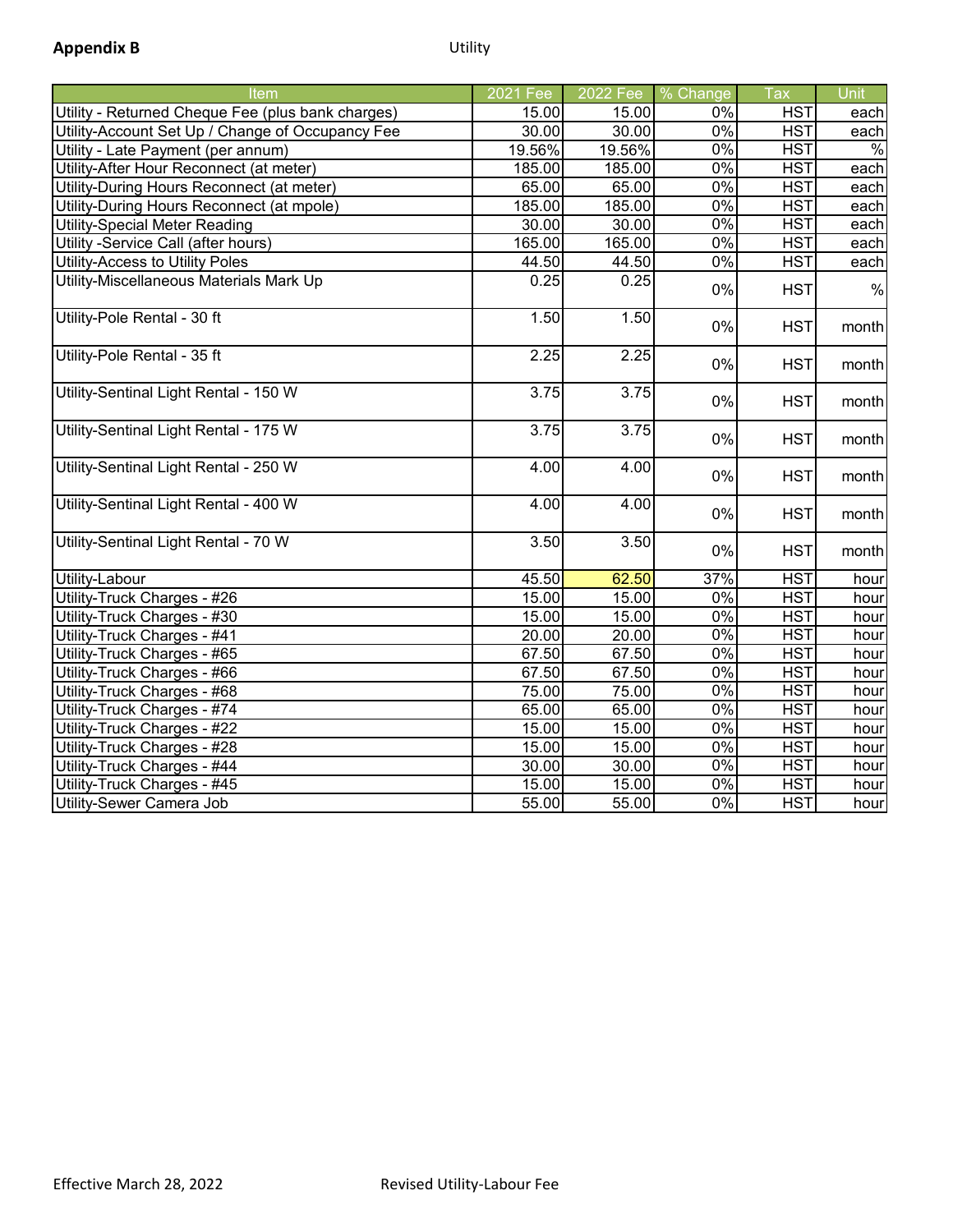| <b>Item</b>                                       | 2021 Fee | 2022 Fee | % Change | Tax        | Unit  |
|---------------------------------------------------|----------|----------|----------|------------|-------|
| Utility - Returned Cheque Fee (plus bank charges) | 15.00    | 15.00    | 0%       | <b>HST</b> | each  |
| Utility-Account Set Up / Change of Occupancy Fee  | 30.00    | 30.00    | 0%       | <b>HST</b> | each  |
| Utility - Late Payment (per annum)                | 19.56%   | 19.56%   | $0\%$    | <b>HST</b> | $\%$  |
| Utility-After Hour Reconnect (at meter)           | 185.00   | 185.00   | $0\%$    | <b>HST</b> | each  |
| Utility-During Hours Reconnect (at meter)         | 65.00    | 65.00    | $0\%$    | <b>HST</b> | each  |
| Utility-During Hours Reconnect (at mpole)         | 185.00   | 185.00   | 0%       | <b>HST</b> | each  |
| <b>Utility-Special Meter Reading</b>              | 30.00    | 30.00    | 0%       | <b>HST</b> | each  |
| Utility -Service Call (after hours)               | 165.00   | 165.00   | 0%       | <b>HST</b> | each  |
| Utility-Access to Utility Poles                   | 44.50    | 44.50    | 0%       | <b>HST</b> | each  |
| Utility-Miscellaneous Materials Mark Up           | 0.25     | 0.25     | 0%       | <b>HST</b> | $\%$  |
| Utility-Pole Rental - 30 ft                       | 1.50     | 1.50     | 0%       | <b>HST</b> | month |
| Utility-Pole Rental - 35 ft                       | 2.25     | 2.25     | 0%       | <b>HST</b> | month |
| Utility-Sentinal Light Rental - 150 W             | 3.75     | 3.75     | 0%       | <b>HST</b> | month |
| Utility-Sentinal Light Rental - 175 W             | 3.75     | 3.75     | 0%       | <b>HST</b> | month |
| Utility-Sentinal Light Rental - 250 W             | 4.00     | 4.00     | 0%       | <b>HST</b> | month |
| Utility-Sentinal Light Rental - 400 W             | 4.00     | 4.00     | 0%       | <b>HST</b> | month |
| Utility-Sentinal Light Rental - 70 W              | 3.50     | 3.50     | 0%       | <b>HST</b> | month |
| Utility-Labour                                    | 45.50    | 62.50    | 37%      | <b>HST</b> | hour  |
| Utility-Truck Charges - #26                       | 15.00    | 15.00    | 0%       | <b>HST</b> | hour  |
| Utility-Truck Charges - #30                       | 15.00    | 15.00    | $0\%$    | <b>HST</b> | hour  |
| Utility-Truck Charges - #41                       | 20.00    | 20.00    | $0\%$    | <b>HST</b> | hour  |
| Utility-Truck Charges - #65                       | 67.50    | 67.50    | 0%       | <b>HST</b> | hour  |
| Utility-Truck Charges - #66                       | 67.50    | 67.50    | 0%       | <b>HST</b> | hour  |
| Utility-Truck Charges - #68                       | 75.00    | 75.00    | 0%       | <b>HST</b> | hour  |
| Utility-Truck Charges - #74                       | 65.00    | 65.00    | $0\%$    | <b>HST</b> | hour  |
| Utility-Truck Charges - #22                       | 15.00    | 15.00    | $0\%$    | <b>HST</b> | hour  |
| Utility-Truck Charges - #28                       | 15.00    | 15.00    | $0\%$    | <b>HST</b> | hour  |
| Utility-Truck Charges - #44                       | 30.00    | 30.00    | $0\%$    | <b>HST</b> | hour  |
| Utility-Truck Charges - #45                       | 15.00    | 15.00    | $0\%$    | <b>HST</b> | hour  |
| Utility-Sewer Camera Job                          | 55.00    | 55.00    | $0\%$    | <b>HST</b> | hour  |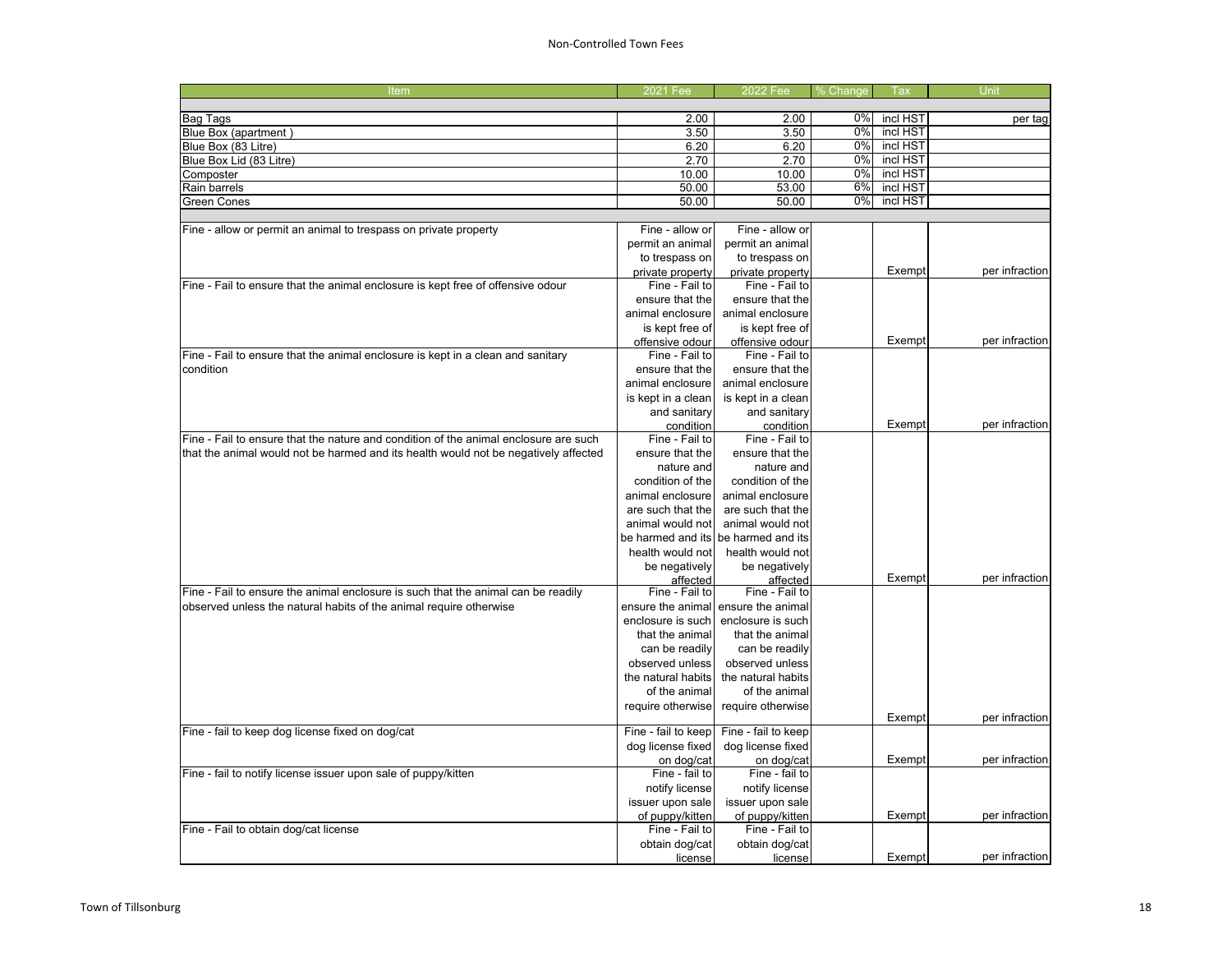## Non-Controlled Town Fees

| incl HST<br>0%<br>Bag Tags<br>2.00<br>2.00<br>per tag<br>0%<br>incl HST<br>Blue Box (apartment)<br>3.50<br>3.50<br>incl HST<br>6.20<br>6.20<br>$0\%$<br>Blue Box (83 Litre)<br>incl HST<br>Blue Box Lid (83 Litre)<br>2.70<br>2.70<br>0%<br>0%<br>incl HST<br>10.00<br>10.00<br>Composter<br>incl HST<br>53.00<br>6%<br>Rain barrels<br>50.00<br>incl HST<br>0%<br><b>Green Cones</b><br>50.00<br>50.00<br>Fine - allow or<br>Fine - allow or<br>Fine - allow or permit an animal to trespass on private property<br>permit an animal<br>permit an animal<br>to trespass on<br>to trespass on<br>per infraction<br>private property<br>private property<br>Exempt<br>Fine - Fail to ensure that the animal enclosure is kept free of offensive odour<br>Fine - Fail to<br>Fine - Fail to<br>ensure that the<br>ensure that the<br>animal enclosure<br>animal enclosure<br>is kept free of<br>is kept free of<br>Exempt<br>offensive odour<br>offensive odour<br>Fine - Fail to ensure that the animal enclosure is kept in a clean and sanitary<br>Fine - Fail to<br>Fine - Fail to<br>condition<br>ensure that the<br>ensure that the<br>animal enclosure<br>animal enclosure<br>is kept in a clean<br>is kept in a clean<br>and sanitary<br>and sanitary<br>Exempt<br>condition<br>condition<br>Fine - Fail to ensure that the nature and condition of the animal enclosure are such<br>Fine - Fail to<br>Fine - Fail to<br>that the animal would not be harmed and its health would not be negatively affected<br>ensure that the<br>ensure that the<br>nature and<br>nature and<br>condition of the<br>condition of the<br>animal enclosure<br>animal enclosure<br>are such that the<br>are such that the<br>animal would not<br>animal would not<br>be harmed and its<br>be harmed and its<br>health would not<br>health would not<br>be negatively<br>be negatively<br>Exempt<br>affected<br>affected<br>Fine - Fail to ensure the animal enclosure is such that the animal can be readily<br>Fine - Fail to<br>Fine - Fail to<br>observed unless the natural habits of the animal require otherwise<br>ensure the animal ensure the animal<br>enclosure is such<br>enclosure is such<br>that the animal<br>that the animal<br>can be readily<br>can be readily<br>observed unless<br>observed unless<br>the natural habits<br>the natural habits<br>of the animal<br>of the animal<br>require otherwise<br>require otherwise<br>Exempt<br>Fine - fail to keep dog license fixed on dog/cat<br>Fine - fail to keep<br>Fine - fail to keep<br>dog license fixed<br>dog license fixed<br>Exempt<br>on dog/cat<br>on dog/cat<br>Fine - fail to notify license issuer upon sale of puppy/kitten<br>Fine - fail to<br>Fine - fail to<br>notify license<br>notify license<br>issuer upon sale<br>issuer upon sale<br>of puppy/kitten<br>Exempt<br>of puppy/kitten<br>Fine - Fail to obtain dog/cat license<br>Fine - Fail to<br>Fine - Fail to<br>obtain dog/cat<br>obtain dog/cat<br>Exempt<br>license<br>license | Item | 2021 Fee | 2022 Fee | % Change | Tax | Unit |
|--------------------------------------------------------------------------------------------------------------------------------------------------------------------------------------------------------------------------------------------------------------------------------------------------------------------------------------------------------------------------------------------------------------------------------------------------------------------------------------------------------------------------------------------------------------------------------------------------------------------------------------------------------------------------------------------------------------------------------------------------------------------------------------------------------------------------------------------------------------------------------------------------------------------------------------------------------------------------------------------------------------------------------------------------------------------------------------------------------------------------------------------------------------------------------------------------------------------------------------------------------------------------------------------------------------------------------------------------------------------------------------------------------------------------------------------------------------------------------------------------------------------------------------------------------------------------------------------------------------------------------------------------------------------------------------------------------------------------------------------------------------------------------------------------------------------------------------------------------------------------------------------------------------------------------------------------------------------------------------------------------------------------------------------------------------------------------------------------------------------------------------------------------------------------------------------------------------------------------------------------------------------------------------------------------------------------------------------------------------------------------------------------------------------------------------------------------------------------------------------------------------------------------------------------------------------------------------------------------------------------------------------------------------------------------------------------------------------------------------------------------------------------------------------------------------------------------------------------------------------------------------------------------------------------------------------------------------------------------------------------------------------|------|----------|----------|----------|-----|------|
|                                                                                                                                                                                                                                                                                                                                                                                                                                                                                                                                                                                                                                                                                                                                                                                                                                                                                                                                                                                                                                                                                                                                                                                                                                                                                                                                                                                                                                                                                                                                                                                                                                                                                                                                                                                                                                                                                                                                                                                                                                                                                                                                                                                                                                                                                                                                                                                                                                                                                                                                                                                                                                                                                                                                                                                                                                                                                                                                                                                                                    |      |          |          |          |     |      |
|                                                                                                                                                                                                                                                                                                                                                                                                                                                                                                                                                                                                                                                                                                                                                                                                                                                                                                                                                                                                                                                                                                                                                                                                                                                                                                                                                                                                                                                                                                                                                                                                                                                                                                                                                                                                                                                                                                                                                                                                                                                                                                                                                                                                                                                                                                                                                                                                                                                                                                                                                                                                                                                                                                                                                                                                                                                                                                                                                                                                                    |      |          |          |          |     |      |
|                                                                                                                                                                                                                                                                                                                                                                                                                                                                                                                                                                                                                                                                                                                                                                                                                                                                                                                                                                                                                                                                                                                                                                                                                                                                                                                                                                                                                                                                                                                                                                                                                                                                                                                                                                                                                                                                                                                                                                                                                                                                                                                                                                                                                                                                                                                                                                                                                                                                                                                                                                                                                                                                                                                                                                                                                                                                                                                                                                                                                    |      |          |          |          |     |      |
|                                                                                                                                                                                                                                                                                                                                                                                                                                                                                                                                                                                                                                                                                                                                                                                                                                                                                                                                                                                                                                                                                                                                                                                                                                                                                                                                                                                                                                                                                                                                                                                                                                                                                                                                                                                                                                                                                                                                                                                                                                                                                                                                                                                                                                                                                                                                                                                                                                                                                                                                                                                                                                                                                                                                                                                                                                                                                                                                                                                                                    |      |          |          |          |     |      |
|                                                                                                                                                                                                                                                                                                                                                                                                                                                                                                                                                                                                                                                                                                                                                                                                                                                                                                                                                                                                                                                                                                                                                                                                                                                                                                                                                                                                                                                                                                                                                                                                                                                                                                                                                                                                                                                                                                                                                                                                                                                                                                                                                                                                                                                                                                                                                                                                                                                                                                                                                                                                                                                                                                                                                                                                                                                                                                                                                                                                                    |      |          |          |          |     |      |
|                                                                                                                                                                                                                                                                                                                                                                                                                                                                                                                                                                                                                                                                                                                                                                                                                                                                                                                                                                                                                                                                                                                                                                                                                                                                                                                                                                                                                                                                                                                                                                                                                                                                                                                                                                                                                                                                                                                                                                                                                                                                                                                                                                                                                                                                                                                                                                                                                                                                                                                                                                                                                                                                                                                                                                                                                                                                                                                                                                                                                    |      |          |          |          |     |      |
|                                                                                                                                                                                                                                                                                                                                                                                                                                                                                                                                                                                                                                                                                                                                                                                                                                                                                                                                                                                                                                                                                                                                                                                                                                                                                                                                                                                                                                                                                                                                                                                                                                                                                                                                                                                                                                                                                                                                                                                                                                                                                                                                                                                                                                                                                                                                                                                                                                                                                                                                                                                                                                                                                                                                                                                                                                                                                                                                                                                                                    |      |          |          |          |     |      |
|                                                                                                                                                                                                                                                                                                                                                                                                                                                                                                                                                                                                                                                                                                                                                                                                                                                                                                                                                                                                                                                                                                                                                                                                                                                                                                                                                                                                                                                                                                                                                                                                                                                                                                                                                                                                                                                                                                                                                                                                                                                                                                                                                                                                                                                                                                                                                                                                                                                                                                                                                                                                                                                                                                                                                                                                                                                                                                                                                                                                                    |      |          |          |          |     |      |
|                                                                                                                                                                                                                                                                                                                                                                                                                                                                                                                                                                                                                                                                                                                                                                                                                                                                                                                                                                                                                                                                                                                                                                                                                                                                                                                                                                                                                                                                                                                                                                                                                                                                                                                                                                                                                                                                                                                                                                                                                                                                                                                                                                                                                                                                                                                                                                                                                                                                                                                                                                                                                                                                                                                                                                                                                                                                                                                                                                                                                    |      |          |          |          |     |      |
|                                                                                                                                                                                                                                                                                                                                                                                                                                                                                                                                                                                                                                                                                                                                                                                                                                                                                                                                                                                                                                                                                                                                                                                                                                                                                                                                                                                                                                                                                                                                                                                                                                                                                                                                                                                                                                                                                                                                                                                                                                                                                                                                                                                                                                                                                                                                                                                                                                                                                                                                                                                                                                                                                                                                                                                                                                                                                                                                                                                                                    |      |          |          |          |     |      |
|                                                                                                                                                                                                                                                                                                                                                                                                                                                                                                                                                                                                                                                                                                                                                                                                                                                                                                                                                                                                                                                                                                                                                                                                                                                                                                                                                                                                                                                                                                                                                                                                                                                                                                                                                                                                                                                                                                                                                                                                                                                                                                                                                                                                                                                                                                                                                                                                                                                                                                                                                                                                                                                                                                                                                                                                                                                                                                                                                                                                                    |      |          |          |          |     |      |
|                                                                                                                                                                                                                                                                                                                                                                                                                                                                                                                                                                                                                                                                                                                                                                                                                                                                                                                                                                                                                                                                                                                                                                                                                                                                                                                                                                                                                                                                                                                                                                                                                                                                                                                                                                                                                                                                                                                                                                                                                                                                                                                                                                                                                                                                                                                                                                                                                                                                                                                                                                                                                                                                                                                                                                                                                                                                                                                                                                                                                    |      |          |          |          |     |      |
| per infraction<br>per infraction<br>per infraction<br>per infraction<br>per infraction<br>per infraction<br>per infraction                                                                                                                                                                                                                                                                                                                                                                                                                                                                                                                                                                                                                                                                                                                                                                                                                                                                                                                                                                                                                                                                                                                                                                                                                                                                                                                                                                                                                                                                                                                                                                                                                                                                                                                                                                                                                                                                                                                                                                                                                                                                                                                                                                                                                                                                                                                                                                                                                                                                                                                                                                                                                                                                                                                                                                                                                                                                                         |      |          |          |          |     |      |
|                                                                                                                                                                                                                                                                                                                                                                                                                                                                                                                                                                                                                                                                                                                                                                                                                                                                                                                                                                                                                                                                                                                                                                                                                                                                                                                                                                                                                                                                                                                                                                                                                                                                                                                                                                                                                                                                                                                                                                                                                                                                                                                                                                                                                                                                                                                                                                                                                                                                                                                                                                                                                                                                                                                                                                                                                                                                                                                                                                                                                    |      |          |          |          |     |      |
|                                                                                                                                                                                                                                                                                                                                                                                                                                                                                                                                                                                                                                                                                                                                                                                                                                                                                                                                                                                                                                                                                                                                                                                                                                                                                                                                                                                                                                                                                                                                                                                                                                                                                                                                                                                                                                                                                                                                                                                                                                                                                                                                                                                                                                                                                                                                                                                                                                                                                                                                                                                                                                                                                                                                                                                                                                                                                                                                                                                                                    |      |          |          |          |     |      |
|                                                                                                                                                                                                                                                                                                                                                                                                                                                                                                                                                                                                                                                                                                                                                                                                                                                                                                                                                                                                                                                                                                                                                                                                                                                                                                                                                                                                                                                                                                                                                                                                                                                                                                                                                                                                                                                                                                                                                                                                                                                                                                                                                                                                                                                                                                                                                                                                                                                                                                                                                                                                                                                                                                                                                                                                                                                                                                                                                                                                                    |      |          |          |          |     |      |
|                                                                                                                                                                                                                                                                                                                                                                                                                                                                                                                                                                                                                                                                                                                                                                                                                                                                                                                                                                                                                                                                                                                                                                                                                                                                                                                                                                                                                                                                                                                                                                                                                                                                                                                                                                                                                                                                                                                                                                                                                                                                                                                                                                                                                                                                                                                                                                                                                                                                                                                                                                                                                                                                                                                                                                                                                                                                                                                                                                                                                    |      |          |          |          |     |      |
|                                                                                                                                                                                                                                                                                                                                                                                                                                                                                                                                                                                                                                                                                                                                                                                                                                                                                                                                                                                                                                                                                                                                                                                                                                                                                                                                                                                                                                                                                                                                                                                                                                                                                                                                                                                                                                                                                                                                                                                                                                                                                                                                                                                                                                                                                                                                                                                                                                                                                                                                                                                                                                                                                                                                                                                                                                                                                                                                                                                                                    |      |          |          |          |     |      |
|                                                                                                                                                                                                                                                                                                                                                                                                                                                                                                                                                                                                                                                                                                                                                                                                                                                                                                                                                                                                                                                                                                                                                                                                                                                                                                                                                                                                                                                                                                                                                                                                                                                                                                                                                                                                                                                                                                                                                                                                                                                                                                                                                                                                                                                                                                                                                                                                                                                                                                                                                                                                                                                                                                                                                                                                                                                                                                                                                                                                                    |      |          |          |          |     |      |
|                                                                                                                                                                                                                                                                                                                                                                                                                                                                                                                                                                                                                                                                                                                                                                                                                                                                                                                                                                                                                                                                                                                                                                                                                                                                                                                                                                                                                                                                                                                                                                                                                                                                                                                                                                                                                                                                                                                                                                                                                                                                                                                                                                                                                                                                                                                                                                                                                                                                                                                                                                                                                                                                                                                                                                                                                                                                                                                                                                                                                    |      |          |          |          |     |      |
|                                                                                                                                                                                                                                                                                                                                                                                                                                                                                                                                                                                                                                                                                                                                                                                                                                                                                                                                                                                                                                                                                                                                                                                                                                                                                                                                                                                                                                                                                                                                                                                                                                                                                                                                                                                                                                                                                                                                                                                                                                                                                                                                                                                                                                                                                                                                                                                                                                                                                                                                                                                                                                                                                                                                                                                                                                                                                                                                                                                                                    |      |          |          |          |     |      |
|                                                                                                                                                                                                                                                                                                                                                                                                                                                                                                                                                                                                                                                                                                                                                                                                                                                                                                                                                                                                                                                                                                                                                                                                                                                                                                                                                                                                                                                                                                                                                                                                                                                                                                                                                                                                                                                                                                                                                                                                                                                                                                                                                                                                                                                                                                                                                                                                                                                                                                                                                                                                                                                                                                                                                                                                                                                                                                                                                                                                                    |      |          |          |          |     |      |
|                                                                                                                                                                                                                                                                                                                                                                                                                                                                                                                                                                                                                                                                                                                                                                                                                                                                                                                                                                                                                                                                                                                                                                                                                                                                                                                                                                                                                                                                                                                                                                                                                                                                                                                                                                                                                                                                                                                                                                                                                                                                                                                                                                                                                                                                                                                                                                                                                                                                                                                                                                                                                                                                                                                                                                                                                                                                                                                                                                                                                    |      |          |          |          |     |      |
|                                                                                                                                                                                                                                                                                                                                                                                                                                                                                                                                                                                                                                                                                                                                                                                                                                                                                                                                                                                                                                                                                                                                                                                                                                                                                                                                                                                                                                                                                                                                                                                                                                                                                                                                                                                                                                                                                                                                                                                                                                                                                                                                                                                                                                                                                                                                                                                                                                                                                                                                                                                                                                                                                                                                                                                                                                                                                                                                                                                                                    |      |          |          |          |     |      |
|                                                                                                                                                                                                                                                                                                                                                                                                                                                                                                                                                                                                                                                                                                                                                                                                                                                                                                                                                                                                                                                                                                                                                                                                                                                                                                                                                                                                                                                                                                                                                                                                                                                                                                                                                                                                                                                                                                                                                                                                                                                                                                                                                                                                                                                                                                                                                                                                                                                                                                                                                                                                                                                                                                                                                                                                                                                                                                                                                                                                                    |      |          |          |          |     |      |
|                                                                                                                                                                                                                                                                                                                                                                                                                                                                                                                                                                                                                                                                                                                                                                                                                                                                                                                                                                                                                                                                                                                                                                                                                                                                                                                                                                                                                                                                                                                                                                                                                                                                                                                                                                                                                                                                                                                                                                                                                                                                                                                                                                                                                                                                                                                                                                                                                                                                                                                                                                                                                                                                                                                                                                                                                                                                                                                                                                                                                    |      |          |          |          |     |      |
|                                                                                                                                                                                                                                                                                                                                                                                                                                                                                                                                                                                                                                                                                                                                                                                                                                                                                                                                                                                                                                                                                                                                                                                                                                                                                                                                                                                                                                                                                                                                                                                                                                                                                                                                                                                                                                                                                                                                                                                                                                                                                                                                                                                                                                                                                                                                                                                                                                                                                                                                                                                                                                                                                                                                                                                                                                                                                                                                                                                                                    |      |          |          |          |     |      |
|                                                                                                                                                                                                                                                                                                                                                                                                                                                                                                                                                                                                                                                                                                                                                                                                                                                                                                                                                                                                                                                                                                                                                                                                                                                                                                                                                                                                                                                                                                                                                                                                                                                                                                                                                                                                                                                                                                                                                                                                                                                                                                                                                                                                                                                                                                                                                                                                                                                                                                                                                                                                                                                                                                                                                                                                                                                                                                                                                                                                                    |      |          |          |          |     |      |
|                                                                                                                                                                                                                                                                                                                                                                                                                                                                                                                                                                                                                                                                                                                                                                                                                                                                                                                                                                                                                                                                                                                                                                                                                                                                                                                                                                                                                                                                                                                                                                                                                                                                                                                                                                                                                                                                                                                                                                                                                                                                                                                                                                                                                                                                                                                                                                                                                                                                                                                                                                                                                                                                                                                                                                                                                                                                                                                                                                                                                    |      |          |          |          |     |      |
|                                                                                                                                                                                                                                                                                                                                                                                                                                                                                                                                                                                                                                                                                                                                                                                                                                                                                                                                                                                                                                                                                                                                                                                                                                                                                                                                                                                                                                                                                                                                                                                                                                                                                                                                                                                                                                                                                                                                                                                                                                                                                                                                                                                                                                                                                                                                                                                                                                                                                                                                                                                                                                                                                                                                                                                                                                                                                                                                                                                                                    |      |          |          |          |     |      |
|                                                                                                                                                                                                                                                                                                                                                                                                                                                                                                                                                                                                                                                                                                                                                                                                                                                                                                                                                                                                                                                                                                                                                                                                                                                                                                                                                                                                                                                                                                                                                                                                                                                                                                                                                                                                                                                                                                                                                                                                                                                                                                                                                                                                                                                                                                                                                                                                                                                                                                                                                                                                                                                                                                                                                                                                                                                                                                                                                                                                                    |      |          |          |          |     |      |
|                                                                                                                                                                                                                                                                                                                                                                                                                                                                                                                                                                                                                                                                                                                                                                                                                                                                                                                                                                                                                                                                                                                                                                                                                                                                                                                                                                                                                                                                                                                                                                                                                                                                                                                                                                                                                                                                                                                                                                                                                                                                                                                                                                                                                                                                                                                                                                                                                                                                                                                                                                                                                                                                                                                                                                                                                                                                                                                                                                                                                    |      |          |          |          |     |      |
|                                                                                                                                                                                                                                                                                                                                                                                                                                                                                                                                                                                                                                                                                                                                                                                                                                                                                                                                                                                                                                                                                                                                                                                                                                                                                                                                                                                                                                                                                                                                                                                                                                                                                                                                                                                                                                                                                                                                                                                                                                                                                                                                                                                                                                                                                                                                                                                                                                                                                                                                                                                                                                                                                                                                                                                                                                                                                                                                                                                                                    |      |          |          |          |     |      |
|                                                                                                                                                                                                                                                                                                                                                                                                                                                                                                                                                                                                                                                                                                                                                                                                                                                                                                                                                                                                                                                                                                                                                                                                                                                                                                                                                                                                                                                                                                                                                                                                                                                                                                                                                                                                                                                                                                                                                                                                                                                                                                                                                                                                                                                                                                                                                                                                                                                                                                                                                                                                                                                                                                                                                                                                                                                                                                                                                                                                                    |      |          |          |          |     |      |
|                                                                                                                                                                                                                                                                                                                                                                                                                                                                                                                                                                                                                                                                                                                                                                                                                                                                                                                                                                                                                                                                                                                                                                                                                                                                                                                                                                                                                                                                                                                                                                                                                                                                                                                                                                                                                                                                                                                                                                                                                                                                                                                                                                                                                                                                                                                                                                                                                                                                                                                                                                                                                                                                                                                                                                                                                                                                                                                                                                                                                    |      |          |          |          |     |      |
|                                                                                                                                                                                                                                                                                                                                                                                                                                                                                                                                                                                                                                                                                                                                                                                                                                                                                                                                                                                                                                                                                                                                                                                                                                                                                                                                                                                                                                                                                                                                                                                                                                                                                                                                                                                                                                                                                                                                                                                                                                                                                                                                                                                                                                                                                                                                                                                                                                                                                                                                                                                                                                                                                                                                                                                                                                                                                                                                                                                                                    |      |          |          |          |     |      |
|                                                                                                                                                                                                                                                                                                                                                                                                                                                                                                                                                                                                                                                                                                                                                                                                                                                                                                                                                                                                                                                                                                                                                                                                                                                                                                                                                                                                                                                                                                                                                                                                                                                                                                                                                                                                                                                                                                                                                                                                                                                                                                                                                                                                                                                                                                                                                                                                                                                                                                                                                                                                                                                                                                                                                                                                                                                                                                                                                                                                                    |      |          |          |          |     |      |
|                                                                                                                                                                                                                                                                                                                                                                                                                                                                                                                                                                                                                                                                                                                                                                                                                                                                                                                                                                                                                                                                                                                                                                                                                                                                                                                                                                                                                                                                                                                                                                                                                                                                                                                                                                                                                                                                                                                                                                                                                                                                                                                                                                                                                                                                                                                                                                                                                                                                                                                                                                                                                                                                                                                                                                                                                                                                                                                                                                                                                    |      |          |          |          |     |      |
|                                                                                                                                                                                                                                                                                                                                                                                                                                                                                                                                                                                                                                                                                                                                                                                                                                                                                                                                                                                                                                                                                                                                                                                                                                                                                                                                                                                                                                                                                                                                                                                                                                                                                                                                                                                                                                                                                                                                                                                                                                                                                                                                                                                                                                                                                                                                                                                                                                                                                                                                                                                                                                                                                                                                                                                                                                                                                                                                                                                                                    |      |          |          |          |     |      |
|                                                                                                                                                                                                                                                                                                                                                                                                                                                                                                                                                                                                                                                                                                                                                                                                                                                                                                                                                                                                                                                                                                                                                                                                                                                                                                                                                                                                                                                                                                                                                                                                                                                                                                                                                                                                                                                                                                                                                                                                                                                                                                                                                                                                                                                                                                                                                                                                                                                                                                                                                                                                                                                                                                                                                                                                                                                                                                                                                                                                                    |      |          |          |          |     |      |
|                                                                                                                                                                                                                                                                                                                                                                                                                                                                                                                                                                                                                                                                                                                                                                                                                                                                                                                                                                                                                                                                                                                                                                                                                                                                                                                                                                                                                                                                                                                                                                                                                                                                                                                                                                                                                                                                                                                                                                                                                                                                                                                                                                                                                                                                                                                                                                                                                                                                                                                                                                                                                                                                                                                                                                                                                                                                                                                                                                                                                    |      |          |          |          |     |      |
|                                                                                                                                                                                                                                                                                                                                                                                                                                                                                                                                                                                                                                                                                                                                                                                                                                                                                                                                                                                                                                                                                                                                                                                                                                                                                                                                                                                                                                                                                                                                                                                                                                                                                                                                                                                                                                                                                                                                                                                                                                                                                                                                                                                                                                                                                                                                                                                                                                                                                                                                                                                                                                                                                                                                                                                                                                                                                                                                                                                                                    |      |          |          |          |     |      |
|                                                                                                                                                                                                                                                                                                                                                                                                                                                                                                                                                                                                                                                                                                                                                                                                                                                                                                                                                                                                                                                                                                                                                                                                                                                                                                                                                                                                                                                                                                                                                                                                                                                                                                                                                                                                                                                                                                                                                                                                                                                                                                                                                                                                                                                                                                                                                                                                                                                                                                                                                                                                                                                                                                                                                                                                                                                                                                                                                                                                                    |      |          |          |          |     |      |
|                                                                                                                                                                                                                                                                                                                                                                                                                                                                                                                                                                                                                                                                                                                                                                                                                                                                                                                                                                                                                                                                                                                                                                                                                                                                                                                                                                                                                                                                                                                                                                                                                                                                                                                                                                                                                                                                                                                                                                                                                                                                                                                                                                                                                                                                                                                                                                                                                                                                                                                                                                                                                                                                                                                                                                                                                                                                                                                                                                                                                    |      |          |          |          |     |      |
|                                                                                                                                                                                                                                                                                                                                                                                                                                                                                                                                                                                                                                                                                                                                                                                                                                                                                                                                                                                                                                                                                                                                                                                                                                                                                                                                                                                                                                                                                                                                                                                                                                                                                                                                                                                                                                                                                                                                                                                                                                                                                                                                                                                                                                                                                                                                                                                                                                                                                                                                                                                                                                                                                                                                                                                                                                                                                                                                                                                                                    |      |          |          |          |     |      |
|                                                                                                                                                                                                                                                                                                                                                                                                                                                                                                                                                                                                                                                                                                                                                                                                                                                                                                                                                                                                                                                                                                                                                                                                                                                                                                                                                                                                                                                                                                                                                                                                                                                                                                                                                                                                                                                                                                                                                                                                                                                                                                                                                                                                                                                                                                                                                                                                                                                                                                                                                                                                                                                                                                                                                                                                                                                                                                                                                                                                                    |      |          |          |          |     |      |
|                                                                                                                                                                                                                                                                                                                                                                                                                                                                                                                                                                                                                                                                                                                                                                                                                                                                                                                                                                                                                                                                                                                                                                                                                                                                                                                                                                                                                                                                                                                                                                                                                                                                                                                                                                                                                                                                                                                                                                                                                                                                                                                                                                                                                                                                                                                                                                                                                                                                                                                                                                                                                                                                                                                                                                                                                                                                                                                                                                                                                    |      |          |          |          |     |      |
|                                                                                                                                                                                                                                                                                                                                                                                                                                                                                                                                                                                                                                                                                                                                                                                                                                                                                                                                                                                                                                                                                                                                                                                                                                                                                                                                                                                                                                                                                                                                                                                                                                                                                                                                                                                                                                                                                                                                                                                                                                                                                                                                                                                                                                                                                                                                                                                                                                                                                                                                                                                                                                                                                                                                                                                                                                                                                                                                                                                                                    |      |          |          |          |     |      |
|                                                                                                                                                                                                                                                                                                                                                                                                                                                                                                                                                                                                                                                                                                                                                                                                                                                                                                                                                                                                                                                                                                                                                                                                                                                                                                                                                                                                                                                                                                                                                                                                                                                                                                                                                                                                                                                                                                                                                                                                                                                                                                                                                                                                                                                                                                                                                                                                                                                                                                                                                                                                                                                                                                                                                                                                                                                                                                                                                                                                                    |      |          |          |          |     |      |
|                                                                                                                                                                                                                                                                                                                                                                                                                                                                                                                                                                                                                                                                                                                                                                                                                                                                                                                                                                                                                                                                                                                                                                                                                                                                                                                                                                                                                                                                                                                                                                                                                                                                                                                                                                                                                                                                                                                                                                                                                                                                                                                                                                                                                                                                                                                                                                                                                                                                                                                                                                                                                                                                                                                                                                                                                                                                                                                                                                                                                    |      |          |          |          |     |      |
|                                                                                                                                                                                                                                                                                                                                                                                                                                                                                                                                                                                                                                                                                                                                                                                                                                                                                                                                                                                                                                                                                                                                                                                                                                                                                                                                                                                                                                                                                                                                                                                                                                                                                                                                                                                                                                                                                                                                                                                                                                                                                                                                                                                                                                                                                                                                                                                                                                                                                                                                                                                                                                                                                                                                                                                                                                                                                                                                                                                                                    |      |          |          |          |     |      |
|                                                                                                                                                                                                                                                                                                                                                                                                                                                                                                                                                                                                                                                                                                                                                                                                                                                                                                                                                                                                                                                                                                                                                                                                                                                                                                                                                                                                                                                                                                                                                                                                                                                                                                                                                                                                                                                                                                                                                                                                                                                                                                                                                                                                                                                                                                                                                                                                                                                                                                                                                                                                                                                                                                                                                                                                                                                                                                                                                                                                                    |      |          |          |          |     |      |
|                                                                                                                                                                                                                                                                                                                                                                                                                                                                                                                                                                                                                                                                                                                                                                                                                                                                                                                                                                                                                                                                                                                                                                                                                                                                                                                                                                                                                                                                                                                                                                                                                                                                                                                                                                                                                                                                                                                                                                                                                                                                                                                                                                                                                                                                                                                                                                                                                                                                                                                                                                                                                                                                                                                                                                                                                                                                                                                                                                                                                    |      |          |          |          |     |      |
|                                                                                                                                                                                                                                                                                                                                                                                                                                                                                                                                                                                                                                                                                                                                                                                                                                                                                                                                                                                                                                                                                                                                                                                                                                                                                                                                                                                                                                                                                                                                                                                                                                                                                                                                                                                                                                                                                                                                                                                                                                                                                                                                                                                                                                                                                                                                                                                                                                                                                                                                                                                                                                                                                                                                                                                                                                                                                                                                                                                                                    |      |          |          |          |     |      |
|                                                                                                                                                                                                                                                                                                                                                                                                                                                                                                                                                                                                                                                                                                                                                                                                                                                                                                                                                                                                                                                                                                                                                                                                                                                                                                                                                                                                                                                                                                                                                                                                                                                                                                                                                                                                                                                                                                                                                                                                                                                                                                                                                                                                                                                                                                                                                                                                                                                                                                                                                                                                                                                                                                                                                                                                                                                                                                                                                                                                                    |      |          |          |          |     |      |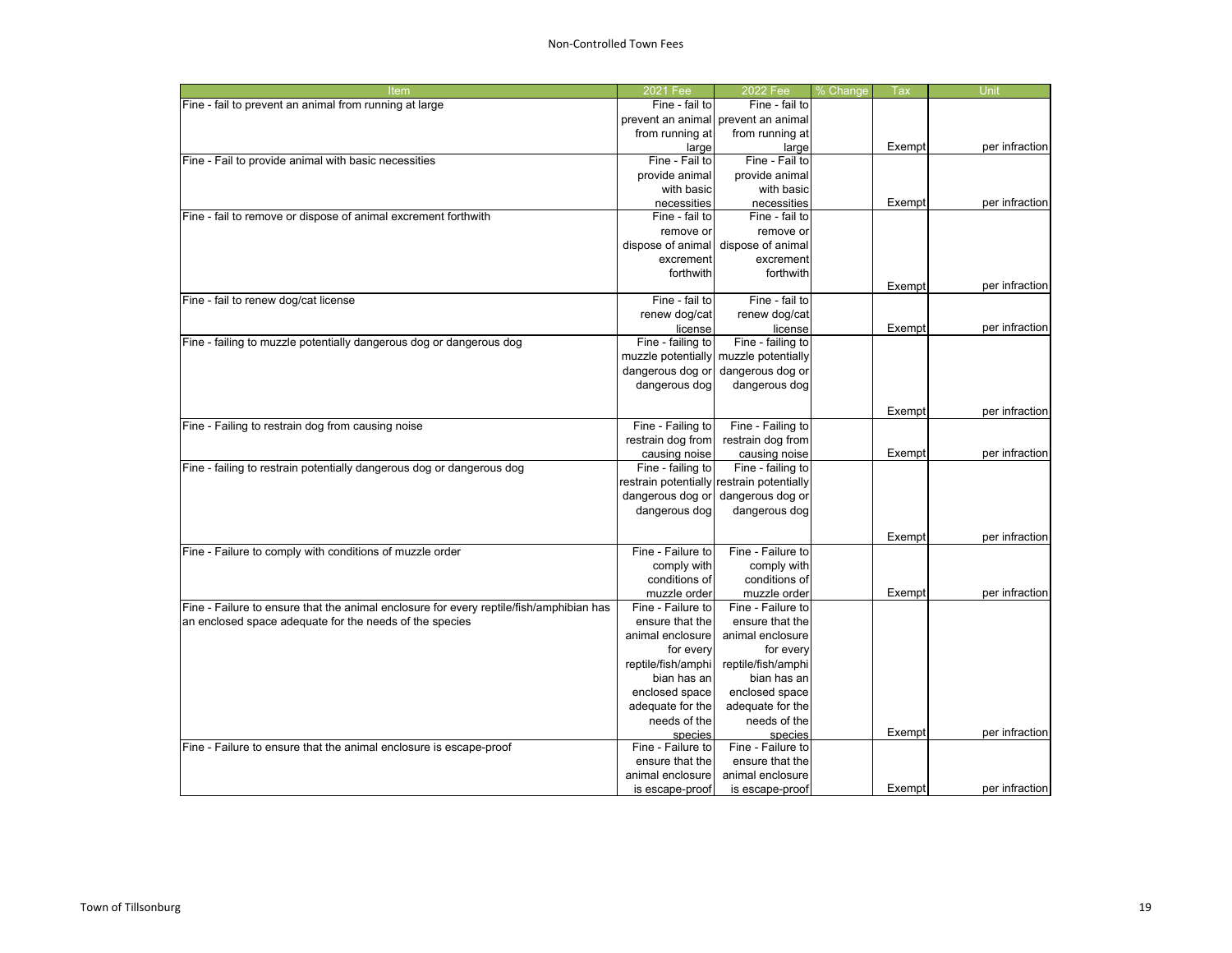| Item                                                                                    | 2021 Fee           | 2022 Fee                                  | % Change | Tax    | Unit           |
|-----------------------------------------------------------------------------------------|--------------------|-------------------------------------------|----------|--------|----------------|
| Fine - fail to prevent an animal from running at large                                  | Fine - fail to     | Fine - fail to                            |          |        |                |
|                                                                                         |                    | prevent an animal prevent an animal       |          |        |                |
|                                                                                         | from running at    | from running at                           |          |        |                |
|                                                                                         | large              | large                                     |          | Exempt | per infraction |
| Fine - Fail to provide animal with basic necessities                                    | Fine - Fail to     | Fine - Fail to                            |          |        |                |
|                                                                                         | provide animal     | provide animal                            |          |        |                |
|                                                                                         | with basic         | with basic                                |          |        |                |
|                                                                                         | necessities        | necessities                               |          | Exempt | per infraction |
| Fine - fail to remove or dispose of animal excrement forthwith                          | Fine - fail to     | Fine - fail to                            |          |        |                |
|                                                                                         | remove or          | remove or                                 |          |        |                |
|                                                                                         | dispose of animal  | dispose of animal                         |          |        |                |
|                                                                                         | excrement          | excrement                                 |          |        |                |
|                                                                                         | forthwith          | forthwith                                 |          |        |                |
|                                                                                         |                    |                                           |          | Exempt | per infraction |
| Fine - fail to renew dog/cat license                                                    | Fine - fail to     | Fine - fail to                            |          |        |                |
|                                                                                         | renew dog/cat      | renew dog/cat                             |          |        |                |
|                                                                                         | license            | license                                   |          | Exempt | per infraction |
| Fine - failing to muzzle potentially dangerous dog or dangerous dog                     | Fine - failing to  | Fine - failing to                         |          |        |                |
|                                                                                         | muzzle potentially | muzzle potentially                        |          |        |                |
|                                                                                         | dangerous dog or   | dangerous dog or                          |          |        |                |
|                                                                                         | dangerous dog      | dangerous dog                             |          |        |                |
|                                                                                         |                    |                                           |          | Exempt | per infraction |
| Fine - Failing to restrain dog from causing noise                                       | Fine - Failing to  | Fine - Failing to                         |          |        |                |
|                                                                                         | restrain dog from  | restrain dog from                         |          |        |                |
|                                                                                         | causing noise      | causing noise                             |          | Exempt | per infraction |
| Fine - failing to restrain potentially dangerous dog or dangerous dog                   | Fine - failing to  | Fine - failing to                         |          |        |                |
|                                                                                         |                    | restrain potentially restrain potentially |          |        |                |
|                                                                                         | dangerous dog or   | dangerous dog or                          |          |        |                |
|                                                                                         | dangerous dog      | dangerous dog                             |          |        |                |
|                                                                                         |                    |                                           |          |        |                |
|                                                                                         |                    |                                           |          | Exempt | per infraction |
| Fine - Failure to comply with conditions of muzzle order                                | Fine - Failure to  | Fine - Failure to                         |          |        |                |
|                                                                                         | comply with        | comply with                               |          |        |                |
|                                                                                         | conditions of      | conditions of                             |          |        |                |
|                                                                                         | muzzle order       | muzzle order                              |          | Exempt | per infraction |
| Fine - Failure to ensure that the animal enclosure for every reptile/fish/amphibian has | Fine - Failure to  | Fine - Failure to                         |          |        |                |
| an enclosed space adequate for the needs of the species                                 | ensure that the    | ensure that the                           |          |        |                |
|                                                                                         | animal enclosure   | animal enclosure                          |          |        |                |
|                                                                                         | for every          | for every                                 |          |        |                |
|                                                                                         | reptile/fish/amphi | reptile/fish/amphi                        |          |        |                |
|                                                                                         | bian has an        | bian has an                               |          |        |                |
|                                                                                         | enclosed space     | enclosed space                            |          |        |                |
|                                                                                         | adequate for the   | adequate for the                          |          |        |                |
|                                                                                         | needs of the       | needs of the                              |          |        |                |
|                                                                                         | species            | species                                   |          | Exempt | per infraction |
| Fine - Failure to ensure that the animal enclosure is escape-proof                      | Fine - Failure to  | Fine - Failure to                         |          |        |                |
|                                                                                         | ensure that the    | ensure that the                           |          |        |                |
|                                                                                         | animal enclosure   | animal enclosure                          |          |        |                |
|                                                                                         | is escape-proof    | is escape-proof                           |          | Exempt | per infraction |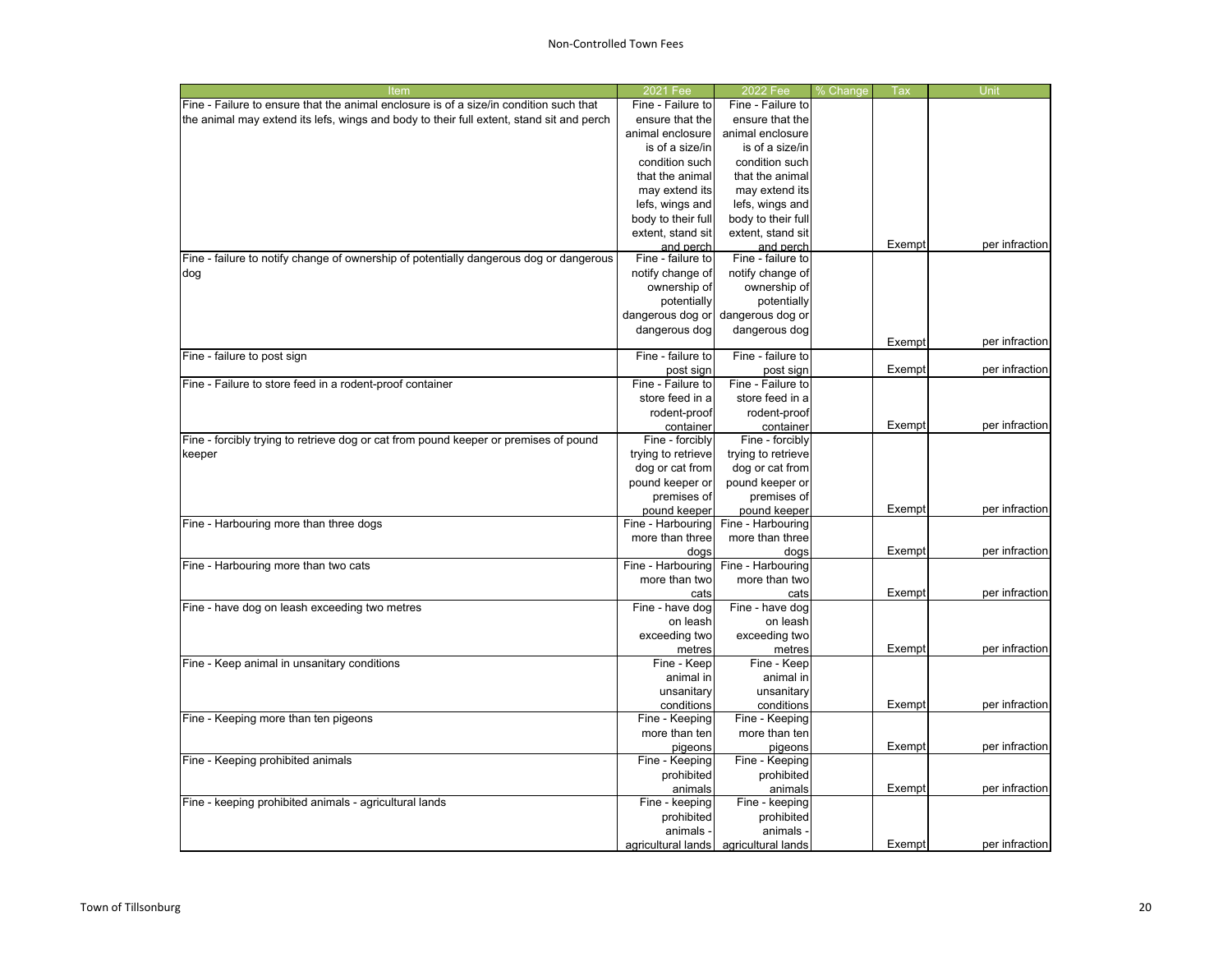### Non-Controlled Town Fees

| Item                                                                                     | 2021 Fee                       | 2022 Fee           | <u>% Change</u> | Тах    | Unit           |
|------------------------------------------------------------------------------------------|--------------------------------|--------------------|-----------------|--------|----------------|
| Fine - Failure to ensure that the animal enclosure is of a size/in condition such that   | Fine - Failure to              | Fine - Failure to  |                 |        |                |
| the animal may extend its lefs, wings and body to their full extent, stand sit and perch | ensure that the                | ensure that the    |                 |        |                |
|                                                                                          | animal enclosure               | animal enclosure   |                 |        |                |
|                                                                                          | is of a size/in                | is of a size/in    |                 |        |                |
|                                                                                          | condition such                 | condition such     |                 |        |                |
|                                                                                          | that the animal                | that the animal    |                 |        |                |
|                                                                                          | may extend its                 | may extend its     |                 |        |                |
|                                                                                          | lefs, wings and                | lefs, wings and    |                 |        |                |
|                                                                                          | body to their full             | body to their full |                 |        |                |
|                                                                                          | extent, stand sit              | extent, stand sit  |                 |        |                |
|                                                                                          | and perch                      | and perch          |                 | Exempt | per infraction |
| Fine - failure to notify change of ownership of potentially dangerous dog or dangerous   | Fine - failure to              | Fine - failure to  |                 |        |                |
| dog                                                                                      | notify change of               | notify change of   |                 |        |                |
|                                                                                          | ownership of                   | ownership of       |                 |        |                |
|                                                                                          | potentially                    | potentially        |                 |        |                |
|                                                                                          |                                |                    |                 |        |                |
|                                                                                          | dangerous dog or               | dangerous dog or   |                 |        |                |
|                                                                                          | dangerous dog                  | dangerous dog      |                 | Exempt |                |
|                                                                                          | Fine - failure to              | Fine - failure to  |                 |        | per infraction |
| Fine - failure to post sign                                                              |                                |                    |                 |        |                |
|                                                                                          | post sign<br>Fine - Failure to | post sign          |                 | Exempt | per infraction |
| Fine - Failure to store feed in a rodent-proof container                                 |                                | Fine - Failure to  |                 |        |                |
|                                                                                          | store feed in a                | store feed in a    |                 |        |                |
|                                                                                          | rodent-proof                   | rodent-proof       |                 |        |                |
|                                                                                          | container                      | container          |                 | Exempt | per infraction |
| Fine - forcibly trying to retrieve dog or cat from pound keeper or premises of pound     | Fine - forcibly                | Fine - forcibly    |                 |        |                |
| keeper                                                                                   | trying to retrieve             | trying to retrieve |                 |        |                |
|                                                                                          | dog or cat from                | dog or cat from    |                 |        |                |
|                                                                                          | pound keeper or                | pound keeper or    |                 |        |                |
|                                                                                          | premises of                    | premises of        |                 |        |                |
|                                                                                          | pound keeper                   | pound keeper       |                 | Exempt | per infraction |
| Fine - Harbouring more than three dogs                                                   | Fine - Harbouring              | Fine - Harbouring  |                 |        |                |
|                                                                                          | more than three                | more than three    |                 |        |                |
|                                                                                          | dogs                           | dogs               |                 | Exempt | per infraction |
| Fine - Harbouring more than two cats                                                     | Fine - Harbouring              | Fine - Harbouring  |                 |        |                |
|                                                                                          | more than two                  | more than two      |                 |        |                |
|                                                                                          | cats                           | cats               |                 | Exempt | per infraction |
| Fine - have dog on leash exceeding two metres                                            | Fine - have dog                | Fine - have dog    |                 |        |                |
|                                                                                          | on leash                       | on leash           |                 |        |                |
|                                                                                          | exceeding two                  | exceeding two      |                 |        |                |
|                                                                                          | metres                         | metres             |                 | Exempt | per infraction |
| Fine - Keep animal in unsanitary conditions                                              | Fine - Keep                    | Fine - Keep        |                 |        |                |
|                                                                                          | animal in                      | animal in          |                 |        |                |
|                                                                                          | unsanitary                     | unsanitary         |                 |        |                |
|                                                                                          | conditions                     | conditions         |                 | Exempt | per infraction |
| Fine - Keeping more than ten pigeons                                                     | Fine - Keeping                 | Fine - Keeping     |                 |        |                |
|                                                                                          | more than ten                  | more than ten      |                 |        |                |
|                                                                                          | pigeons                        | pigeons            |                 | Exempt | per infraction |
| Fine - Keeping prohibited animals                                                        | Fine - Keeping                 | Fine - Keeping     |                 |        |                |
|                                                                                          | prohibited                     | prohibited         |                 |        |                |
|                                                                                          | animals                        | animals            |                 | Exempt | per infraction |
| Fine - keeping prohibited animals - agricultural lands                                   | Fine - keeping                 | Fine - keeping     |                 |        |                |
|                                                                                          | prohibited                     |                    |                 |        |                |
|                                                                                          |                                | prohibited         |                 |        |                |
|                                                                                          | animals                        | animals -          |                 |        |                |
|                                                                                          | agricultural lands             | agricultural lands |                 | Exempt | per infraction |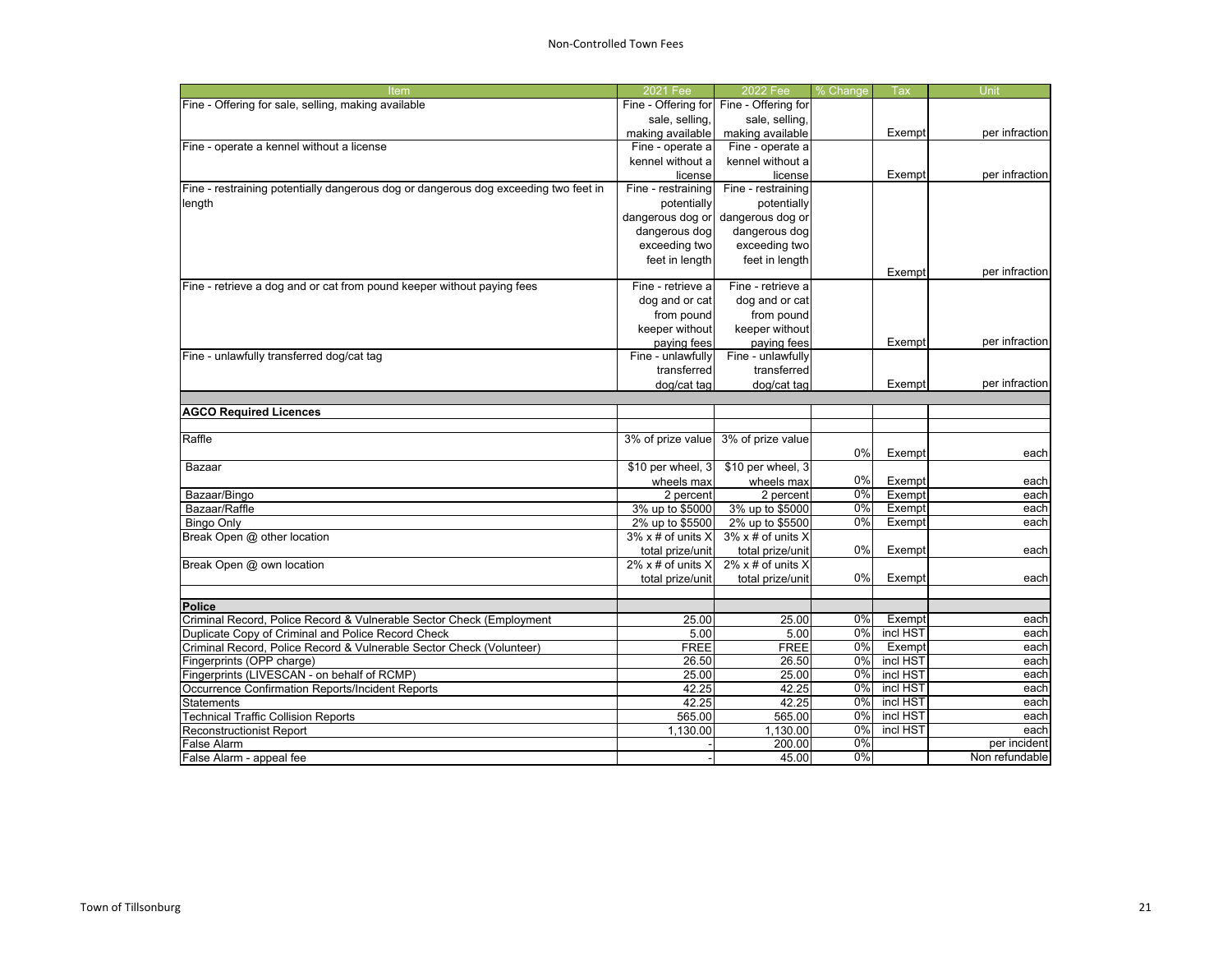| Fine - Offering for<br>Fine - Offering for<br>sale, selling,<br>sale, selling,<br>making available<br>making available<br>Exempt<br>Fine - operate a<br>Fine - operate a<br>kennel without a<br>kennel without a<br>Exempt<br>license<br>license<br>Fine - restraining<br>Fine - restraining<br>potentially<br>potentially<br>dangerous dog or<br>dangerous dog or<br>dangerous dog<br>dangerous dog<br>exceeding two<br>exceeding two<br>feet in length<br>feet in length<br>per infraction<br>Exempt<br>Fine - retrieve a dog and or cat from pound keeper without paying fees<br>Fine - retrieve a<br>Fine - retrieve a<br>dog and or cat<br>dog and or cat<br>from pound<br>from pound<br>keeper without<br>keeper without<br>Exempt<br>per infraction<br>paying fees<br>paying fees<br>Fine - unlawfully transferred dog/cat tag<br>Fine - unlawfully<br>Fine - unlawfully<br>transferred<br>transferred<br>per infraction<br>dog/cat tag<br>dog/cat tag<br>Exempt<br><b>AGCO Required Licences</b><br>3% of prize value<br>Raffle<br>3% of prize value<br>0%<br>Exempt<br>each<br>\$10 per wheel, 3<br>\$10 per wheel, 3<br>Bazaar<br>0%<br>wheels max<br>wheels max<br>Exempt<br>each<br>0%<br>Bazaar/Bingo<br>2 percent<br>2 percent<br>Exempt<br>each<br>Bazaar/Raffle<br>3% up to \$5000<br>3% up to \$5000<br>0%<br>Exempt<br>2% up to \$5500<br>0%<br><b>Bingo Only</b><br>2% up to \$5500<br>Exempt<br>Break Open @ other location<br>$3\%$ x # of units X<br>$3\%$ x # of units X<br>0%<br>total prize/unit<br>Exempt<br>total prize/unit<br>$2\%$ x # of units X<br>$2\%$ x # of units X<br>0%<br>Exempt<br>total prize/unit<br>total prize/unit<br>Criminal Record, Police Record & Vulnerable Sector Check (Employment<br>25.00<br>25.00<br>0%<br>Exempt<br>Duplicate Copy of Criminal and Police Record Check<br>5.00<br>0%<br>incl HST<br>5.00<br>0%<br><b>FREE</b><br><b>FREE</b><br>Exempt<br>26.50<br>26.50<br>0%<br>incl HST<br>Fingerprints (OPP charge)<br>incl HST<br>Fingerprints (LIVESCAN - on behalf of RCMP)<br>25.00<br>0%<br>25.00<br>0%<br>incl HST<br>Occurrence Confirmation Reports/Incident Reports<br>42.25<br>42.25<br>0%<br>incl HST<br>42.25<br><b>Statements</b><br>42.25<br>565.00<br>0%<br>incl HST<br><b>Technical Traffic Collision Reports</b><br>565.00<br>0%<br>incl HST<br>1,130.00<br>1,130.00<br><b>Reconstructionist Report</b><br>0%<br>200.00<br>False Alarm<br>0%<br>False Alarm - appeal fee<br>45.00 | <b>Item</b>                                                                         | 2021 Fee | 2022 Fee | % Change | Tax | Unit           |
|-----------------------------------------------------------------------------------------------------------------------------------------------------------------------------------------------------------------------------------------------------------------------------------------------------------------------------------------------------------------------------------------------------------------------------------------------------------------------------------------------------------------------------------------------------------------------------------------------------------------------------------------------------------------------------------------------------------------------------------------------------------------------------------------------------------------------------------------------------------------------------------------------------------------------------------------------------------------------------------------------------------------------------------------------------------------------------------------------------------------------------------------------------------------------------------------------------------------------------------------------------------------------------------------------------------------------------------------------------------------------------------------------------------------------------------------------------------------------------------------------------------------------------------------------------------------------------------------------------------------------------------------------------------------------------------------------------------------------------------------------------------------------------------------------------------------------------------------------------------------------------------------------------------------------------------------------------------------------------------------------------------------------------------------------------------------------------------------------------------------------------------------------------------------------------------------------------------------------------------------------------------------------------------------------------------------------------------------------------------------------------------------------------------------------------------------------------------------|-------------------------------------------------------------------------------------|----------|----------|----------|-----|----------------|
|                                                                                                                                                                                                                                                                                                                                                                                                                                                                                                                                                                                                                                                                                                                                                                                                                                                                                                                                                                                                                                                                                                                                                                                                                                                                                                                                                                                                                                                                                                                                                                                                                                                                                                                                                                                                                                                                                                                                                                                                                                                                                                                                                                                                                                                                                                                                                                                                                                                                 | Fine - Offering for sale, selling, making available                                 |          |          |          |     |                |
|                                                                                                                                                                                                                                                                                                                                                                                                                                                                                                                                                                                                                                                                                                                                                                                                                                                                                                                                                                                                                                                                                                                                                                                                                                                                                                                                                                                                                                                                                                                                                                                                                                                                                                                                                                                                                                                                                                                                                                                                                                                                                                                                                                                                                                                                                                                                                                                                                                                                 |                                                                                     |          |          |          |     |                |
|                                                                                                                                                                                                                                                                                                                                                                                                                                                                                                                                                                                                                                                                                                                                                                                                                                                                                                                                                                                                                                                                                                                                                                                                                                                                                                                                                                                                                                                                                                                                                                                                                                                                                                                                                                                                                                                                                                                                                                                                                                                                                                                                                                                                                                                                                                                                                                                                                                                                 |                                                                                     |          |          |          |     | per infraction |
|                                                                                                                                                                                                                                                                                                                                                                                                                                                                                                                                                                                                                                                                                                                                                                                                                                                                                                                                                                                                                                                                                                                                                                                                                                                                                                                                                                                                                                                                                                                                                                                                                                                                                                                                                                                                                                                                                                                                                                                                                                                                                                                                                                                                                                                                                                                                                                                                                                                                 | Fine - operate a kennel without a license                                           |          |          |          |     |                |
|                                                                                                                                                                                                                                                                                                                                                                                                                                                                                                                                                                                                                                                                                                                                                                                                                                                                                                                                                                                                                                                                                                                                                                                                                                                                                                                                                                                                                                                                                                                                                                                                                                                                                                                                                                                                                                                                                                                                                                                                                                                                                                                                                                                                                                                                                                                                                                                                                                                                 |                                                                                     |          |          |          |     |                |
|                                                                                                                                                                                                                                                                                                                                                                                                                                                                                                                                                                                                                                                                                                                                                                                                                                                                                                                                                                                                                                                                                                                                                                                                                                                                                                                                                                                                                                                                                                                                                                                                                                                                                                                                                                                                                                                                                                                                                                                                                                                                                                                                                                                                                                                                                                                                                                                                                                                                 |                                                                                     |          |          |          |     | per infraction |
|                                                                                                                                                                                                                                                                                                                                                                                                                                                                                                                                                                                                                                                                                                                                                                                                                                                                                                                                                                                                                                                                                                                                                                                                                                                                                                                                                                                                                                                                                                                                                                                                                                                                                                                                                                                                                                                                                                                                                                                                                                                                                                                                                                                                                                                                                                                                                                                                                                                                 | Fine - restraining potentially dangerous dog or dangerous dog exceeding two feet in |          |          |          |     |                |
|                                                                                                                                                                                                                                                                                                                                                                                                                                                                                                                                                                                                                                                                                                                                                                                                                                                                                                                                                                                                                                                                                                                                                                                                                                                                                                                                                                                                                                                                                                                                                                                                                                                                                                                                                                                                                                                                                                                                                                                                                                                                                                                                                                                                                                                                                                                                                                                                                                                                 | length                                                                              |          |          |          |     |                |
|                                                                                                                                                                                                                                                                                                                                                                                                                                                                                                                                                                                                                                                                                                                                                                                                                                                                                                                                                                                                                                                                                                                                                                                                                                                                                                                                                                                                                                                                                                                                                                                                                                                                                                                                                                                                                                                                                                                                                                                                                                                                                                                                                                                                                                                                                                                                                                                                                                                                 |                                                                                     |          |          |          |     |                |
|                                                                                                                                                                                                                                                                                                                                                                                                                                                                                                                                                                                                                                                                                                                                                                                                                                                                                                                                                                                                                                                                                                                                                                                                                                                                                                                                                                                                                                                                                                                                                                                                                                                                                                                                                                                                                                                                                                                                                                                                                                                                                                                                                                                                                                                                                                                                                                                                                                                                 |                                                                                     |          |          |          |     |                |
|                                                                                                                                                                                                                                                                                                                                                                                                                                                                                                                                                                                                                                                                                                                                                                                                                                                                                                                                                                                                                                                                                                                                                                                                                                                                                                                                                                                                                                                                                                                                                                                                                                                                                                                                                                                                                                                                                                                                                                                                                                                                                                                                                                                                                                                                                                                                                                                                                                                                 |                                                                                     |          |          |          |     |                |
|                                                                                                                                                                                                                                                                                                                                                                                                                                                                                                                                                                                                                                                                                                                                                                                                                                                                                                                                                                                                                                                                                                                                                                                                                                                                                                                                                                                                                                                                                                                                                                                                                                                                                                                                                                                                                                                                                                                                                                                                                                                                                                                                                                                                                                                                                                                                                                                                                                                                 |                                                                                     |          |          |          |     |                |
|                                                                                                                                                                                                                                                                                                                                                                                                                                                                                                                                                                                                                                                                                                                                                                                                                                                                                                                                                                                                                                                                                                                                                                                                                                                                                                                                                                                                                                                                                                                                                                                                                                                                                                                                                                                                                                                                                                                                                                                                                                                                                                                                                                                                                                                                                                                                                                                                                                                                 |                                                                                     |          |          |          |     |                |
|                                                                                                                                                                                                                                                                                                                                                                                                                                                                                                                                                                                                                                                                                                                                                                                                                                                                                                                                                                                                                                                                                                                                                                                                                                                                                                                                                                                                                                                                                                                                                                                                                                                                                                                                                                                                                                                                                                                                                                                                                                                                                                                                                                                                                                                                                                                                                                                                                                                                 |                                                                                     |          |          |          |     |                |
|                                                                                                                                                                                                                                                                                                                                                                                                                                                                                                                                                                                                                                                                                                                                                                                                                                                                                                                                                                                                                                                                                                                                                                                                                                                                                                                                                                                                                                                                                                                                                                                                                                                                                                                                                                                                                                                                                                                                                                                                                                                                                                                                                                                                                                                                                                                                                                                                                                                                 |                                                                                     |          |          |          |     |                |
|                                                                                                                                                                                                                                                                                                                                                                                                                                                                                                                                                                                                                                                                                                                                                                                                                                                                                                                                                                                                                                                                                                                                                                                                                                                                                                                                                                                                                                                                                                                                                                                                                                                                                                                                                                                                                                                                                                                                                                                                                                                                                                                                                                                                                                                                                                                                                                                                                                                                 |                                                                                     |          |          |          |     |                |
|                                                                                                                                                                                                                                                                                                                                                                                                                                                                                                                                                                                                                                                                                                                                                                                                                                                                                                                                                                                                                                                                                                                                                                                                                                                                                                                                                                                                                                                                                                                                                                                                                                                                                                                                                                                                                                                                                                                                                                                                                                                                                                                                                                                                                                                                                                                                                                                                                                                                 |                                                                                     |          |          |          |     |                |
|                                                                                                                                                                                                                                                                                                                                                                                                                                                                                                                                                                                                                                                                                                                                                                                                                                                                                                                                                                                                                                                                                                                                                                                                                                                                                                                                                                                                                                                                                                                                                                                                                                                                                                                                                                                                                                                                                                                                                                                                                                                                                                                                                                                                                                                                                                                                                                                                                                                                 |                                                                                     |          |          |          |     |                |
|                                                                                                                                                                                                                                                                                                                                                                                                                                                                                                                                                                                                                                                                                                                                                                                                                                                                                                                                                                                                                                                                                                                                                                                                                                                                                                                                                                                                                                                                                                                                                                                                                                                                                                                                                                                                                                                                                                                                                                                                                                                                                                                                                                                                                                                                                                                                                                                                                                                                 |                                                                                     |          |          |          |     |                |
|                                                                                                                                                                                                                                                                                                                                                                                                                                                                                                                                                                                                                                                                                                                                                                                                                                                                                                                                                                                                                                                                                                                                                                                                                                                                                                                                                                                                                                                                                                                                                                                                                                                                                                                                                                                                                                                                                                                                                                                                                                                                                                                                                                                                                                                                                                                                                                                                                                                                 |                                                                                     |          |          |          |     |                |
|                                                                                                                                                                                                                                                                                                                                                                                                                                                                                                                                                                                                                                                                                                                                                                                                                                                                                                                                                                                                                                                                                                                                                                                                                                                                                                                                                                                                                                                                                                                                                                                                                                                                                                                                                                                                                                                                                                                                                                                                                                                                                                                                                                                                                                                                                                                                                                                                                                                                 |                                                                                     |          |          |          |     |                |
|                                                                                                                                                                                                                                                                                                                                                                                                                                                                                                                                                                                                                                                                                                                                                                                                                                                                                                                                                                                                                                                                                                                                                                                                                                                                                                                                                                                                                                                                                                                                                                                                                                                                                                                                                                                                                                                                                                                                                                                                                                                                                                                                                                                                                                                                                                                                                                                                                                                                 |                                                                                     |          |          |          |     |                |
|                                                                                                                                                                                                                                                                                                                                                                                                                                                                                                                                                                                                                                                                                                                                                                                                                                                                                                                                                                                                                                                                                                                                                                                                                                                                                                                                                                                                                                                                                                                                                                                                                                                                                                                                                                                                                                                                                                                                                                                                                                                                                                                                                                                                                                                                                                                                                                                                                                                                 |                                                                                     |          |          |          |     |                |
|                                                                                                                                                                                                                                                                                                                                                                                                                                                                                                                                                                                                                                                                                                                                                                                                                                                                                                                                                                                                                                                                                                                                                                                                                                                                                                                                                                                                                                                                                                                                                                                                                                                                                                                                                                                                                                                                                                                                                                                                                                                                                                                                                                                                                                                                                                                                                                                                                                                                 |                                                                                     |          |          |          |     |                |
|                                                                                                                                                                                                                                                                                                                                                                                                                                                                                                                                                                                                                                                                                                                                                                                                                                                                                                                                                                                                                                                                                                                                                                                                                                                                                                                                                                                                                                                                                                                                                                                                                                                                                                                                                                                                                                                                                                                                                                                                                                                                                                                                                                                                                                                                                                                                                                                                                                                                 |                                                                                     |          |          |          |     |                |
|                                                                                                                                                                                                                                                                                                                                                                                                                                                                                                                                                                                                                                                                                                                                                                                                                                                                                                                                                                                                                                                                                                                                                                                                                                                                                                                                                                                                                                                                                                                                                                                                                                                                                                                                                                                                                                                                                                                                                                                                                                                                                                                                                                                                                                                                                                                                                                                                                                                                 |                                                                                     |          |          |          |     |                |
|                                                                                                                                                                                                                                                                                                                                                                                                                                                                                                                                                                                                                                                                                                                                                                                                                                                                                                                                                                                                                                                                                                                                                                                                                                                                                                                                                                                                                                                                                                                                                                                                                                                                                                                                                                                                                                                                                                                                                                                                                                                                                                                                                                                                                                                                                                                                                                                                                                                                 |                                                                                     |          |          |          |     |                |
|                                                                                                                                                                                                                                                                                                                                                                                                                                                                                                                                                                                                                                                                                                                                                                                                                                                                                                                                                                                                                                                                                                                                                                                                                                                                                                                                                                                                                                                                                                                                                                                                                                                                                                                                                                                                                                                                                                                                                                                                                                                                                                                                                                                                                                                                                                                                                                                                                                                                 |                                                                                     |          |          |          |     |                |
|                                                                                                                                                                                                                                                                                                                                                                                                                                                                                                                                                                                                                                                                                                                                                                                                                                                                                                                                                                                                                                                                                                                                                                                                                                                                                                                                                                                                                                                                                                                                                                                                                                                                                                                                                                                                                                                                                                                                                                                                                                                                                                                                                                                                                                                                                                                                                                                                                                                                 |                                                                                     |          |          |          |     | each           |
|                                                                                                                                                                                                                                                                                                                                                                                                                                                                                                                                                                                                                                                                                                                                                                                                                                                                                                                                                                                                                                                                                                                                                                                                                                                                                                                                                                                                                                                                                                                                                                                                                                                                                                                                                                                                                                                                                                                                                                                                                                                                                                                                                                                                                                                                                                                                                                                                                                                                 |                                                                                     |          |          |          |     | each           |
|                                                                                                                                                                                                                                                                                                                                                                                                                                                                                                                                                                                                                                                                                                                                                                                                                                                                                                                                                                                                                                                                                                                                                                                                                                                                                                                                                                                                                                                                                                                                                                                                                                                                                                                                                                                                                                                                                                                                                                                                                                                                                                                                                                                                                                                                                                                                                                                                                                                                 |                                                                                     |          |          |          |     |                |
|                                                                                                                                                                                                                                                                                                                                                                                                                                                                                                                                                                                                                                                                                                                                                                                                                                                                                                                                                                                                                                                                                                                                                                                                                                                                                                                                                                                                                                                                                                                                                                                                                                                                                                                                                                                                                                                                                                                                                                                                                                                                                                                                                                                                                                                                                                                                                                                                                                                                 |                                                                                     |          |          |          |     | each           |
|                                                                                                                                                                                                                                                                                                                                                                                                                                                                                                                                                                                                                                                                                                                                                                                                                                                                                                                                                                                                                                                                                                                                                                                                                                                                                                                                                                                                                                                                                                                                                                                                                                                                                                                                                                                                                                                                                                                                                                                                                                                                                                                                                                                                                                                                                                                                                                                                                                                                 | Break Open @ own location                                                           |          |          |          |     |                |
|                                                                                                                                                                                                                                                                                                                                                                                                                                                                                                                                                                                                                                                                                                                                                                                                                                                                                                                                                                                                                                                                                                                                                                                                                                                                                                                                                                                                                                                                                                                                                                                                                                                                                                                                                                                                                                                                                                                                                                                                                                                                                                                                                                                                                                                                                                                                                                                                                                                                 |                                                                                     |          |          |          |     | each           |
|                                                                                                                                                                                                                                                                                                                                                                                                                                                                                                                                                                                                                                                                                                                                                                                                                                                                                                                                                                                                                                                                                                                                                                                                                                                                                                                                                                                                                                                                                                                                                                                                                                                                                                                                                                                                                                                                                                                                                                                                                                                                                                                                                                                                                                                                                                                                                                                                                                                                 |                                                                                     |          |          |          |     |                |
|                                                                                                                                                                                                                                                                                                                                                                                                                                                                                                                                                                                                                                                                                                                                                                                                                                                                                                                                                                                                                                                                                                                                                                                                                                                                                                                                                                                                                                                                                                                                                                                                                                                                                                                                                                                                                                                                                                                                                                                                                                                                                                                                                                                                                                                                                                                                                                                                                                                                 | <b>Police</b>                                                                       |          |          |          |     |                |
|                                                                                                                                                                                                                                                                                                                                                                                                                                                                                                                                                                                                                                                                                                                                                                                                                                                                                                                                                                                                                                                                                                                                                                                                                                                                                                                                                                                                                                                                                                                                                                                                                                                                                                                                                                                                                                                                                                                                                                                                                                                                                                                                                                                                                                                                                                                                                                                                                                                                 |                                                                                     |          |          |          |     | each           |
|                                                                                                                                                                                                                                                                                                                                                                                                                                                                                                                                                                                                                                                                                                                                                                                                                                                                                                                                                                                                                                                                                                                                                                                                                                                                                                                                                                                                                                                                                                                                                                                                                                                                                                                                                                                                                                                                                                                                                                                                                                                                                                                                                                                                                                                                                                                                                                                                                                                                 |                                                                                     |          |          |          |     | each           |
|                                                                                                                                                                                                                                                                                                                                                                                                                                                                                                                                                                                                                                                                                                                                                                                                                                                                                                                                                                                                                                                                                                                                                                                                                                                                                                                                                                                                                                                                                                                                                                                                                                                                                                                                                                                                                                                                                                                                                                                                                                                                                                                                                                                                                                                                                                                                                                                                                                                                 | Criminal Record, Police Record & Vulnerable Sector Check (Volunteer)                |          |          |          |     | each           |
|                                                                                                                                                                                                                                                                                                                                                                                                                                                                                                                                                                                                                                                                                                                                                                                                                                                                                                                                                                                                                                                                                                                                                                                                                                                                                                                                                                                                                                                                                                                                                                                                                                                                                                                                                                                                                                                                                                                                                                                                                                                                                                                                                                                                                                                                                                                                                                                                                                                                 |                                                                                     |          |          |          |     | each           |
|                                                                                                                                                                                                                                                                                                                                                                                                                                                                                                                                                                                                                                                                                                                                                                                                                                                                                                                                                                                                                                                                                                                                                                                                                                                                                                                                                                                                                                                                                                                                                                                                                                                                                                                                                                                                                                                                                                                                                                                                                                                                                                                                                                                                                                                                                                                                                                                                                                                                 |                                                                                     |          |          |          |     | each           |
|                                                                                                                                                                                                                                                                                                                                                                                                                                                                                                                                                                                                                                                                                                                                                                                                                                                                                                                                                                                                                                                                                                                                                                                                                                                                                                                                                                                                                                                                                                                                                                                                                                                                                                                                                                                                                                                                                                                                                                                                                                                                                                                                                                                                                                                                                                                                                                                                                                                                 |                                                                                     |          |          |          |     | each           |
|                                                                                                                                                                                                                                                                                                                                                                                                                                                                                                                                                                                                                                                                                                                                                                                                                                                                                                                                                                                                                                                                                                                                                                                                                                                                                                                                                                                                                                                                                                                                                                                                                                                                                                                                                                                                                                                                                                                                                                                                                                                                                                                                                                                                                                                                                                                                                                                                                                                                 |                                                                                     |          |          |          |     | each           |
|                                                                                                                                                                                                                                                                                                                                                                                                                                                                                                                                                                                                                                                                                                                                                                                                                                                                                                                                                                                                                                                                                                                                                                                                                                                                                                                                                                                                                                                                                                                                                                                                                                                                                                                                                                                                                                                                                                                                                                                                                                                                                                                                                                                                                                                                                                                                                                                                                                                                 |                                                                                     |          |          |          |     | each           |
|                                                                                                                                                                                                                                                                                                                                                                                                                                                                                                                                                                                                                                                                                                                                                                                                                                                                                                                                                                                                                                                                                                                                                                                                                                                                                                                                                                                                                                                                                                                                                                                                                                                                                                                                                                                                                                                                                                                                                                                                                                                                                                                                                                                                                                                                                                                                                                                                                                                                 |                                                                                     |          |          |          |     | each           |
|                                                                                                                                                                                                                                                                                                                                                                                                                                                                                                                                                                                                                                                                                                                                                                                                                                                                                                                                                                                                                                                                                                                                                                                                                                                                                                                                                                                                                                                                                                                                                                                                                                                                                                                                                                                                                                                                                                                                                                                                                                                                                                                                                                                                                                                                                                                                                                                                                                                                 |                                                                                     |          |          |          |     | per incident   |
|                                                                                                                                                                                                                                                                                                                                                                                                                                                                                                                                                                                                                                                                                                                                                                                                                                                                                                                                                                                                                                                                                                                                                                                                                                                                                                                                                                                                                                                                                                                                                                                                                                                                                                                                                                                                                                                                                                                                                                                                                                                                                                                                                                                                                                                                                                                                                                                                                                                                 |                                                                                     |          |          |          |     | Non refundable |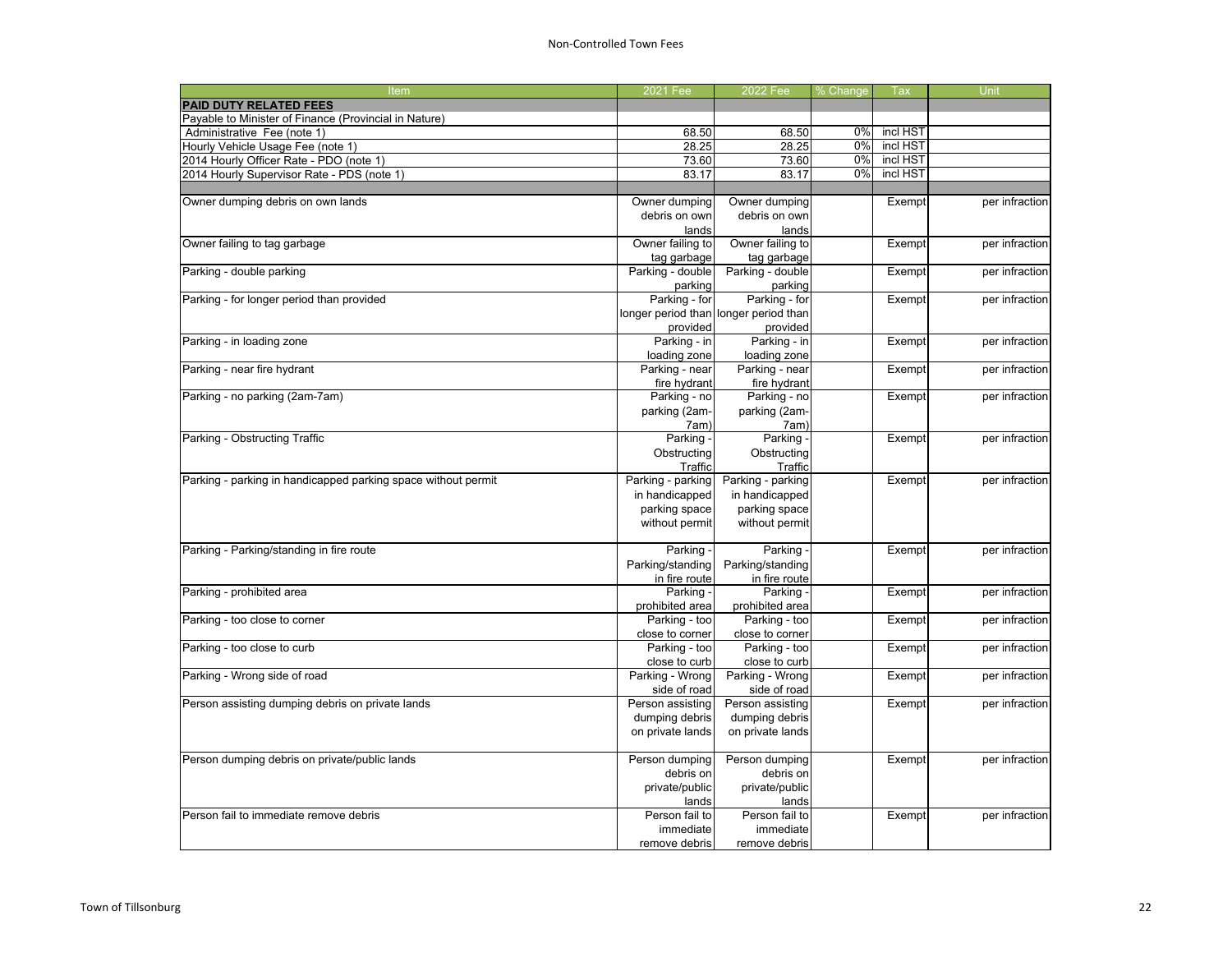| Item                                                          | 2021 Fee          | 2022 Fee                              | % Change | Tax      | Unit           |
|---------------------------------------------------------------|-------------------|---------------------------------------|----------|----------|----------------|
| <b>PAID DUTY RELATED FEES</b>                                 |                   |                                       |          |          |                |
| Payable to Minister of Finance (Provincial in Nature)         |                   |                                       |          |          |                |
| Administrative Fee (note 1)                                   | 68.50             | 68.50                                 | 0%       | incl HST |                |
| Hourly Vehicle Usage Fee (note 1)                             | 28.25             | 28.25                                 | 0%       | incl HST |                |
| 2014 Hourly Officer Rate - PDO (note 1)                       | 73.60             | 73.60                                 | 0%       | incl HST |                |
| 2014 Hourly Supervisor Rate - PDS (note 1)                    | 83.17             | 83.17                                 | 0%       | incl HST |                |
|                                                               |                   |                                       |          |          |                |
| Owner dumping debris on own lands                             | Owner dumping     | Owner dumping                         |          | Exempt   | per infraction |
|                                                               | debris on own     | debris on own                         |          |          |                |
|                                                               | lands             | lands                                 |          |          |                |
| Owner failing to tag garbage                                  | Owner failing to  | Owner failing to                      |          | Exempt   | per infraction |
|                                                               | tag garbage       | tag garbage                           |          |          |                |
| Parking - double parking                                      | Parking - double  | Parking - double                      |          | Exempt   | per infraction |
|                                                               | parking           | parking                               |          |          |                |
| Parking - for longer period than provided                     | Parking - for     | Parking - for                         |          | Exempt   | per infraction |
|                                                               |                   | longer period than longer period than |          |          |                |
|                                                               | provided          | provided                              |          |          |                |
| Parking - in loading zone                                     | Parking - in      | Parking - in                          |          | Exempt   | per infraction |
|                                                               | loading zone      | loading zone                          |          |          |                |
| Parking - near fire hydrant                                   | Parking - near    | Parking - near                        |          | Exempt   | per infraction |
|                                                               | fire hydrant      | fire hydrant                          |          |          |                |
| Parking - no parking (2am-7am)                                | Parking - no      | Parking - no                          |          | Exempt   | per infraction |
|                                                               | parking (2am-     | parking (2am-                         |          |          |                |
|                                                               | 7am)              | 7am)                                  |          |          |                |
| Parking - Obstructing Traffic                                 | Parking -         | Parking                               |          | Exempt   | per infraction |
|                                                               | Obstructing       | Obstructing                           |          |          |                |
|                                                               | Traffic           | Traffic                               |          |          |                |
| Parking - parking in handicapped parking space without permit | Parking - parking | Parking - parking                     |          | Exempt   | per infraction |
|                                                               | in handicapped    | in handicapped                        |          |          |                |
|                                                               | parking space     | parking space                         |          |          |                |
|                                                               | without permit    | without permit                        |          |          |                |
|                                                               |                   |                                       |          |          |                |
| Parking - Parking/standing in fire route                      | Parking -         | Parking                               |          | Exempt   | per infraction |
|                                                               | Parking/standing  | Parking/standing                      |          |          |                |
|                                                               | in fire route     | in fire route                         |          |          |                |
| Parking - prohibited area                                     | Parking -         | Parking -                             |          | Exempt   | per infraction |
|                                                               | prohibited area   | prohibited area                       |          |          |                |
| Parking - too close to corner                                 | Parking - too     | Parking - too                         |          | Exempt   | per infraction |
|                                                               | close to corner   | close to corner                       |          |          |                |
| Parking - too close to curb                                   | Parking - too     | Parking - too                         |          | Exempt   | per infraction |
|                                                               | close to curb     | close to curb                         |          |          |                |
| Parking - Wrong side of road                                  | Parking - Wrong   | Parking - Wrong                       |          | Exempt   | per infraction |
|                                                               | side of road      | side of road                          |          |          |                |
| Person assisting dumping debris on private lands              | Person assisting  | Person assisting                      |          | Exempt   | per infraction |
|                                                               | dumping debris    | dumping debris                        |          |          |                |
|                                                               | on private lands  | on private lands                      |          |          |                |
|                                                               |                   |                                       |          |          |                |
| Person dumping debris on private/public lands                 | Person dumping    | Person dumping                        |          | Exempt   | per infraction |
|                                                               | debris on         | debris on                             |          |          |                |
|                                                               | private/public    | private/public                        |          |          |                |
|                                                               | lands             | lands                                 |          |          |                |
| Person fail to immediate remove debris                        | Person fail to    | Person fail to                        |          | Exempt   | per infraction |
|                                                               | immediate         | immediate                             |          |          |                |
|                                                               | remove debris     | remove debris                         |          |          |                |